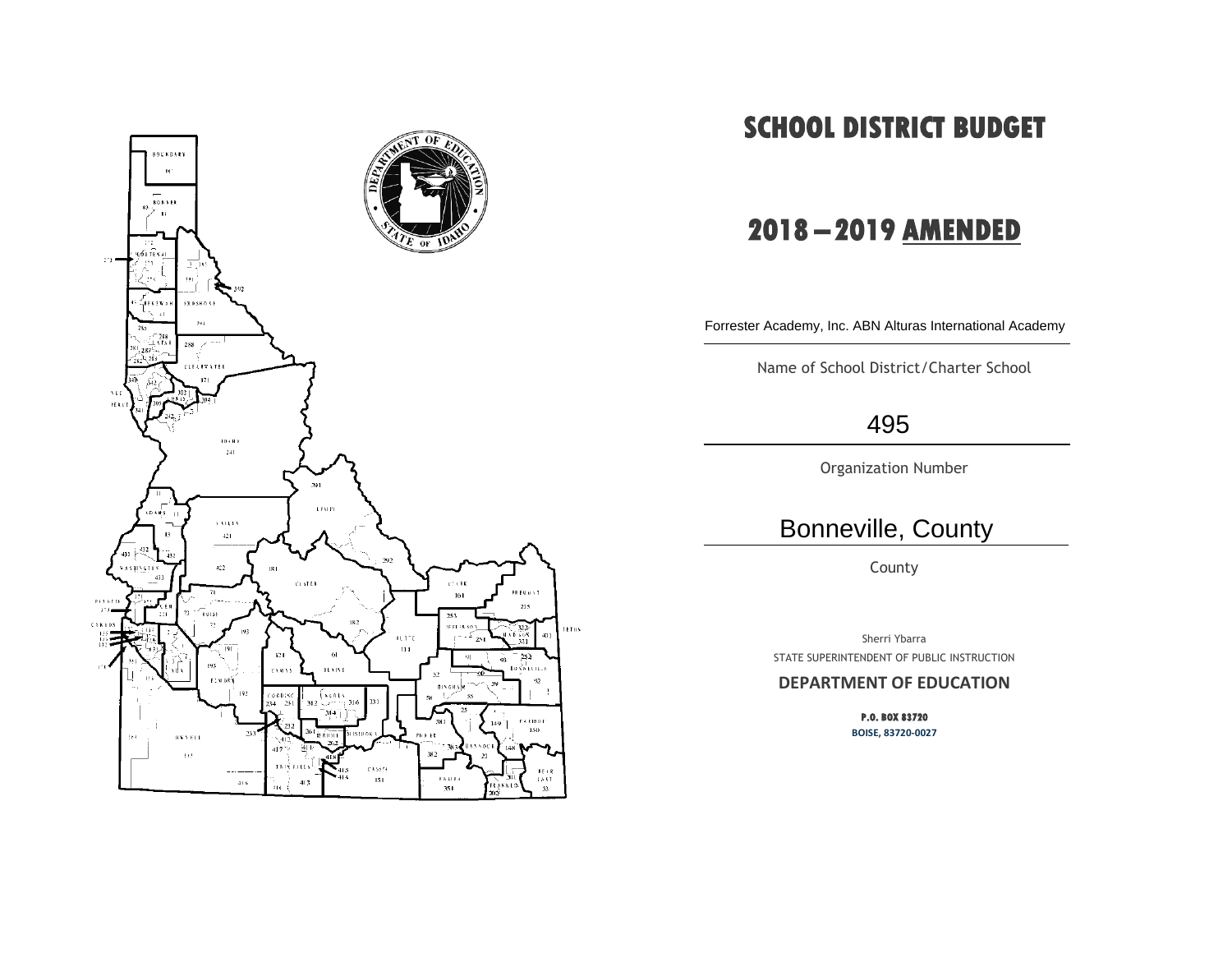

# **SCHOOL DISTRICT BUDGET**

# **2018 – 2019 AMENDED**

Forrester Academy, Inc. ABN Alturas International Academy

Name of School District/Charter School

## 495

Organization Number

## Bonneville, County

County

Sherri Ybarra STATE SUPERINTENDENT OF PUBLIC INSTRUCTION

#### **DEPARTMENT OF EDUCATION**

**P.O. BOX 83720 BOISE, 83720-0027**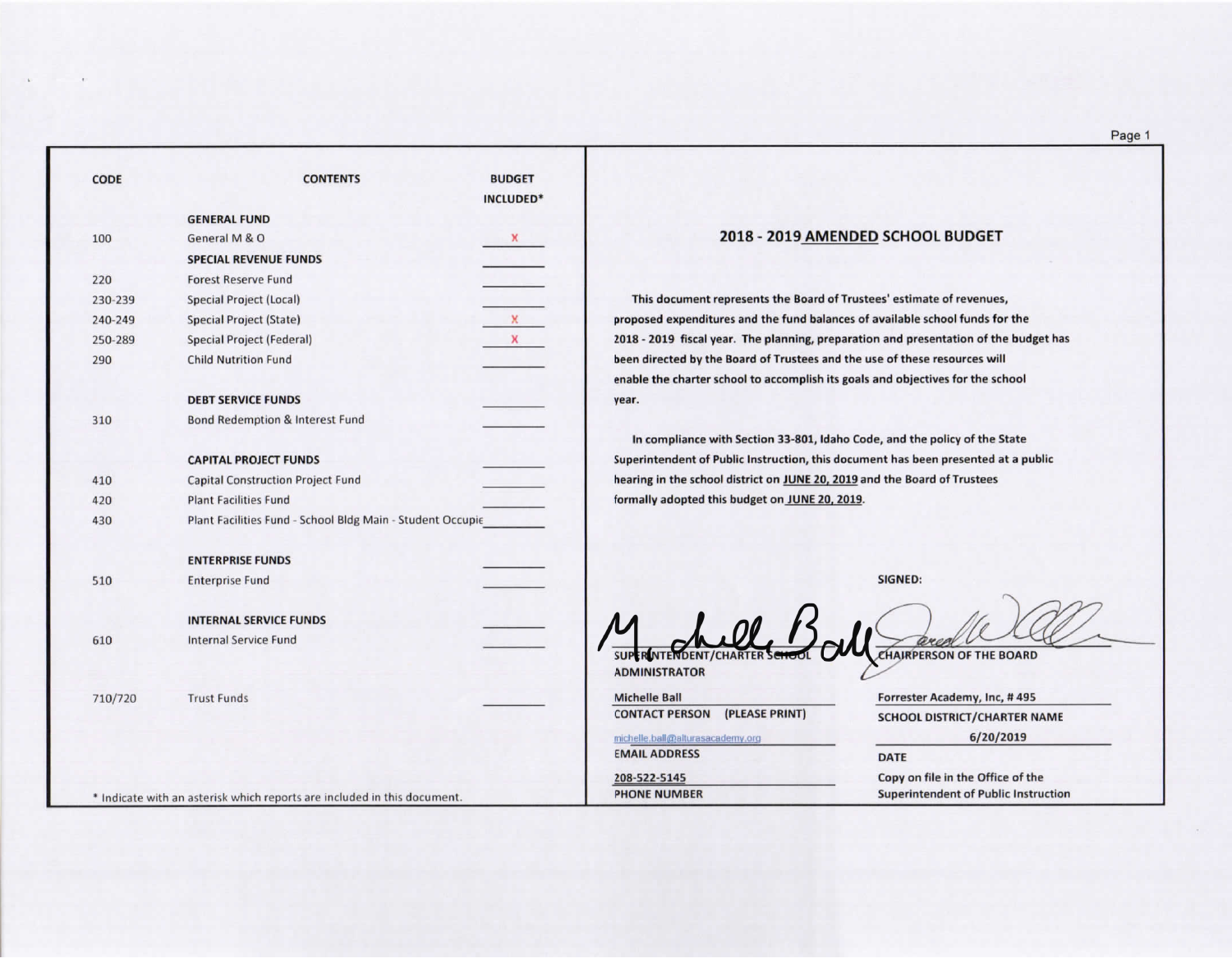| <b>CODE</b> | <b>CONTENTS</b>                                                         | <b>BUDGET</b><br>INCLUDED* |                                                                                  |
|-------------|-------------------------------------------------------------------------|----------------------------|----------------------------------------------------------------------------------|
|             | <b>GENERAL FUND</b>                                                     |                            |                                                                                  |
| 100         | General M & O                                                           | x                          | 2018 - 2019 /                                                                    |
|             | <b>SPECIAL REVENUE FUNDS</b>                                            |                            |                                                                                  |
| 220         | <b>Forest Reserve Fund</b>                                              |                            |                                                                                  |
| 230-239     | <b>Special Project (Local)</b>                                          |                            | This document represents the Bo.                                                 |
| 240-249     | Special Project (State)                                                 | X                          | proposed expenditures and the fund                                               |
| 250-289     | Special Project (Federal)                                               | X                          | 2018 - 2019 fiscal year. The planning                                            |
| 290         | <b>Child Nutrition Fund</b>                                             |                            | been directed by the Board of Truste<br>enable the charter school to accompl     |
|             | <b>DEBT SERVICE FUNDS</b>                                               |                            | year.                                                                            |
| 310         | Bond Redemption & Interest Fund                                         |                            |                                                                                  |
|             | <b>CAPITAL PROJECT FUNDS</b>                                            |                            | In compliance with Section 33-80<br><b>Superintendent of Public Instruction,</b> |
| 410         | <b>Capital Construction Project Fund</b>                                |                            | hearing in the school district on JUNE                                           |
| 420         | <b>Plant Facilities Fund</b>                                            |                            | formally adopted this budget on JUN                                              |
| 430         | Plant Facilities Fund - School Bldg Main - Student Occupie              |                            |                                                                                  |
|             | <b>ENTERPRISE FUNDS</b>                                                 |                            |                                                                                  |
| 510         | <b>Enterprise Fund</b>                                                  |                            |                                                                                  |
|             | <b>INTERNAL SERVICE FUNDS</b>                                           |                            |                                                                                  |
| 610         | <b>Internal Service Fund</b>                                            |                            | ER NTENDENT/CHARTER                                                              |
|             |                                                                         |                            | <b>ADMINISTRATOR</b>                                                             |
| 710/720     | <b>Trust Funds</b>                                                      |                            | <b>Michelle Ball</b><br>(PLEASE PRINT)<br><b>CONTACT PERSON</b>                  |
|             |                                                                         |                            |                                                                                  |
|             |                                                                         |                            | michelle.ball@alturasacademy.org<br><b>EMAIL ADDRESS</b>                         |
|             |                                                                         |                            |                                                                                  |
|             |                                                                         |                            | 208-522-5145<br><b>PHONE NUMBER</b>                                              |
|             | * Indicate with an asterisk which reports are included in this document |                            |                                                                                  |

#### 2019 AMENDED SCHOOL BUDGET

the Board of Trustees' estimate of revenues, he fund balances of available school funds for the planning, preparation and presentation of the budget has f Trustees and the use of these resources will accomplish its goals and objectives for the school

on 33-801, Idaho Code, and the policy of the State truction, this document has been presented at a public on JUNE 20, 2019 and the Board of Trustees on JUNE 20, 2019.

SIGNED:

CHAIRPERSON OF THE BOARD

Forrester Academy, Inc, #495 SCHOOL DISTRICT/CHARTER NAME

 $6/20/2019$ 

**DATE** 

Copy on file in the Office of the **Superintendent of Public Instruction**  Page 1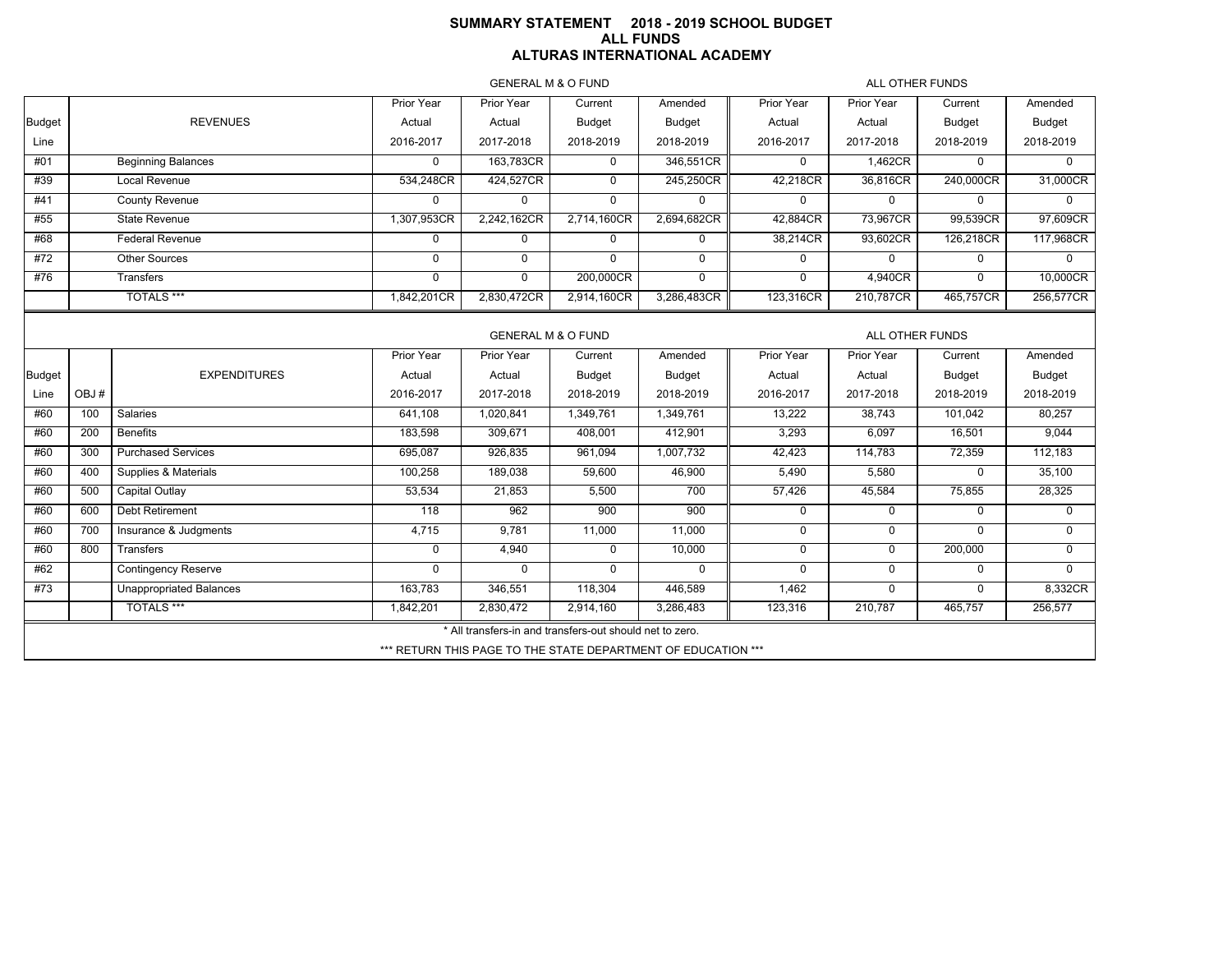## **SUMMARY STATEMENT 2018 - 2019 SCHOOL BUDGET ALL FUNDS ALTURAS INTERNATIONAL ACADEMY**

GENERAL M & O FUND

ALL OTHER FUNDS

| <b>GEINERAL IVI &amp; O FUIND</b><br>ALL UTHER FUNDS |      |                                |              |                                                          |             |                                                               |             |                 |               |               |  |  |
|------------------------------------------------------|------|--------------------------------|--------------|----------------------------------------------------------|-------------|---------------------------------------------------------------|-------------|-----------------|---------------|---------------|--|--|
|                                                      |      |                                | Prior Year   | Prior Year                                               | Current     | Amended                                                       | Prior Year  | Prior Year      | Current       | Amended       |  |  |
| <b>Budget</b>                                        |      | <b>REVENUES</b>                | Actual       | Actual                                                   | Budget      | <b>Budget</b>                                                 | Actual      | Actual          | <b>Budget</b> | Budget        |  |  |
| Line                                                 |      |                                | 2016-2017    | 2017-2018                                                | 2018-2019   | 2018-2019                                                     | 2016-2017   | 2017-2018       | 2018-2019     | 2018-2019     |  |  |
| #01                                                  |      | <b>Beginning Balances</b>      | $\mathbf{0}$ | 163,783CR                                                | $\mathbf 0$ | 346,551CR                                                     | 0           | 1,462CR         | $\Omega$      | $\Omega$      |  |  |
| #39                                                  |      | Local Revenue                  | 534,248CR    | 424,527CR                                                | $\mathbf 0$ | 245,250CR                                                     | 42,218CR    | 36.816CR        | 240,000CR     | 31,000CR      |  |  |
| #41                                                  |      | <b>County Revenue</b>          | $\Omega$     | $\Omega$                                                 | $\mathbf 0$ | 0                                                             | 0           | $\mathbf 0$     | 0             | $\Omega$      |  |  |
| #55                                                  |      | <b>State Revenue</b>           | 1,307,953CR  | 2,242,162CR                                              | 2,714,160CR | 2,694,682CR                                                   | 42,884CR    | 73,967CR        | 99,539CR      | 97,609CR      |  |  |
| #68                                                  |      | <b>Federal Revenue</b>         | 0            | 0                                                        | 0           | 0                                                             | 38,214CR    | 93,602CR        | 126,218CR     | 117,968CR     |  |  |
| #72                                                  |      | Other Sources                  | $\mathbf 0$  | $\mathbf{0}$                                             | $\Omega$    | 0                                                             | 0           | $\mathbf 0$     | $\mathbf 0$   | $\Omega$      |  |  |
| #76                                                  |      | Transfers                      | $\mathbf 0$  | $\mathbf 0$                                              | 200,000CR   | 0                                                             | 0           | 4,940CR         | $\Omega$      | 10,000CR      |  |  |
|                                                      |      | <b>TOTALS ***</b>              | 1,842,201CR  | 2,830,472CR                                              | 2,914,160CR | 3,286,483CR                                                   | 123,316CR   | 210,787CR       | 465,757CR     | 256,577CR     |  |  |
|                                                      |      |                                |              |                                                          |             |                                                               |             |                 |               |               |  |  |
|                                                      |      |                                |              | <b>GENERAL M &amp; O FUND</b>                            |             |                                                               |             | ALL OTHER FUNDS |               |               |  |  |
|                                                      |      |                                | Prior Year   | Prior Year                                               | Current     | Amended                                                       | Prior Year  | Prior Year      | Current       | Amended       |  |  |
| <b>Budget</b>                                        |      | <b>EXPENDITURES</b>            | Actual       | Actual                                                   | Budget      | Budget                                                        | Actual      | Actual          | <b>Budget</b> | <b>Budget</b> |  |  |
| Line                                                 | OBJ# |                                | 2016-2017    | 2017-2018                                                | 2018-2019   | 2018-2019                                                     | 2016-2017   | 2017-2018       | 2018-2019     | 2018-2019     |  |  |
| #60                                                  | 100  | Salaries                       | 641,108      | 1,020,841                                                | 1,349,761   | 1,349,761                                                     | 13,222      | 38,743          | 101,042       | 80,257        |  |  |
| #60                                                  | 200  | <b>Benefits</b>                | 183,598      | 309,671                                                  | 408,001     | 412,901                                                       | 3,293       | 6,097           | 16,501        | 9,044         |  |  |
| #60                                                  | 300  | <b>Purchased Services</b>      | 695,087      | 926,835                                                  | 961,094     | 1,007,732                                                     | 42,423      | 114,783         | 72,359        | 112,183       |  |  |
| #60                                                  | 400  | Supplies & Materials           | 100,258      | 189,038                                                  | 59,600      | 46,900                                                        | 5,490       | 5,580           | $\mathbf 0$   | 35,100        |  |  |
| #60                                                  | 500  | Capital Outlay                 | 53,534       | 21,853                                                   | 5,500       | 700                                                           | 57,426      | 45,584          | 75,855        | 28,325        |  |  |
| #60                                                  | 600  | Debt Retirement                | 118          | 962                                                      | 900         | 900                                                           | $\mathbf 0$ | $\mathbf 0$     | $\Omega$      | $\Omega$      |  |  |
| #60                                                  | 700  | Insurance & Judgments          | 4,715        | 9,781                                                    | 11,000      | 11,000                                                        | 0           | $\mathbf 0$     | $\mathbf 0$   | $\mathbf 0$   |  |  |
| #60                                                  | 800  | Transfers                      | $\mathbf 0$  | 4,940                                                    | $\mathbf 0$ | 10,000                                                        | 0           | $\mathbf 0$     | 200,000       | $\mathbf 0$   |  |  |
| #62                                                  |      | <b>Contingency Reserve</b>     | $\mathbf{0}$ | $\Omega$                                                 | $\Omega$    | 0                                                             | 0           | 0               | $\mathbf 0$   | $\Omega$      |  |  |
| #73                                                  |      | <b>Unappropriated Balances</b> | 163,783      | 346,551                                                  | 118,304     | 446,589                                                       | 1,462       | 0               | $\mathbf 0$   | 8,332CR       |  |  |
|                                                      |      | <b>TOTALS ***</b>              | 1,842,201    | 2,830,472                                                | 2,914,160   | 3,286,483                                                     | 123,316     | 210,787         | 465,757       | 256,577       |  |  |
|                                                      |      |                                |              | * All transfers-in and transfers-out should net to zero. |             |                                                               |             |                 |               |               |  |  |
|                                                      |      |                                |              |                                                          |             | *** RETURN THIS PAGE TO THE STATE DEPARTMENT OF EDUCATION *** |             |                 |               |               |  |  |
|                                                      |      |                                |              |                                                          |             |                                                               |             |                 |               |               |  |  |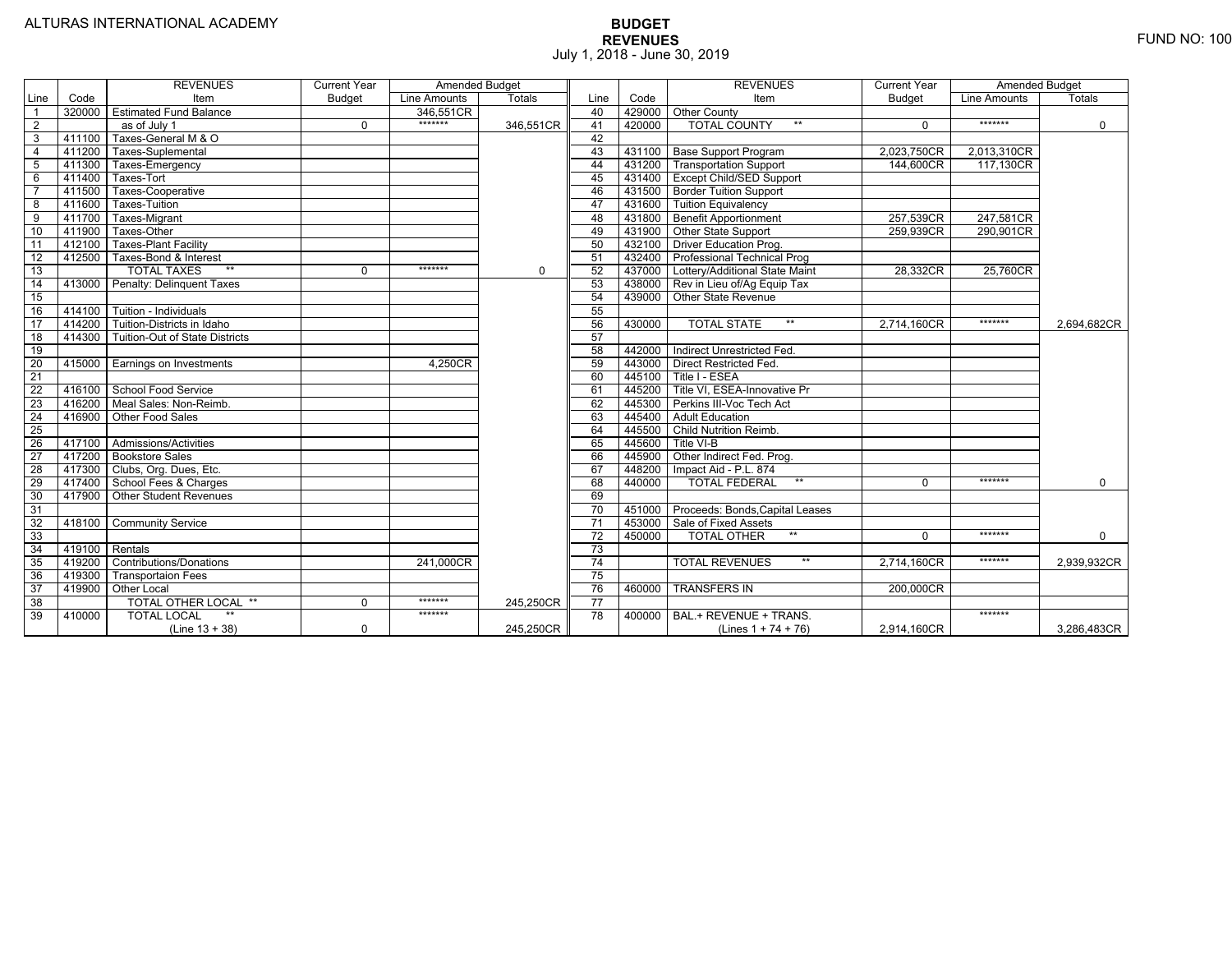|                 |        | <b>REVENUES</b>                 | <b>Current Year</b> | Amended Budget |               |                 |        | <b>REVENUES</b>                       | <b>Current Year</b> | <b>Amended Budget</b> |             |
|-----------------|--------|---------------------------------|---------------------|----------------|---------------|-----------------|--------|---------------------------------------|---------------------|-----------------------|-------------|
| Line            | Code   | Item                            | <b>Budget</b>       | Line Amounts   | <b>Totals</b> | Line            | Code   | Item                                  | <b>Budget</b>       | Line Amounts          | Totals      |
|                 | 320000 | <b>Estimated Fund Balance</b>   |                     | 346.551CR      |               | 40              |        | 429000 Other County                   |                     |                       |             |
| 2               |        | as of July 1                    | 0                   | *******        | 346,551CR     | 41              | 420000 | <b>TOTAL COUNTY</b><br>$***$          | $\Omega$            | *******               | $\mathbf 0$ |
| 3               | 411100 | Taxes-General M & O             |                     |                |               | 42              |        |                                       |                     |                       |             |
| $\overline{4}$  | 411200 | Taxes-Suplemental               |                     |                |               | 43              |        | 431100   Base Support Program         | 2,023,750CR         | 2,013,310CR           |             |
| $\overline{5}$  | 411300 | Taxes-Emergency                 |                     |                |               | 44              |        | 431200   Transportation Support       | 144,600CR           | 117,130CR             |             |
| 6               | 411400 | Taxes-Tort                      |                     |                |               | 45              |        | 431400 Except Child/SED Support       |                     |                       |             |
|                 | 411500 | Taxes-Cooperative               |                     |                |               | 46              |        | 431500 Border Tuition Support         |                     |                       |             |
| 8               | 411600 | <b>Taxes-Tuition</b>            |                     |                |               | 47              |        | 431600 Tuition Equivalency            |                     |                       |             |
| 9               | 411700 | Taxes-Migrant                   |                     |                |               | 48              |        | 431800 Benefit Apportionment          | 257,539CR           | 247,581CR             |             |
| 10              | 411900 | Taxes-Other                     |                     |                |               | 49              |        | 431900 Other State Support            | 259,939CR           | 290,901CR             |             |
| 11              | 412100 | <b>Taxes-Plant Facility</b>     |                     |                |               | 50              | 432100 | <b>Driver Education Prog.</b>         |                     |                       |             |
| 12              | 412500 | Taxes-Bond & Interest           |                     |                |               | 51              |        | 432400 Professional Technical Prog    |                     |                       |             |
| 13              |        | $**$<br><b>TOTAL TAXES</b>      | 0                   | *******        | $\mathbf 0$   | 52              |        | 437000 Lottery/Additional State Maint | 28.332CR            | 25,760CR              |             |
| 14              | 413000 | Penalty: Delinguent Taxes       |                     |                |               | 53              |        | 438000 Rev in Lieu of/Ag Equip Tax    |                     |                       |             |
| 15              |        |                                 |                     |                |               | 54              | 439000 | Other State Revenue                   |                     |                       |             |
| 16              | 414100 | Tuition - Individuals           |                     |                |               | 55              |        |                                       |                     |                       |             |
| 17              | 414200 | Tuition-Districts in Idaho      |                     |                |               | 56              | 430000 | <b>TOTAL STATE</b><br>$***$           | 2.714.160CR         | *******               | 2,694,682CR |
| 18              | 414300 | Tuition-Out of State Districts  |                     |                |               | 57              |        |                                       |                     |                       |             |
| 19              |        |                                 |                     |                |               | 58              | 442000 | Indirect Unrestricted Fed.            |                     |                       |             |
| $\overline{20}$ | 415000 | <b>Earnings on Investments</b>  |                     | 4,250CR        |               | 59              | 443000 | <b>Direct Restricted Fed.</b>         |                     |                       |             |
| $\overline{21}$ |        |                                 |                     |                |               | 60              |        | 445100 Title I - ESEA                 |                     |                       |             |
| 22              | 416100 | School Food Service             |                     |                |               | 61              | 445200 | Title VI, ESEA-Innovative Pr          |                     |                       |             |
| 23              |        | 416200   Meal Sales: Non-Reimb. |                     |                |               | 62              |        | 445300 Perkins III-Voc Tech Act       |                     |                       |             |
| 24              | 416900 | Other Food Sales                |                     |                |               | 63              |        | 445400 Adult Education                |                     |                       |             |
| 25              |        |                                 |                     |                |               | 64              |        | 445500 Child Nutrition Reimb.         |                     |                       |             |
| 26              | 417100 | Admissions/Activities           |                     |                |               | 65              | 445600 | Title VI-B                            |                     |                       |             |
| 27              |        | 417200 Bookstore Sales          |                     |                |               | 66              | 445900 | Other Indirect Fed. Prog.             |                     |                       |             |
| 28              | 417300 | Clubs, Org. Dues, Etc.          |                     |                |               | 67              | 448200 | Impact Aid - P.L. 874                 |                     |                       |             |
| 29              | 417400 | School Fees & Charges           |                     |                |               | 68              | 440000 | $***$<br><b>TOTAL FEDERAL</b>         | $\Omega$            | *******               | $\mathbf 0$ |
| 30              | 417900 | <b>Other Student Revenues</b>   |                     |                |               | 69              |        |                                       |                     |                       |             |
| 31              |        |                                 |                     |                |               | $\overline{70}$ | 451000 | Proceeds: Bonds, Capital Leases       |                     |                       |             |
| $\overline{32}$ | 418100 | <b>Community Service</b>        |                     |                |               | $\overline{71}$ | 453000 | Sale of Fixed Assets                  |                     |                       |             |
| 33              |        |                                 |                     |                |               | $\overline{72}$ | 450000 | <b>TOTAL OTHER</b><br>$**$            | $\Omega$            | *******               | $\mathbf 0$ |
| 34              | 419100 | Rentals                         |                     |                |               | 73              |        |                                       |                     |                       |             |
| 35              | 419200 | <b>Contributions/Donations</b>  |                     | 241.000CR      |               | $\overline{74}$ |        | <b>TOTAL REVENUES</b><br>$***$        | 2.714.160CR         | *******               | 2,939,932CR |
| 36              | 419300 | <b>Transportaion Fees</b>       |                     |                |               | 75              |        |                                       |                     |                       |             |
| 37              | 419900 | <b>Other Local</b>              |                     |                |               | 76              | 460000 | <b>TRANSFERS IN</b>                   | 200,000CR           |                       |             |
| $\overline{38}$ |        | TOTAL OTHER LOCAL **            | 0                   | *******        | 245,250CR     | 77              |        |                                       |                     |                       |             |
| 39              | 410000 | <b>TOTAL LOCAL</b>              |                     | *******        |               | 78              | 400000 | BAL.+ REVENUE + TRANS.                |                     | *******               |             |
|                 |        | $(Line 13 + 38)$                | 0                   |                | 245,250CR     |                 |        | (Lines $1 + 74 + 76$ )                | 2,914,160CR         |                       | 3,286,483CR |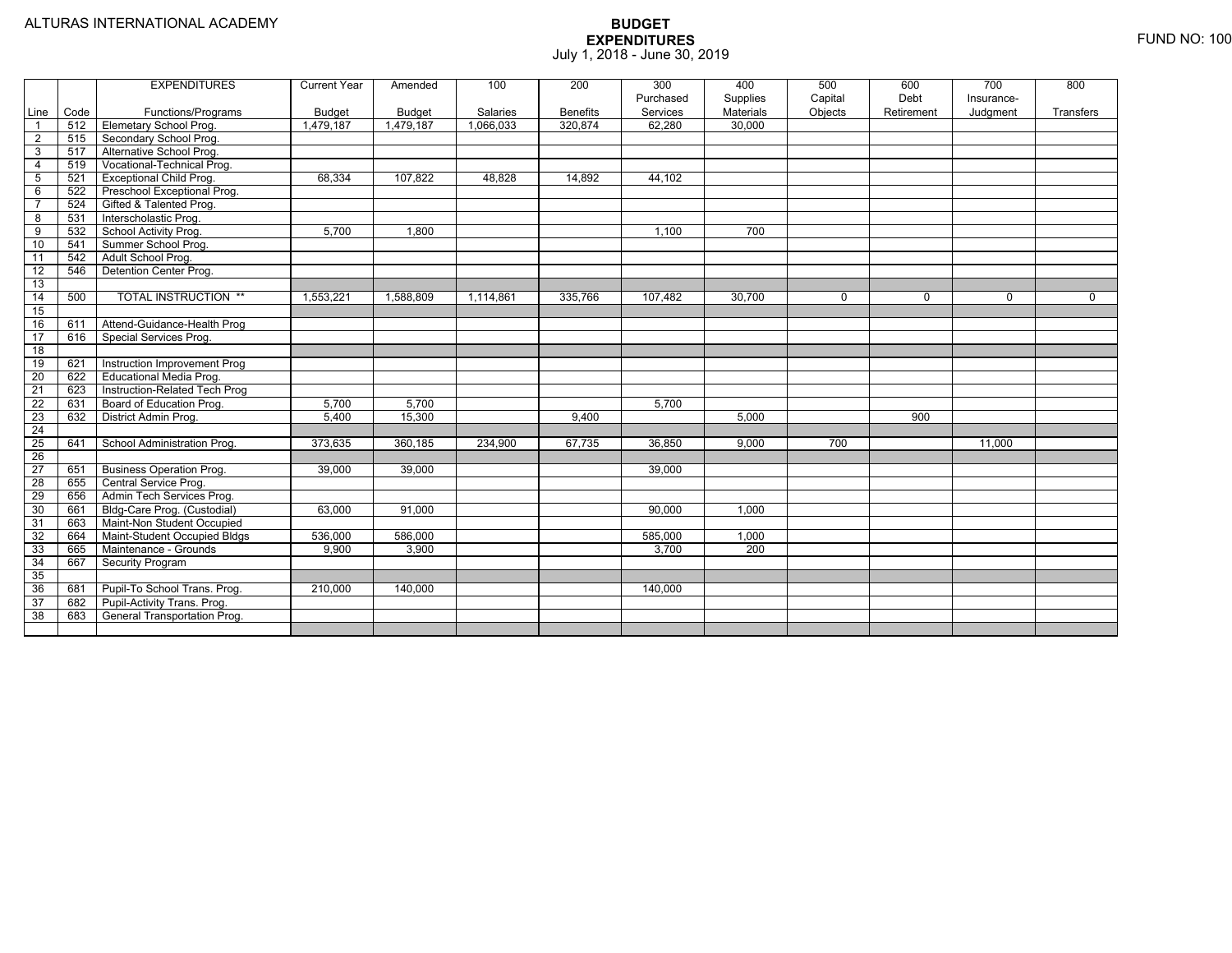|                         |      | <b>EXPENDITURES</b>             | <b>Current Year</b> | Amended       | 100       | 200             | 300<br>Purchased | 400<br>Supplies  | 500<br>Capital | 600<br>Debt | 700<br>Insurance- | 800         |
|-------------------------|------|---------------------------------|---------------------|---------------|-----------|-----------------|------------------|------------------|----------------|-------------|-------------------|-------------|
| Line                    | Code | Functions/Programs              | <b>Budget</b>       | <b>Budget</b> | Salaries  | <b>Benefits</b> | Services         | <b>Materials</b> | Objects        | Retirement  | Judgment          | Transfers   |
| $\overline{\mathbf{1}}$ | 512  | <b>Elemetary School Prog.</b>   | 1,479,187           | 1,479,187     | 1,066,033 | 320,874         | 62,280           | 30,000           |                |             |                   |             |
| 2                       | 515  | Secondary School Prog.          |                     |               |           |                 |                  |                  |                |             |                   |             |
| $\overline{3}$          | 517  | Alternative School Prog.        |                     |               |           |                 |                  |                  |                |             |                   |             |
| 4                       | 519  | Vocational-Technical Prog.      |                     |               |           |                 |                  |                  |                |             |                   |             |
| 5                       | 521  | <b>Exceptional Child Prog.</b>  | 68.334              | 107.822       | 48.828    | 14,892          | 44,102           |                  |                |             |                   |             |
| 6                       | 522  | Preschool Exceptional Prog.     |                     |               |           |                 |                  |                  |                |             |                   |             |
|                         | 524  | Gifted & Talented Prog.         |                     |               |           |                 |                  |                  |                |             |                   |             |
| 8                       | 531  | Interscholastic Prog.           |                     |               |           |                 |                  |                  |                |             |                   |             |
| 9                       | 532  | School Activity Prog.           | 5,700               | 1,800         |           |                 | 1,100            | 700              |                |             |                   |             |
| 10                      | 541  | Summer School Prog.             |                     |               |           |                 |                  |                  |                |             |                   |             |
| 11                      | 542  | Adult School Prog.              |                     |               |           |                 |                  |                  |                |             |                   |             |
| 12                      | 546  | Detention Center Prog.          |                     |               |           |                 |                  |                  |                |             |                   |             |
| 13                      |      |                                 |                     |               |           |                 |                  |                  |                |             |                   |             |
| 14                      | 500  | <b>TOTAL INSTRUCTION **</b>     | 1,553,221           | 1,588,809     | 1,114,861 | 335,766         | 107,482          | 30,700           | $\mathbf 0$    | $\Omega$    | $\mathbf{0}$      | $\mathbf 0$ |
| 15                      |      |                                 |                     |               |           |                 |                  |                  |                |             |                   |             |
| 16                      | 611  | Attend-Guidance-Health Prog     |                     |               |           |                 |                  |                  |                |             |                   |             |
| $\overline{17}$         | 616  | Special Services Prog.          |                     |               |           |                 |                  |                  |                |             |                   |             |
| 18                      |      |                                 |                     |               |           |                 |                  |                  |                |             |                   |             |
| 19                      | 621  | Instruction Improvement Prog    |                     |               |           |                 |                  |                  |                |             |                   |             |
| $\overline{20}$         | 622  | <b>Educational Media Prog.</b>  |                     |               |           |                 |                  |                  |                |             |                   |             |
| $\overline{21}$         | 623  | Instruction-Related Tech Prog   |                     |               |           |                 |                  |                  |                |             |                   |             |
| 22                      | 631  | Board of Education Prog.        | 5,700               | 5,700         |           |                 | 5.700            |                  |                |             |                   |             |
| 23                      | 632  | District Admin Prog.            | 5,400               | 15,300        |           | 9,400           |                  | 5,000            |                | 900         |                   |             |
| 24                      |      |                                 |                     |               |           |                 |                  |                  |                |             |                   |             |
| 25                      | 641  | School Administration Prog.     | 373,635             | 360,185       | 234,900   | 67,735          | 36,850           | 9,000            | 700            |             | 11,000            |             |
| 26                      |      |                                 |                     |               |           |                 |                  |                  |                |             |                   |             |
| 27                      | 651  | <b>Business Operation Prog.</b> | 39,000              | 39,000        |           |                 | 39.000           |                  |                |             |                   |             |
| 28                      | 655  | Central Service Prog.           |                     |               |           |                 |                  |                  |                |             |                   |             |
| 29                      | 656  | Admin Tech Services Prog.       |                     |               |           |                 |                  |                  |                |             |                   |             |
| 30                      | 661  | Bldg-Care Prog. (Custodial)     | 63,000              | 91,000        |           |                 | 90,000           | 1,000            |                |             |                   |             |
| 31                      | 663  | Maint-Non Student Occupied      |                     |               |           |                 |                  |                  |                |             |                   |             |
| 32                      | 664  | Maint-Student Occupied Bldgs    | 536,000             | 586,000       |           |                 | 585,000          | 1,000            |                |             |                   |             |
| 33                      | 665  | Maintenance - Grounds           | 9,900               | 3,900         |           |                 | 3,700            | 200              |                |             |                   |             |
| 34                      | 667  | <b>Security Program</b>         |                     |               |           |                 |                  |                  |                |             |                   |             |
| 35                      |      |                                 |                     |               |           |                 |                  |                  |                |             |                   |             |
| 36                      | 681  | Pupil-To School Trans. Prog.    | 210,000             | 140,000       |           |                 | 140,000          |                  |                |             |                   |             |
| 37                      | 682  | Pupil-Activity Trans. Prog.     |                     |               |           |                 |                  |                  |                |             |                   |             |
| 38                      | 683  | General Transportation Prog.    |                     |               |           |                 |                  |                  |                |             |                   |             |
|                         |      |                                 |                     |               |           |                 |                  |                  |                |             |                   |             |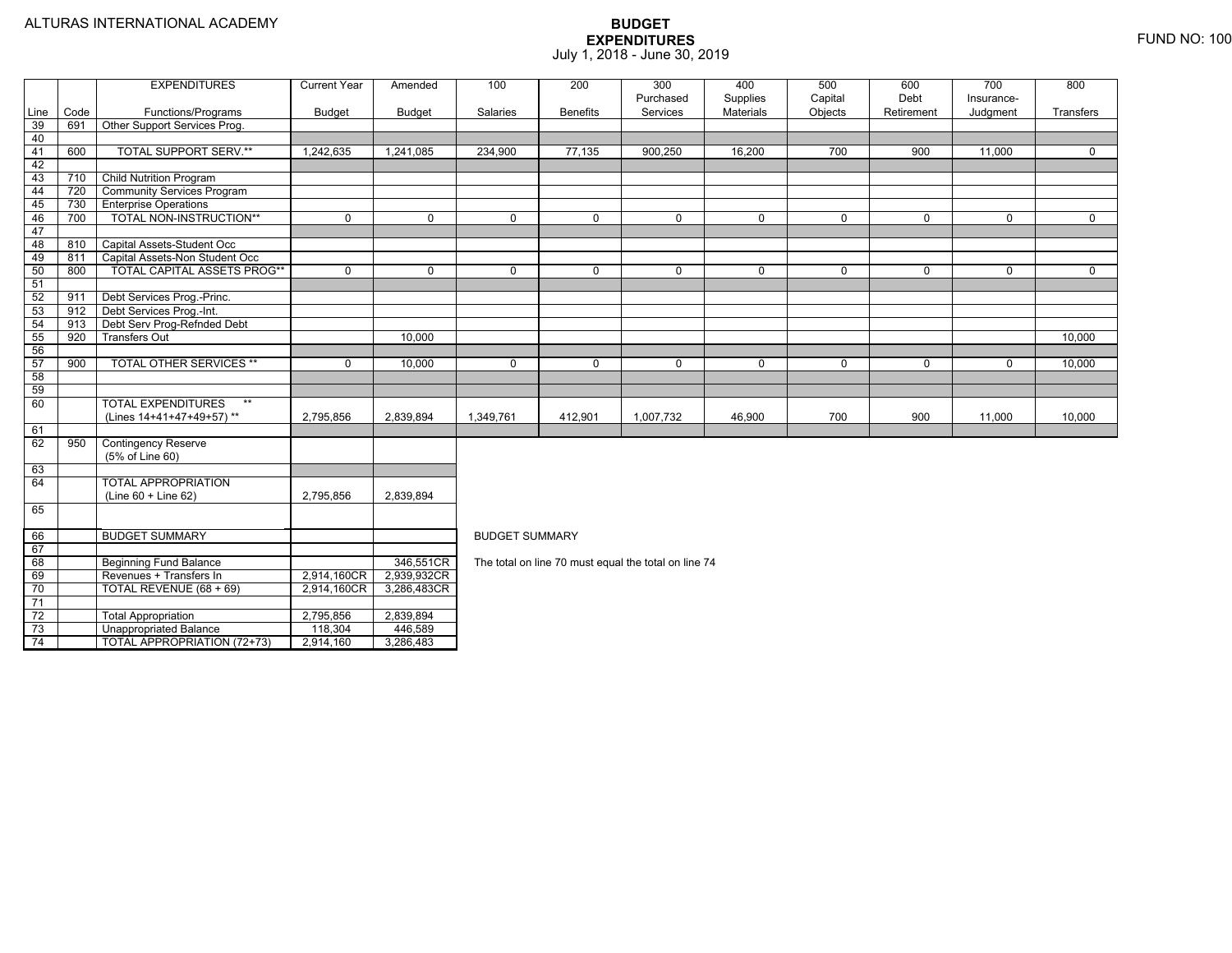|      |      | <b>EXPENDITURES</b>               | <b>Current Year</b> | Amended     | 100                   | 200             | 300                                                  | 400       | 500         | 600         | 700         | 800         |  |
|------|------|-----------------------------------|---------------------|-------------|-----------------------|-----------------|------------------------------------------------------|-----------|-------------|-------------|-------------|-------------|--|
|      |      |                                   |                     |             |                       |                 | Purchased                                            | Supplies  | Capital     | Debt        | Insurance-  |             |  |
| Line | Code | Functions/Programs                | <b>Budget</b>       | Budget      | Salaries              | <b>Benefits</b> | Services                                             | Materials | Objects     | Retirement  | Judgment    | Transfers   |  |
| 39   | 691  | Other Support Services Prog.      |                     |             |                       |                 |                                                      |           |             |             |             |             |  |
| 40   |      |                                   |                     |             |                       |                 |                                                      |           |             |             |             |             |  |
| 41   | 600  | <b>TOTAL SUPPORT SERV.**</b>      | 1,242,635           | 1,241,085   | 234,900               | 77,135          | 900,250                                              | 16,200    | 700         | 900         | 11,000      | 0           |  |
| 42   |      |                                   |                     |             |                       |                 |                                                      |           |             |             |             |             |  |
| 43   | 710  | Child Nutrition Program           |                     |             |                       |                 |                                                      |           |             |             |             |             |  |
| 44   | 720  | <b>Community Services Program</b> |                     |             |                       |                 |                                                      |           |             |             |             |             |  |
| 45   | 730  | <b>Enterprise Operations</b>      |                     |             |                       |                 |                                                      |           |             |             |             |             |  |
| 46   | 700  | TOTAL NON-INSTRUCTION**           | $\mathbf 0$         | $\mathbf 0$ | $\mathbf 0$           | $\mathbf 0$     | $\mathbf 0$                                          | 0         | $\mathbf 0$ | $\mathbf 0$ | $\mathbf 0$ | $\mathbf 0$ |  |
| 47   |      |                                   |                     |             |                       |                 |                                                      |           |             |             |             |             |  |
| 48   | 810  | Capital Assets-Student Occ        |                     |             |                       |                 |                                                      |           |             |             |             |             |  |
| 49   | 811  | Capital Assets-Non Student Occ    |                     |             |                       |                 |                                                      |           |             |             |             |             |  |
| 50   | 800  | TOTAL CAPITAL ASSETS PROG**       | $\mathbf 0$         | $\mathbf 0$ | $\mathbf 0$           | $\mathbf 0$     | $\mathbf 0$                                          | 0         | $\mathbf 0$ | $\mathbf 0$ | 0           | $\mathbf 0$ |  |
| 51   |      |                                   |                     |             |                       |                 |                                                      |           |             |             |             |             |  |
| 52   | 911  | Debt Services Prog.-Princ.        |                     |             |                       |                 |                                                      |           |             |             |             |             |  |
| 53   | 912  | Debt Services Prog.-Int.          |                     |             |                       |                 |                                                      |           |             |             |             |             |  |
| 54   | 913  | Debt Serv Prog-Refnded Debt       |                     |             |                       |                 |                                                      |           |             |             |             |             |  |
| 55   | 920  | <b>Transfers Out</b>              |                     | 10.000      | 10.000                |                 |                                                      |           |             |             |             |             |  |
| 56   |      |                                   |                     |             |                       |                 |                                                      |           |             |             |             |             |  |
| 57   | 900  | TOTAL OTHER SERVICES **           | $\mathbf 0$         | 10,000      | $\mathbf 0$           | $\mathbf 0$     | 0                                                    | 0         | $\mathbf 0$ | $\mathbf 0$ | 0           | 10,000      |  |
| 58   |      |                                   |                     |             |                       |                 |                                                      |           |             |             |             |             |  |
| 59   |      |                                   |                     |             |                       |                 |                                                      |           |             |             |             |             |  |
| 60   |      | <b>TOTAL EXPENDITURES</b>         |                     |             |                       |                 |                                                      |           |             |             |             |             |  |
|      |      | (Lines 14+41+47+49+57) **         | 2,795,856           | 2,839,894   | 1,349,761             | 412,901         | 1,007,732                                            | 46,900    | 700         | 900         | 11,000      | 10,000      |  |
| 61   |      |                                   |                     |             |                       |                 |                                                      |           |             |             |             |             |  |
| 62   | 950  | <b>Contingency Reserve</b>        |                     |             |                       |                 |                                                      |           |             |             |             |             |  |
|      |      | (5% of Line 60)                   |                     |             |                       |                 |                                                      |           |             |             |             |             |  |
| 63   |      |                                   |                     |             |                       |                 |                                                      |           |             |             |             |             |  |
| 64   |      | <b>TOTAL APPROPRIATION</b>        |                     |             |                       |                 |                                                      |           |             |             |             |             |  |
|      |      | (Line 60 + Line 62)               | 2,795,856           | 2,839,894   |                       |                 |                                                      |           |             |             |             |             |  |
| 65   |      |                                   |                     |             |                       |                 |                                                      |           |             |             |             |             |  |
|      |      |                                   |                     |             |                       |                 |                                                      |           |             |             |             |             |  |
| 66   |      | <b>BUDGET SUMMARY</b>             |                     |             | <b>BUDGET SUMMARY</b> |                 |                                                      |           |             |             |             |             |  |
| 67   |      |                                   |                     |             |                       |                 |                                                      |           |             |             |             |             |  |
| 68   |      | <b>Beginning Fund Balance</b>     |                     | 346,551CR   |                       |                 | The total on line 70 must equal the total on line 74 |           |             |             |             |             |  |
| 69   |      | Revenues + Transfers In           | 2,914,160CR         | 2,939,932CR |                       |                 |                                                      |           |             |             |             |             |  |
| 70   |      | TOTAL REVENUE (68 + 69)           | 2,914,160CR         | 3,286,483CR |                       |                 |                                                      |           |             |             |             |             |  |
| 71   |      |                                   |                     |             |                       |                 |                                                      |           |             |             |             |             |  |
| 72   |      | <b>Total Appropriation</b>        | 2,795,856           | 2,839,894   |                       |                 |                                                      |           |             |             |             |             |  |
| 73   |      | <b>Unappropriated Balance</b>     | 118,304             | 446,589     |                       |                 |                                                      |           |             |             |             |             |  |
| 74   |      | TOTAL APPROPRIATION (72+73)       | 2,914,160           | 3,286,483   |                       |                 |                                                      |           |             |             |             |             |  |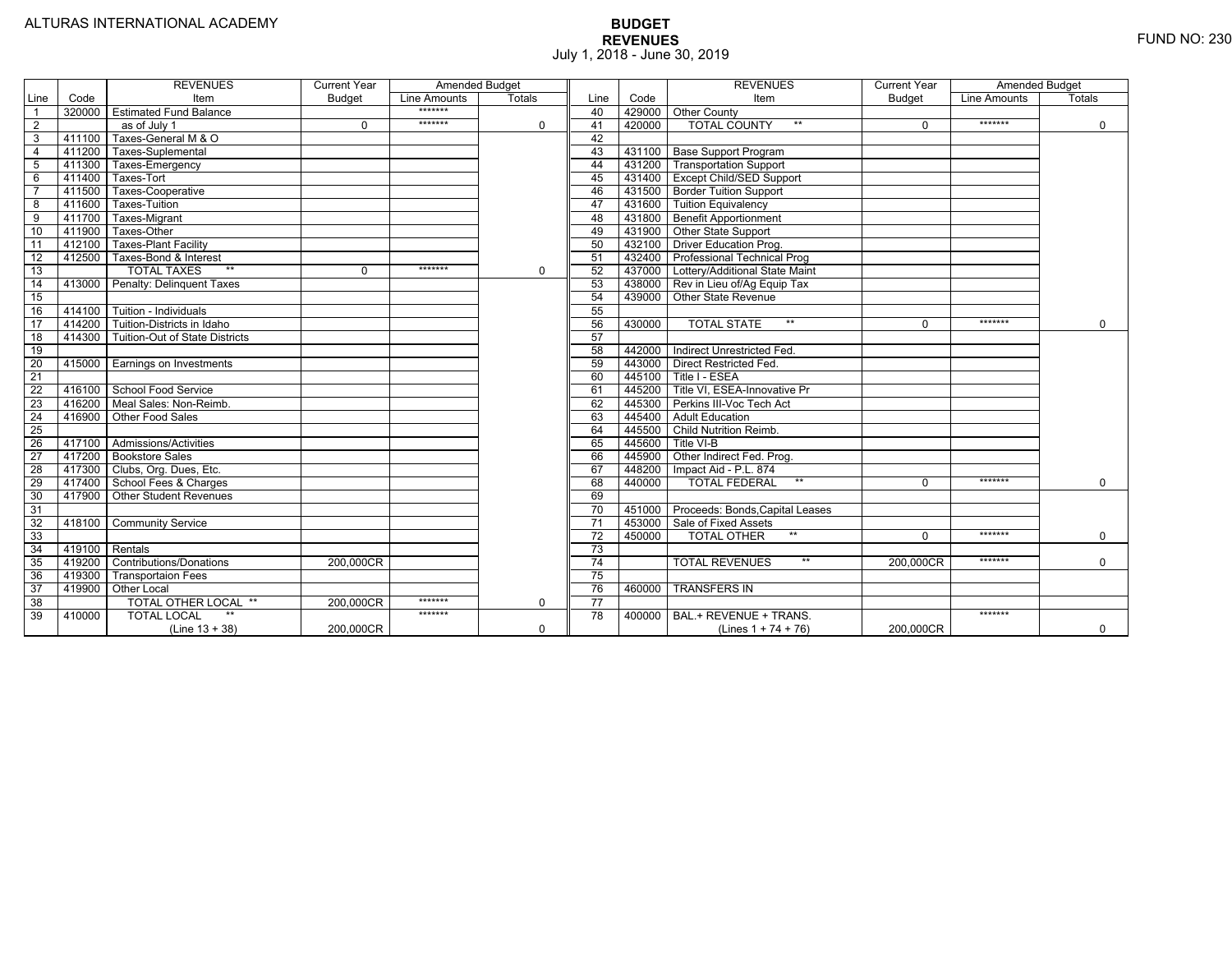|                 |                | <b>REVENUES</b>                         | <b>Current Year</b> | Amended Budget |               |                 |        | <b>REVENUES</b>                          | <b>Current Year</b> | <b>Amended Budget</b> |               |
|-----------------|----------------|-----------------------------------------|---------------------|----------------|---------------|-----------------|--------|------------------------------------------|---------------------|-----------------------|---------------|
| Line            | Code           | Item                                    | <b>Budget</b>       | Line Amounts   | <b>Totals</b> | Line            | Code   | Item                                     | <b>Budget</b>       | Line Amounts          | <b>Totals</b> |
|                 |                | 320000 Estimated Fund Balance           |                     | $******$       |               | 40              |        | 429000 Other County                      |                     |                       |               |
| $\overline{2}$  |                | as of July 1                            | $\Omega$            | *******        | $\mathbf 0$   | 41              | 420000 | <b>TOTAL COUNTY</b><br>$***$             | $\Omega$            | *******               | $\mathbf 0$   |
| 3               | 411100         | Taxes-General M & O                     |                     |                |               | 42              |        |                                          |                     |                       |               |
| $\overline{4}$  | 411200         | Taxes-Suplemental                       |                     |                |               | 43              |        | 431100   Base Support Program            |                     |                       |               |
| 5               |                | 411300 Taxes-Emergency                  |                     |                |               | 44              |        | 431200   Transportation Support          |                     |                       |               |
| 6               | 411400         | Taxes-Tort                              |                     |                |               | 45              |        | 431400 Except Child/SED Support          |                     |                       |               |
|                 | 411500         | Taxes-Cooperative                       |                     |                |               | 46              |        | 431500   Border Tuition Support          |                     |                       |               |
| 8               | 411600         | Taxes-Tuition                           |                     |                |               | 47              |        | 431600 Tuition Equivalency               |                     |                       |               |
| 9               | 411700         | Taxes-Migrant                           |                     |                |               | 48              |        | 431800 Benefit Apportionment             |                     |                       |               |
| 10              | 411900         | Taxes-Other                             |                     |                |               | 49              |        | 431900 Other State Support               |                     |                       |               |
| 11              | 412100         | <b>Taxes-Plant Facility</b>             |                     |                |               | 50              | 432100 | <b>Driver Education Prog.</b>            |                     |                       |               |
| 12              | 412500         | Taxes-Bond & Interest                   |                     |                |               | 51              |        | 432400 Professional Technical Prog       |                     |                       |               |
| 13              |                | $**$<br><b>TOTAL TAXES</b>              | 0                   | *******        | $\mathbf 0$   | 52              |        | 437000 Lottery/Additional State Maint    |                     |                       |               |
| 14              |                | 413000 Penalty: Delinguent Taxes        |                     |                |               | 53              |        | 438000 Rev in Lieu of/Ag Equip Tax       |                     |                       |               |
| 15              |                |                                         |                     |                |               | 54              | 439000 | Other State Revenue                      |                     |                       |               |
| 16              |                | 414100 Tuition - Individuals            |                     |                |               | 55              |        |                                          |                     |                       |               |
| 17              |                | 414200 Tuition-Districts in Idaho       |                     |                |               | 56              | 430000 | $**$<br><b>TOTAL STATE</b>               | U                   | *******               | $\Omega$      |
| 18              |                | 414300   Tuition-Out of State Districts |                     |                |               | 57              |        |                                          |                     |                       |               |
| 19              |                |                                         |                     |                |               | 58              |        | 442000   Indirect Unrestricted Fed.      |                     |                       |               |
| 20              |                | 415000 Earnings on Investments          |                     |                |               | 59              |        | 443000 Direct Restricted Fed.            |                     |                       |               |
| 21              |                |                                         |                     |                |               | 60              |        | 445100 Title I - ESEA                    |                     |                       |               |
| 22              |                | 416100 School Food Service              |                     |                |               | 61              | 445200 | Title VI. ESEA-Innovative Pr             |                     |                       |               |
| 23              |                | 416200   Meal Sales: Non-Reimb.         |                     |                |               | 62              |        | 445300 Perkins III-Voc Tech Act          |                     |                       |               |
| 24              |                | 416900 Other Food Sales                 |                     |                |               | 63              |        | 445400 Adult Education                   |                     |                       |               |
| $\overline{25}$ |                |                                         |                     |                |               | 64              | 445500 | <b>Child Nutrition Reimb.</b>            |                     |                       |               |
| 26              |                | 417100 Admissions/Activities            |                     |                |               | 65              | 445600 | Title VI-B                               |                     |                       |               |
| $\overline{27}$ |                | 417200 Bookstore Sales                  |                     |                |               | 66              | 445900 | Other Indirect Fed. Prog.                |                     |                       |               |
| 28              |                | 417300 Clubs, Org. Dues, Etc.           |                     |                |               | 67              | 448200 | Impact Aid - P.L. 874                    |                     |                       |               |
| $\overline{29}$ |                | 417400 School Fees & Charges            |                     |                |               | 68              | 440000 | $***$<br><b>TOTAL FEDERAL</b>            | $\Omega$            | *******               | $\mathbf 0$   |
| 30              |                | 417900   Other Student Revenues         |                     |                |               | 69              |        |                                          |                     |                       |               |
| 31              |                |                                         |                     |                |               | $\overline{70}$ |        | 451000   Proceeds: Bonds, Capital Leases |                     |                       |               |
| $\overline{32}$ |                | 418100 Community Service                |                     |                |               | $\overline{71}$ |        | 453000 Sale of Fixed Assets              |                     |                       |               |
| 33              |                |                                         |                     |                |               | $\overline{72}$ | 450000 | <b>TOTAL OTHER</b><br>$**$               | $\Omega$            | *******               | $\mathbf 0$   |
| 34              | 419100 Rentals |                                         |                     |                |               | 73              |        |                                          |                     |                       |               |
| 35              |                | 419200 Contributions/Donations          | 200.000CR           |                |               | 74              |        | <b>TOTAL REVENUES</b><br>$**$            | 200.000CR           | *******               | $\Omega$      |
| 36              | 419300         | <b>Transportaion Fees</b>               |                     |                |               | 75              |        |                                          |                     |                       |               |
| 37              |                | 419900 Other Local                      |                     |                |               | 76              | 460000 | <b>TRANSFERS IN</b>                      |                     |                       |               |
| 38              |                | TOTAL OTHER LOCAL **                    | 200,000CR           | *******        | $\mathbf 0$   | $\overline{77}$ |        |                                          |                     |                       |               |
| 39              | 410000         | <b>TOTAL LOCAL</b>                      |                     | *******        |               | 78              | 400000 | BAL.+ REVENUE + TRANS.                   |                     | *******               |               |
|                 |                | $(Line 13 + 38)$                        | 200.000CR           |                | $\Omega$      |                 |        | (Lines $1 + 74 + 76$ )                   | 200.000CR           |                       | $\mathbf 0$   |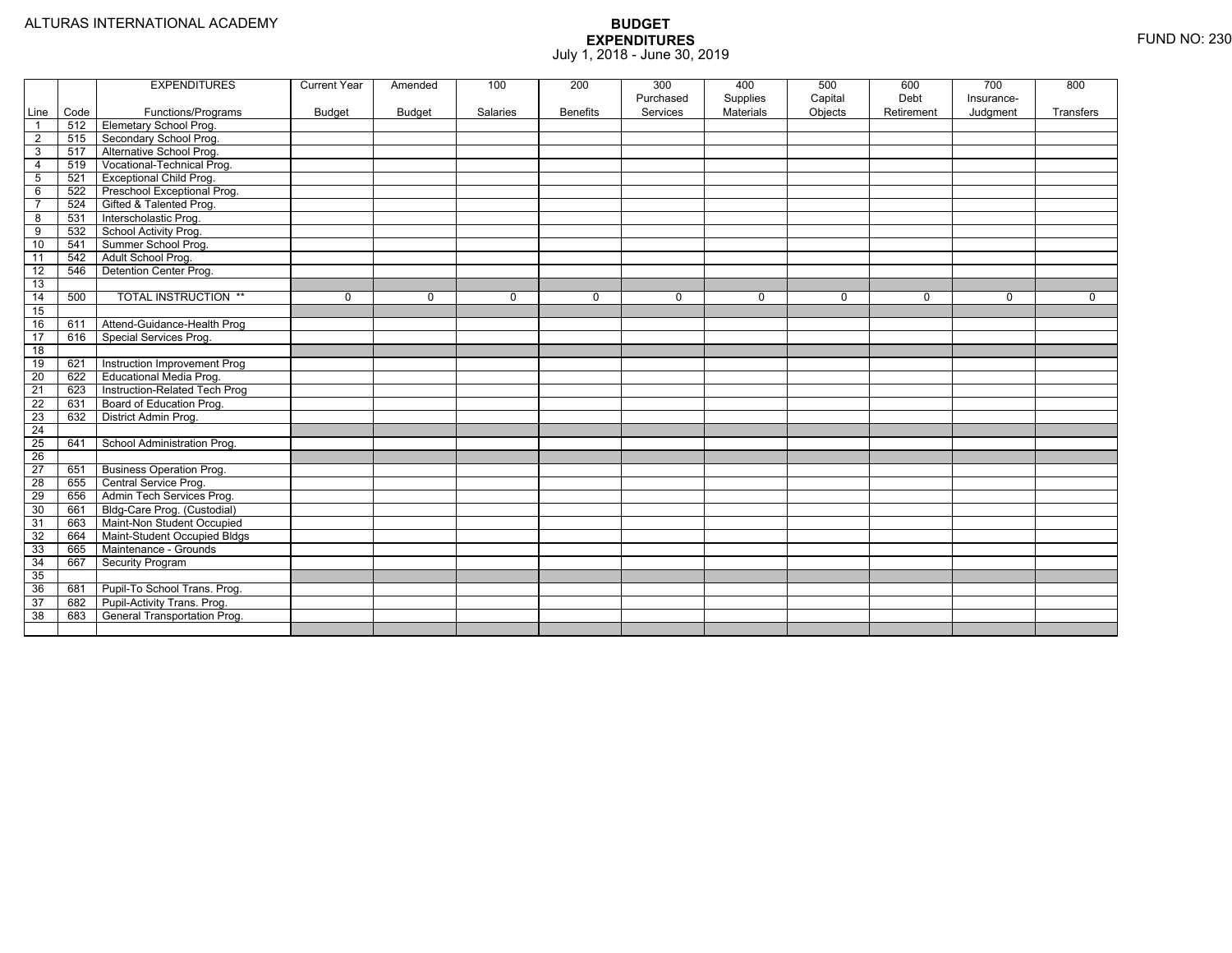|                 |      | <b>EXPENDITURES</b>             | <b>Current Year</b> | Amended       | 100      | 200             | 300<br>Purchased | 400<br>Supplies | 500<br>Capital | 600<br>Debt | 700<br>Insurance- | 800       |
|-----------------|------|---------------------------------|---------------------|---------------|----------|-----------------|------------------|-----------------|----------------|-------------|-------------------|-----------|
| Line            | Code | Functions/Programs              | <b>Budget</b>       | <b>Budget</b> | Salaries | <b>Benefits</b> | Services         | Materials       | Objects        | Retirement  | Judgment          | Transfers |
| $\overline{1}$  | 512  | Elemetary School Prog.          |                     |               |          |                 |                  |                 |                |             |                   |           |
| $\overline{2}$  | 515  | Secondary School Prog.          |                     |               |          |                 |                  |                 |                |             |                   |           |
| $\overline{3}$  | 517  | Alternative School Prog.        |                     |               |          |                 |                  |                 |                |             |                   |           |
| $\overline{4}$  | 519  | Vocational-Technical Prog.      |                     |               |          |                 |                  |                 |                |             |                   |           |
| 5               | 521  | <b>Exceptional Child Prog.</b>  |                     |               |          |                 |                  |                 |                |             |                   |           |
| 6               | 522  | Preschool Exceptional Prog.     |                     |               |          |                 |                  |                 |                |             |                   |           |
| $\overline{7}$  | 524  | Gifted & Talented Prog.         |                     |               |          |                 |                  |                 |                |             |                   |           |
| 8               | 531  | Interscholastic Prog.           |                     |               |          |                 |                  |                 |                |             |                   |           |
| 9               | 532  | School Activity Prog.           |                     |               |          |                 |                  |                 |                |             |                   |           |
| 10              | 541  | Summer School Prog.             |                     |               |          |                 |                  |                 |                |             |                   |           |
| 11              | 542  | Adult School Prog.              |                     |               |          |                 |                  |                 |                |             |                   |           |
| $\overline{12}$ | 546  | Detention Center Prog.          |                     |               |          |                 |                  |                 |                |             |                   |           |
| 13              |      |                                 |                     |               |          |                 |                  |                 |                |             |                   |           |
| 14              | 500  | <b>TOTAL INSTRUCTION **</b>     | 0                   | $\mathbf 0$   | 0        | $\mathbf{0}$    | $\mathbf 0$      | $\mathbf 0$     | 0              | 0           | 0                 | 0         |
| 15              |      |                                 |                     |               |          |                 |                  |                 |                |             |                   |           |
| 16              | 611  | Attend-Guidance-Health Prog     |                     |               |          |                 |                  |                 |                |             |                   |           |
| 17              | 616  | Special Services Prog.          |                     |               |          |                 |                  |                 |                |             |                   |           |
| $\overline{18}$ |      |                                 |                     |               |          |                 |                  |                 |                |             |                   |           |
| 19              | 621  | Instruction Improvement Prog    |                     |               |          |                 |                  |                 |                |             |                   |           |
| 20              | 622  | Educational Media Prog.         |                     |               |          |                 |                  |                 |                |             |                   |           |
| 21              | 623  | Instruction-Related Tech Prog   |                     |               |          |                 |                  |                 |                |             |                   |           |
| 22              | 631  | Board of Education Prog.        |                     |               |          |                 |                  |                 |                |             |                   |           |
| 23              | 632  | District Admin Prog.            |                     |               |          |                 |                  |                 |                |             |                   |           |
| $\overline{24}$ |      |                                 |                     |               |          |                 |                  |                 |                |             |                   |           |
| 25              | 641  | School Administration Prog.     |                     |               |          |                 |                  |                 |                |             |                   |           |
| 26              |      |                                 |                     |               |          |                 |                  |                 |                |             |                   |           |
| 27              | 651  | <b>Business Operation Prog.</b> |                     |               |          |                 |                  |                 |                |             |                   |           |
| $\overline{28}$ | 655  | Central Service Prog.           |                     |               |          |                 |                  |                 |                |             |                   |           |
| 29              | 656  | Admin Tech Services Prog.       |                     |               |          |                 |                  |                 |                |             |                   |           |
| 30              | 661  | Bldg-Care Prog. (Custodial)     |                     |               |          |                 |                  |                 |                |             |                   |           |
| 31              | 663  | Maint-Non Student Occupied      |                     |               |          |                 |                  |                 |                |             |                   |           |
| 32              | 664  | Maint-Student Occupied Bldgs    |                     |               |          |                 |                  |                 |                |             |                   |           |
| 33              | 665  | Maintenance - Grounds           |                     |               |          |                 |                  |                 |                |             |                   |           |
| 34              | 667  | Security Program                |                     |               |          |                 |                  |                 |                |             |                   |           |
| 35              |      |                                 |                     |               |          |                 |                  |                 |                |             |                   |           |
| 36              | 681  | Pupil-To School Trans. Prog.    |                     |               |          |                 |                  |                 |                |             |                   |           |
| 37              | 682  | Pupil-Activity Trans. Prog.     |                     |               |          |                 |                  |                 |                |             |                   |           |
| 38              | 683  | General Transportation Prog.    |                     |               |          |                 |                  |                 |                |             |                   |           |
|                 |      |                                 |                     |               |          |                 |                  |                 |                |             |                   |           |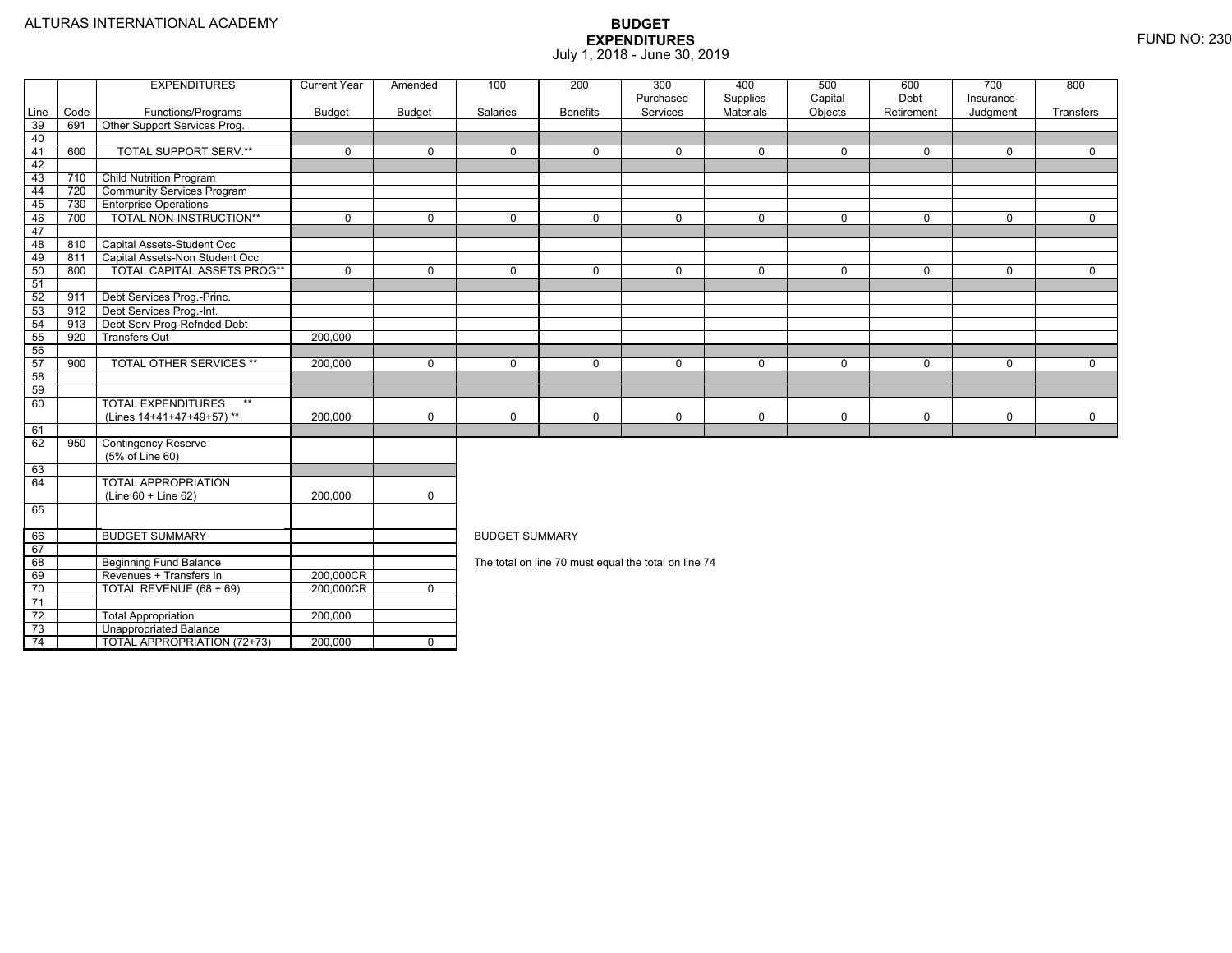4 | | TOTAL APPROPRIATION (72+73) | 200,000 | 0

|      |      | <b>EXPENDITURES</b>                | <b>Current Year</b> | Amended        | 100                   | 200             | 300                                                  | 400                          | 500                | 600                | 700                    | 800         |  |
|------|------|------------------------------------|---------------------|----------------|-----------------------|-----------------|------------------------------------------------------|------------------------------|--------------------|--------------------|------------------------|-------------|--|
| Line | Code | Functions/Programs                 | <b>Budget</b>       | <b>Budget</b>  | Salaries              | <b>Benefits</b> | Purchased<br>Services                                | Supplies<br><b>Materials</b> | Capital<br>Objects | Debt<br>Retirement | Insurance-<br>Judgment | Transfers   |  |
| 39   | 691  | Other Support Services Prog.       |                     |                |                       |                 |                                                      |                              |                    |                    |                        |             |  |
| 40   |      |                                    |                     |                |                       |                 |                                                      |                              |                    |                    |                        |             |  |
| 41   | 600  | <b>TOTAL SUPPORT SERV.**</b>       | $\mathbf 0$         | $\Omega$       | $\Omega$              | $\Omega$        | $\Omega$                                             | $\mathbf 0$                  | $\Omega$           | $\Omega$           | $\Omega$               | $\Omega$    |  |
| 42   |      |                                    |                     |                |                       |                 |                                                      |                              |                    |                    |                        |             |  |
| 43   | 710  | <b>Child Nutrition Program</b>     |                     |                |                       |                 |                                                      |                              |                    |                    |                        |             |  |
| 44   | 720  | <b>Community Services Program</b>  |                     |                |                       |                 |                                                      |                              |                    |                    |                        |             |  |
| 45   | 730  | <b>Enterprise Operations</b>       |                     |                |                       |                 |                                                      |                              |                    |                    |                        |             |  |
| 46   | 700  | TOTAL NON-INSTRUCTION**            | $\mathbf 0$         | $\Omega$       | $\Omega$              | $\Omega$        | 0                                                    | $\mathbf 0$                  | $\Omega$           | $\Omega$           | $\Omega$               | $\mathbf 0$ |  |
| 47   |      |                                    |                     |                |                       |                 |                                                      |                              |                    |                    |                        |             |  |
| 48   | 810  | Capital Assets-Student Occ         |                     |                |                       |                 |                                                      |                              |                    |                    |                        |             |  |
| 49   | 811  | Capital Assets-Non Student Occ     |                     |                |                       |                 |                                                      |                              |                    |                    |                        |             |  |
| 50   | 800  | <b>TOTAL CAPITAL ASSETS PROG**</b> | $\mathbf 0$         | $\Omega$       | $\Omega$              | $\Omega$        | $\Omega$                                             | $\mathbf 0$                  | $\mathbf 0$        | $\Omega$           | $\Omega$               | $\Omega$    |  |
| 51   |      |                                    |                     |                |                       |                 |                                                      |                              |                    |                    |                        |             |  |
| 52   | 911  | Debt Services Prog.-Princ.         |                     |                |                       |                 |                                                      |                              |                    |                    |                        |             |  |
| 53   | 912  | Debt Services Prog.-Int.           |                     |                |                       |                 |                                                      |                              |                    |                    |                        |             |  |
| 54   | 913  | Debt Serv Prog-Refnded Debt        |                     |                |                       |                 |                                                      |                              |                    |                    |                        |             |  |
| 55   | 920  | <b>Transfers Out</b>               | 200,000             |                |                       |                 |                                                      |                              |                    |                    |                        |             |  |
| 56   |      |                                    |                     |                |                       |                 |                                                      |                              |                    |                    |                        |             |  |
| 57   | 900  | <b>TOTAL OTHER SERVICES **</b>     | 200,000             | $\mathbf 0$    | $\Omega$              | $\Omega$        | $\Omega$                                             | $\mathbf 0$                  | $\Omega$           | $\Omega$           | $\Omega$               | $\mathbf 0$ |  |
| 58   |      |                                    |                     |                |                       |                 |                                                      |                              |                    |                    |                        |             |  |
| 59   |      |                                    |                     |                |                       |                 |                                                      |                              |                    |                    |                        |             |  |
| 60   |      | <b>TOTAL EXPENDITURES</b><br>$***$ |                     |                |                       |                 |                                                      |                              |                    |                    |                        |             |  |
|      |      | (Lines 14+41+47+49+57)**           | 200,000             | $\mathbf 0$    | 0                     | $\mathbf 0$     | 0                                                    | 0                            | 0                  | $\mathbf 0$        | $\mathbf 0$            | $\mathbf 0$ |  |
| 61   |      |                                    |                     |                |                       |                 |                                                      |                              |                    |                    |                        |             |  |
| 62   | 950  | <b>Contingency Reserve</b>         |                     |                |                       |                 |                                                      |                              |                    |                    |                        |             |  |
|      |      | (5% of Line 60)                    |                     |                |                       |                 |                                                      |                              |                    |                    |                        |             |  |
| 63   |      |                                    |                     |                |                       |                 |                                                      |                              |                    |                    |                        |             |  |
| 64   |      | <b>TOTAL APPROPRIATION</b>         |                     |                |                       |                 |                                                      |                              |                    |                    |                        |             |  |
|      |      | $(Line 60 + Line 62)$              | 200,000             | $\mathbf 0$    |                       |                 |                                                      |                              |                    |                    |                        |             |  |
| 65   |      |                                    |                     |                |                       |                 |                                                      |                              |                    |                    |                        |             |  |
| 66   |      | <b>BUDGET SUMMARY</b>              |                     |                | <b>BUDGET SUMMARY</b> |                 |                                                      |                              |                    |                    |                        |             |  |
| 67   |      |                                    |                     |                |                       |                 |                                                      |                              |                    |                    |                        |             |  |
| 68   |      | <b>Beginning Fund Balance</b>      |                     |                |                       |                 | The total on line 70 must equal the total on line 74 |                              |                    |                    |                        |             |  |
| 69   |      | Revenues + Transfers In            | 200,000CR           |                |                       |                 |                                                      |                              |                    |                    |                        |             |  |
| 70   |      | TOTAL REVENUE (68 + 69)            | 200,000CR           | $\overline{0}$ |                       |                 |                                                      |                              |                    |                    |                        |             |  |
| 71   |      |                                    |                     |                |                       |                 |                                                      |                              |                    |                    |                        |             |  |
| 72   |      | <b>Total Appropriation</b>         | 200,000             |                |                       |                 |                                                      |                              |                    |                    |                        |             |  |
| 73   |      | Unappropriated Balance             |                     |                |                       |                 |                                                      |                              |                    |                    |                        |             |  |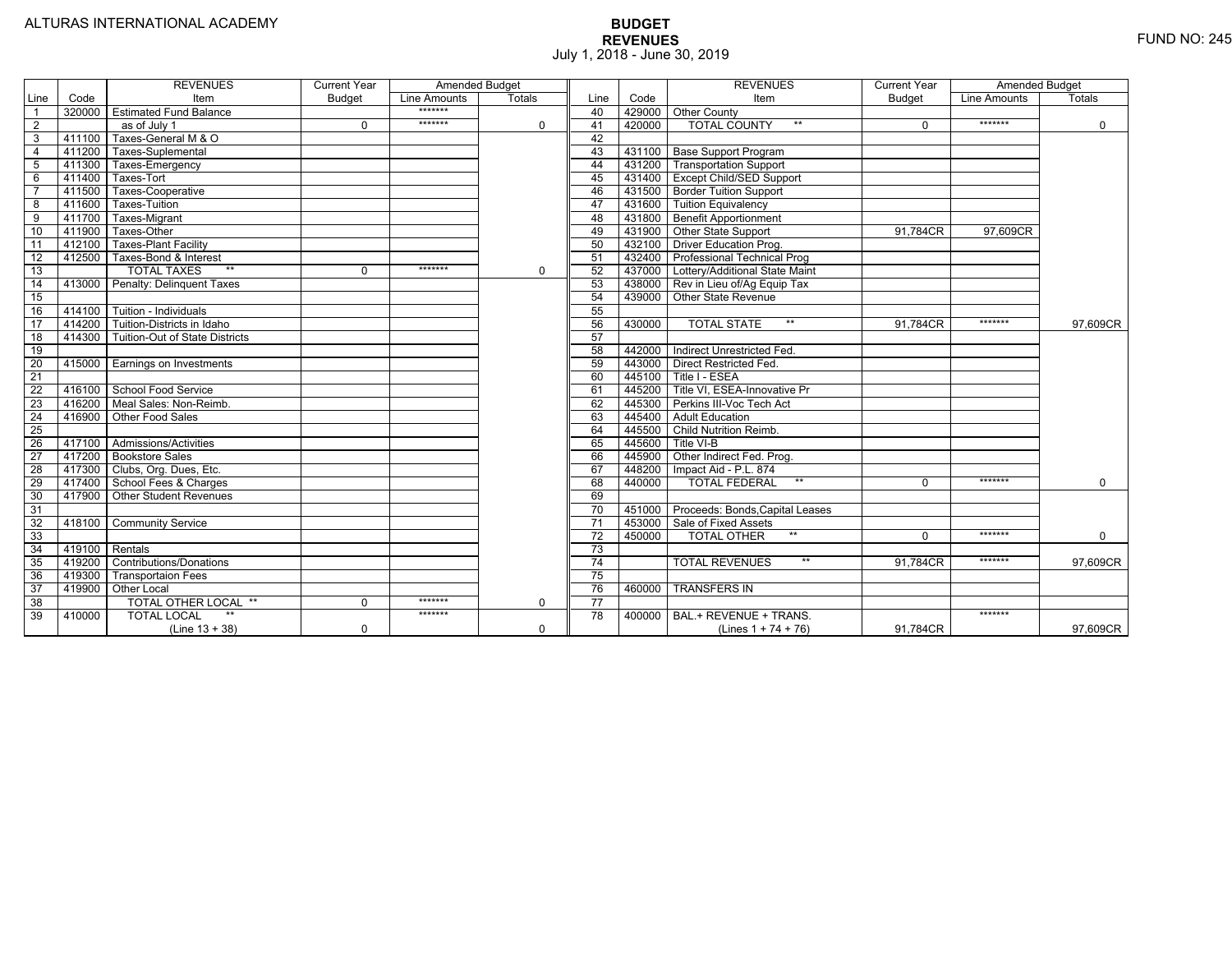|                 |                | <b>REVENUES</b>                         | <b>Current Year</b> | <b>Amended Budget</b> |               |                 |        | <b>REVENUES</b>                        | <b>Current Year</b> | <b>Amended Budget</b> |             |
|-----------------|----------------|-----------------------------------------|---------------------|-----------------------|---------------|-----------------|--------|----------------------------------------|---------------------|-----------------------|-------------|
| Line            | Code           | Item                                    | <b>Budget</b>       | Line Amounts          | <b>Totals</b> | Line            | Code   | Item                                   | <b>Budget</b>       | Line Amounts          | Totals      |
|                 |                | 320000 Estimated Fund Balance           |                     | *******               |               | 40              |        | 429000 Other County                    |                     |                       |             |
| $\overline{2}$  |                | as of July 1                            | $\Omega$            | *******               | 0             | 41              | 420000 | <b>TOTAL COUNTY</b><br>$***$           | $\Omega$            | *******               | $\mathbf 0$ |
| 3               | 411100         | Taxes-General M & O                     |                     |                       |               | 42              |        |                                        |                     |                       |             |
| $\overline{4}$  | 411200         | Taxes-Suplemental                       |                     |                       |               | 43              |        | 431100   Base Support Program          |                     |                       |             |
| 5               |                | 411300 Taxes-Emergency                  |                     |                       |               | 44              |        | 431200 Transportation Support          |                     |                       |             |
| 6               | 411400         | Taxes-Tort                              |                     |                       |               | 45              |        | 431400 Except Child/SED Support        |                     |                       |             |
|                 | 411500         | Taxes-Cooperative                       |                     |                       |               | 46              |        | 431500   Border Tuition Support        |                     |                       |             |
| 8               | 411600         | <b>Taxes-Tuition</b>                    |                     |                       |               | 47              |        | 431600 Tuition Equivalency             |                     |                       |             |
| 9               | 411700         | Taxes-Migrant                           |                     |                       |               | 48              |        | 431800 Benefit Apportionment           |                     |                       |             |
| 10              | 411900         | Taxes-Other                             |                     |                       |               | 49              |        | 431900 Other State Support             | 91.784CR            | 97.609CR              |             |
| 11              | 412100         | <b>Taxes-Plant Facility</b>             |                     |                       |               | 50              |        | 432100 Driver Education Prog.          |                     |                       |             |
| 12              | 412500         | Taxes-Bond & Interest                   |                     |                       |               | 51              |        | 432400 Professional Technical Prog     |                     |                       |             |
| 13              |                | $**$<br><b>TOTAL TAXES</b>              | $\Omega$            | *******               | $\mathbf 0$   | 52              |        | 437000 Lottery/Additional State Maint  |                     |                       |             |
| 14              |                | 413000 Penalty: Delinguent Taxes        |                     |                       |               | 53              |        | 438000 Rev in Lieu of/Ag Equip Tax     |                     |                       |             |
| 15              |                |                                         |                     |                       |               | 54              |        | 439000 Other State Revenue             |                     |                       |             |
| 16              |                | 414100 Tuition - Individuals            |                     |                       |               | 55              |        |                                        |                     |                       |             |
| 17              |                | 414200 Tuition-Districts in Idaho       |                     |                       |               | 56              | 430000 | $**$<br><b>TOTAL STATE</b>             | 91,784CR            | *******               | 97,609CR    |
| $\overline{18}$ |                | 414300   Tuition-Out of State Districts |                     |                       |               | 57              |        |                                        |                     |                       |             |
| 19              |                |                                         |                     |                       |               | 58              |        | 442000   Indirect Unrestricted Fed.    |                     |                       |             |
| 20              |                | 415000 Earnings on Investments          |                     |                       |               | 59              |        | 443000 Direct Restricted Fed.          |                     |                       |             |
| 21              |                |                                         |                     |                       |               | 60              |        | 445100 Title I - ESEA                  |                     |                       |             |
| 22              |                | 416100 School Food Service              |                     |                       |               | 61              |        | 445200 Title VI. ESEA-Innovative Pr    |                     |                       |             |
| 23              |                | 416200   Meal Sales: Non-Reimb.         |                     |                       |               | 62              |        | 445300 Perkins III-Voc Tech Act        |                     |                       |             |
| 24              |                | 416900 Other Food Sales                 |                     |                       |               | 63              |        | 445400 Adult Education                 |                     |                       |             |
| $\overline{25}$ |                |                                         |                     |                       |               | 64              |        | 445500 Child Nutrition Reimb.          |                     |                       |             |
| 26              |                | 417100 Admissions/Activities            |                     |                       |               | 65              | 445600 | Title VI-B                             |                     |                       |             |
| $\overline{27}$ |                | 417200 Bookstore Sales                  |                     |                       |               | 66              | 445900 | Other Indirect Fed. Prog.              |                     |                       |             |
| 28              |                | 417300 Clubs, Org. Dues, Etc.           |                     |                       |               | 67              | 448200 | Impact Aid - P.L. 874                  |                     |                       |             |
| $\overline{29}$ |                | 417400 School Fees & Charges            |                     |                       |               | 68              | 440000 | $***$<br><b>TOTAL FEDERAL</b>          | $\Omega$            | *******               | $\mathbf 0$ |
| 30              |                | 417900 Other Student Revenues           |                     |                       |               | 69              |        |                                        |                     |                       |             |
| 31              |                |                                         |                     |                       |               | 70              |        | 451000 Proceeds: Bonds, Capital Leases |                     |                       |             |
| $\overline{32}$ | 418100         | <b>Community Service</b>                |                     |                       |               | $\overline{71}$ | 453000 | Sale of Fixed Assets                   |                     |                       |             |
| 33              |                |                                         |                     |                       |               | 72              | 450000 | $**$<br><b>TOTAL OTHER</b>             | $\Omega$            | *******               | $\mathbf 0$ |
| 34              | 419100 Rentals |                                         |                     |                       |               | 73              |        |                                        |                     |                       |             |
| 35              | 419200         | <b>Contributions/Donations</b>          |                     |                       |               | 74              |        | $**$<br><b>TOTAL REVENUES</b>          | 91.784CR            | *******               | 97,609CR    |
| 36              | 419300         | <b>Transportaion Fees</b>               |                     |                       |               | 75              |        |                                        |                     |                       |             |
| 37              | 419900         | <b>Other Local</b>                      |                     |                       |               | 76              | 460000 | <b>TRANSFERS IN</b>                    |                     |                       |             |
| 38              |                | TOTAL OTHER LOCAL **                    | $\mathbf 0$         | *******               | $\Omega$      | $\overline{77}$ |        |                                        |                     |                       |             |
| 39              | 410000         | <b>TOTAL LOCAL</b>                      |                     | *******               |               | $\overline{78}$ |        | 400000 BAL.+ REVENUE + TRANS.          |                     | *******               |             |
|                 |                | $(Line 13 + 38)$                        | $\Omega$            |                       | $\Omega$      |                 |        | (Lines $1 + 74 + 76$ )                 | 91.784CR            |                       | 97,609CR    |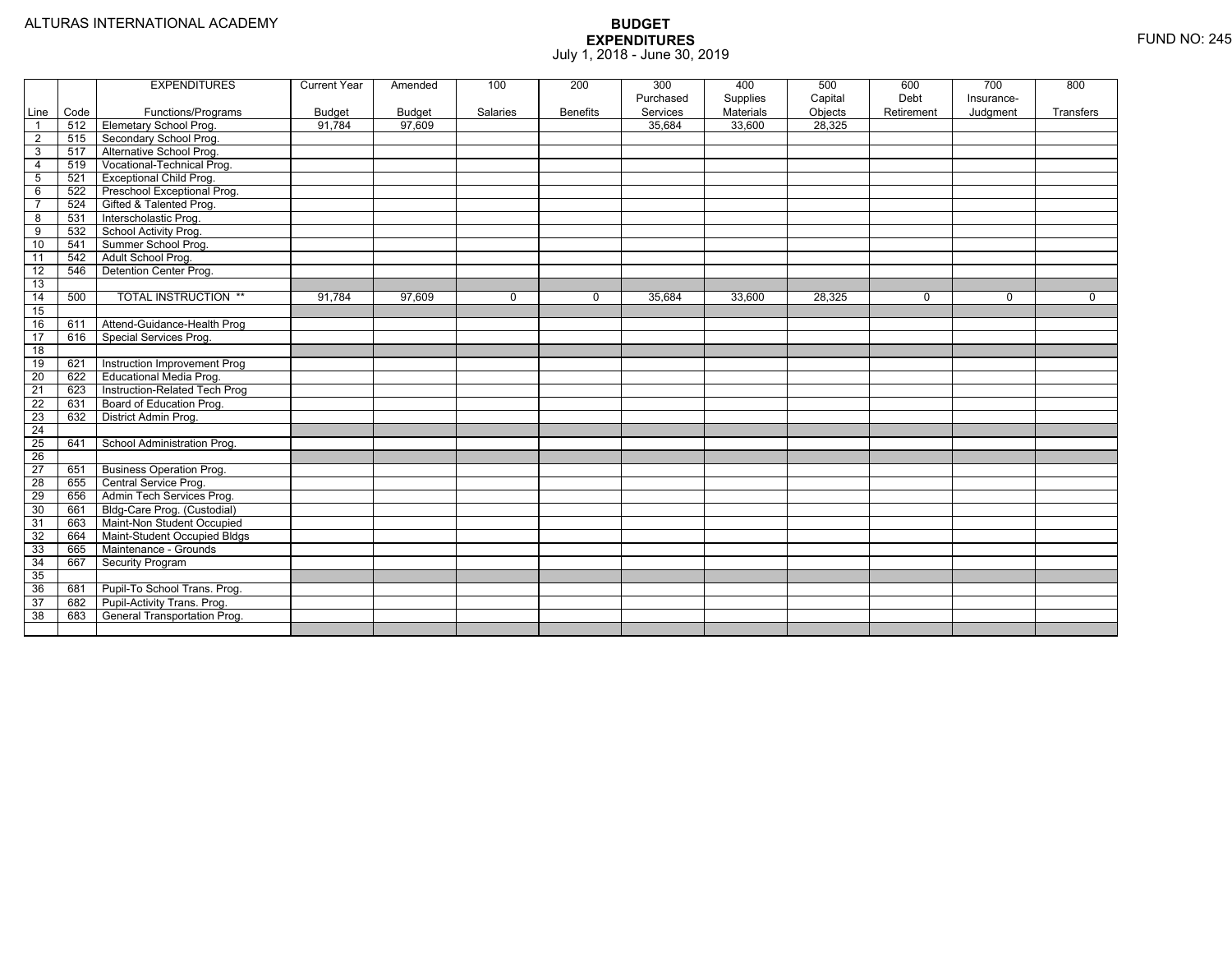|                 |      | <b>EXPENDITURES</b>             | <b>Current Year</b> | Amended | 100      | 200             | 300       | 400       | 500     | 600        | 700         | 800       |
|-----------------|------|---------------------------------|---------------------|---------|----------|-----------------|-----------|-----------|---------|------------|-------------|-----------|
|                 |      |                                 |                     |         |          |                 | Purchased | Supplies  | Capital | Debt       | Insurance-  |           |
| Line            | Code | Functions/Programs              | <b>Budget</b>       | Budget  | Salaries | <b>Benefits</b> | Services  | Materials | Objects | Retirement | Judgment    | Transfers |
| $\overline{1}$  | 512  | <b>Elemetary School Prog.</b>   | 91.784              | 97,609  |          |                 | 35.684    | 33,600    | 28.325  |            |             |           |
| $\overline{2}$  | 515  | Secondary School Prog.          |                     |         |          |                 |           |           |         |            |             |           |
| 3               | 517  | Alternative School Prog.        |                     |         |          |                 |           |           |         |            |             |           |
| $\overline{4}$  | 519  | Vocational-Technical Prog.      |                     |         |          |                 |           |           |         |            |             |           |
| $5\phantom{.0}$ | 521  | <b>Exceptional Child Prog.</b>  |                     |         |          |                 |           |           |         |            |             |           |
| 6               | 522  | Preschool Exceptional Prog.     |                     |         |          |                 |           |           |         |            |             |           |
| $\overline{7}$  | 524  | Gifted & Talented Prog.         |                     |         |          |                 |           |           |         |            |             |           |
| 8               | 531  | Interscholastic Prog.           |                     |         |          |                 |           |           |         |            |             |           |
| $\overline{9}$  | 532  | School Activity Prog.           |                     |         |          |                 |           |           |         |            |             |           |
| 10              | 541  | Summer School Prog.             |                     |         |          |                 |           |           |         |            |             |           |
| 11              | 542  | Adult School Prog.              |                     |         |          |                 |           |           |         |            |             |           |
| 12              | 546  | Detention Center Prog.          |                     |         |          |                 |           |           |         |            |             |           |
| 13              |      |                                 |                     |         |          |                 |           |           |         |            |             |           |
| 14              | 500  | <b>TOTAL INSTRUCTION **</b>     | 91,784              | 97,609  | $\Omega$ | $\Omega$        | 35,684    | 33,600    | 28,325  | $\Omega$   | $\mathbf 0$ | $\Omega$  |
| 15              |      |                                 |                     |         |          |                 |           |           |         |            |             |           |
| 16              | 611  | Attend-Guidance-Health Prog     |                     |         |          |                 |           |           |         |            |             |           |
| $\overline{17}$ | 616  | Special Services Prog.          |                     |         |          |                 |           |           |         |            |             |           |
| $\overline{18}$ |      |                                 |                     |         |          |                 |           |           |         |            |             |           |
| 19              | 621  | Instruction Improvement Prog    |                     |         |          |                 |           |           |         |            |             |           |
| $\overline{20}$ | 622  | <b>Educational Media Prog.</b>  |                     |         |          |                 |           |           |         |            |             |           |
| 21              | 623  | Instruction-Related Tech Prog   |                     |         |          |                 |           |           |         |            |             |           |
| $\overline{22}$ | 631  | Board of Education Prog.        |                     |         |          |                 |           |           |         |            |             |           |
| $\overline{23}$ | 632  | District Admin Prog.            |                     |         |          |                 |           |           |         |            |             |           |
| $\overline{24}$ |      |                                 |                     |         |          |                 |           |           |         |            |             |           |
| $\overline{25}$ | 641  | School Administration Prog.     |                     |         |          |                 |           |           |         |            |             |           |
| $\overline{26}$ |      |                                 |                     |         |          |                 |           |           |         |            |             |           |
| $\overline{27}$ | 651  | <b>Business Operation Prog.</b> |                     |         |          |                 |           |           |         |            |             |           |
| $\overline{28}$ | 655  | Central Service Prog.           |                     |         |          |                 |           |           |         |            |             |           |
| 29              | 656  | Admin Tech Services Prog.       |                     |         |          |                 |           |           |         |            |             |           |
| 30              | 661  | Bldg-Care Prog. (Custodial)     |                     |         |          |                 |           |           |         |            |             |           |
| 31              | 663  | Maint-Non Student Occupied      |                     |         |          |                 |           |           |         |            |             |           |
| 32              | 664  | Maint-Student Occupied Bldgs    |                     |         |          |                 |           |           |         |            |             |           |
| 33              | 665  | Maintenance - Grounds           |                     |         |          |                 |           |           |         |            |             |           |
| 34              | 667  | Security Program                |                     |         |          |                 |           |           |         |            |             |           |
| 35              |      |                                 |                     |         |          |                 |           |           |         |            |             |           |
| 36              | 681  | Pupil-To School Trans. Prog.    |                     |         |          |                 |           |           |         |            |             |           |
| 37              | 682  | Pupil-Activity Trans. Prog.     |                     |         |          |                 |           |           |         |            |             |           |
| 38              | 683  | General Transportation Prog.    |                     |         |          |                 |           |           |         |            |             |           |
|                 |      |                                 |                     |         |          |                 |           |           |         |            |             |           |
|                 |      |                                 |                     |         |          |                 |           |           |         |            |             |           |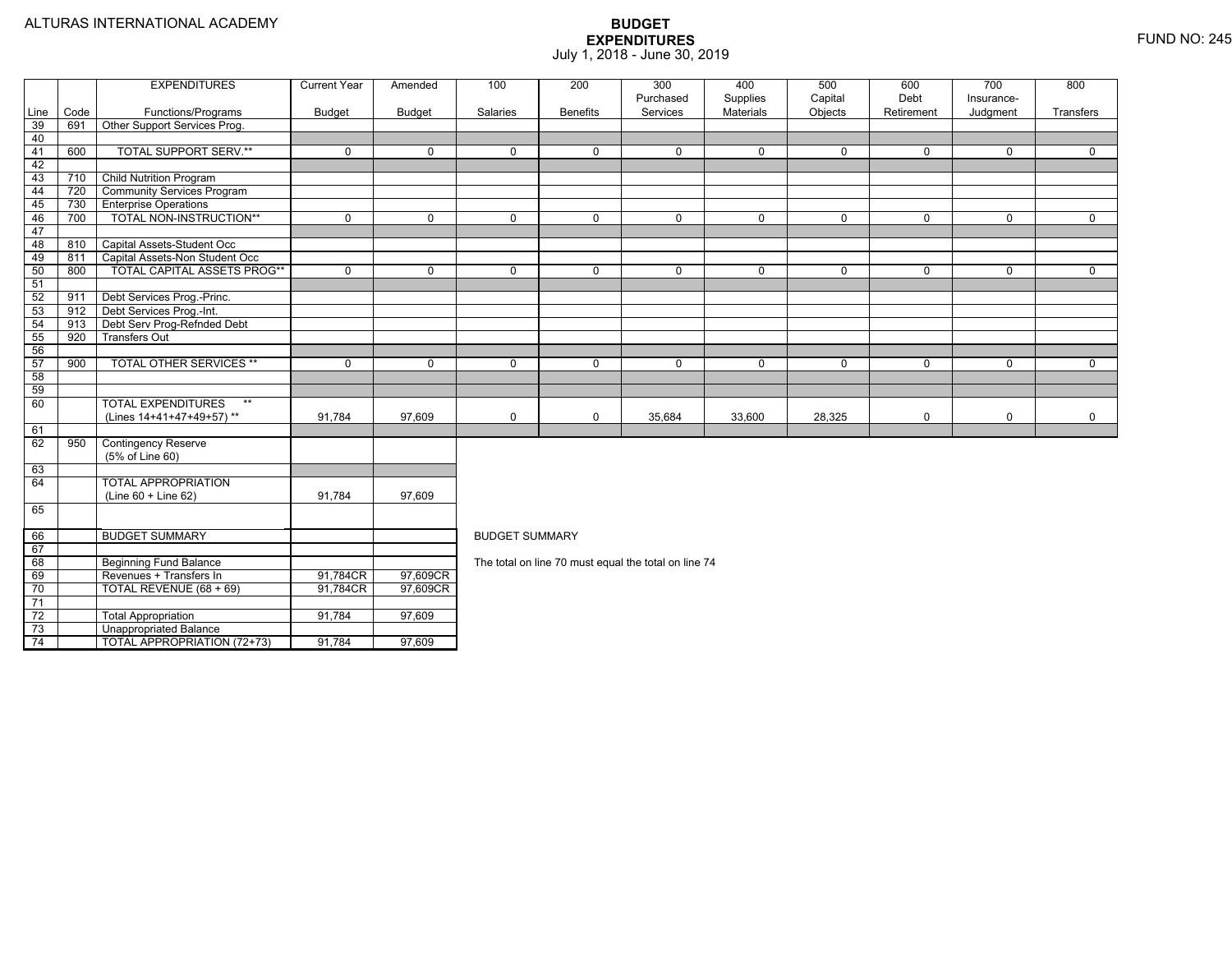TOTAL APPROPRIATION (72+73) 91,784 97,609

|                 |      | <b>EXPENDITURES</b>                | <b>Current Year</b> | Amended       | 100                   | 200             | 300<br>Purchased                                     | 400<br>Supplies | 500<br>Capital | 600<br>Debt | 700<br>Insurance- | 800         |  |  |
|-----------------|------|------------------------------------|---------------------|---------------|-----------------------|-----------------|------------------------------------------------------|-----------------|----------------|-------------|-------------------|-------------|--|--|
| Line            | Code | Functions/Programs                 | <b>Budget</b>       | <b>Budget</b> | Salaries              | <b>Benefits</b> | Services                                             | Materials       | Objects        | Retirement  | Judgment          | Transfers   |  |  |
| 39              | 691  | Other Support Services Prog.       |                     |               |                       |                 |                                                      |                 |                |             |                   |             |  |  |
| 40              |      |                                    |                     |               |                       |                 |                                                      |                 |                |             |                   |             |  |  |
| 41              | 600  | <b>TOTAL SUPPORT SERV.**</b>       | $\Omega$            | $\Omega$      | $\Omega$              | $\Omega$        | $\Omega$                                             | $\mathbf 0$     | $\Omega$       | $\Omega$    | $\Omega$          | $\Omega$    |  |  |
| 42              |      |                                    |                     |               |                       |                 |                                                      |                 |                |             |                   |             |  |  |
| 43              | 710  | <b>Child Nutrition Program</b>     |                     |               |                       |                 |                                                      |                 |                |             |                   |             |  |  |
| 44              | 720  | <b>Community Services Program</b>  |                     |               |                       |                 |                                                      |                 |                |             |                   |             |  |  |
| 45              | 730  | <b>Enterprise Operations</b>       |                     |               |                       |                 |                                                      |                 |                |             |                   |             |  |  |
| 46              | 700  | TOTAL NON-INSTRUCTION**            | $\Omega$            | $\Omega$      | $\mathbf 0$           | $\Omega$        | $\mathbf 0$                                          | $\mathbf 0$     | $\mathbf 0$    | $\Omega$    | $\Omega$          | $\mathbf 0$ |  |  |
| 47              |      |                                    |                     |               |                       |                 |                                                      |                 |                |             |                   |             |  |  |
| 48              | 810  | Capital Assets-Student Occ         |                     |               |                       |                 |                                                      |                 |                |             |                   |             |  |  |
| 49              | 811  | Capital Assets-Non Student Occ     |                     |               |                       |                 |                                                      |                 |                |             |                   |             |  |  |
| 50              | 800  | <b>TOTAL CAPITAL ASSETS PROG**</b> | $\mathbf 0$         | $\mathbf 0$   | $\mathbf 0$           | 0               | 0                                                    | 0               | 0              | $\mathbf 0$ | $\mathbf 0$       | $\mathbf 0$ |  |  |
| 51              |      |                                    |                     |               |                       |                 |                                                      |                 |                |             |                   |             |  |  |
| 52              | 911  | Debt Services Prog.-Princ.         |                     |               |                       |                 |                                                      |                 |                |             |                   |             |  |  |
| 53              | 912  | Debt Services Prog.-Int.           |                     |               |                       |                 |                                                      |                 |                |             |                   |             |  |  |
| 54              | 913  | Debt Serv Prog-Refnded Debt        |                     |               |                       |                 |                                                      |                 |                |             |                   |             |  |  |
| 55              | 920  | <b>Transfers Out</b>               |                     |               |                       |                 |                                                      |                 |                |             |                   |             |  |  |
| 56              |      |                                    |                     |               |                       |                 |                                                      |                 |                |             |                   |             |  |  |
| 57              | 900  | <b>TOTAL OTHER SERVICES **</b>     | $\Omega$            | $\Omega$      | $\mathbf 0$           | $\Omega$        | $\Omega$                                             | $\mathbf 0$     | $\Omega$       | $\Omega$    | $\Omega$          | $\mathbf 0$ |  |  |
| 58              |      |                                    |                     |               |                       |                 |                                                      |                 |                |             |                   |             |  |  |
| 59              |      |                                    |                     |               |                       |                 |                                                      |                 |                |             |                   |             |  |  |
| 60              |      | <b>TOTAL EXPENDITURES</b>          |                     |               |                       |                 |                                                      |                 |                |             |                   |             |  |  |
|                 |      | (Lines 14+41+47+49+57)**           | 91,784              | 97,609        | $\mathbf 0$           | $\Omega$        | 35,684                                               | 33,600          | 28,325         | $\mathbf 0$ | $\mathbf 0$       | $\mathbf 0$ |  |  |
| 61              |      |                                    |                     |               |                       |                 |                                                      |                 |                |             |                   |             |  |  |
| 62              | 950  | <b>Contingency Reserve</b>         |                     |               |                       |                 |                                                      |                 |                |             |                   |             |  |  |
|                 |      | (5% of Line 60)                    |                     |               |                       |                 |                                                      |                 |                |             |                   |             |  |  |
| 63              |      |                                    |                     |               |                       |                 |                                                      |                 |                |             |                   |             |  |  |
| 64              |      | <b>TOTAL APPROPRIATION</b>         |                     |               |                       |                 |                                                      |                 |                |             |                   |             |  |  |
|                 |      | (Line 60 + Line 62)                | 91,784              | 97.609        |                       |                 |                                                      |                 |                |             |                   |             |  |  |
| 65              |      |                                    |                     |               |                       |                 |                                                      |                 |                |             |                   |             |  |  |
| 66              |      | <b>BUDGET SUMMARY</b>              |                     |               | <b>BUDGET SUMMARY</b> |                 |                                                      |                 |                |             |                   |             |  |  |
| 67              |      |                                    |                     |               |                       |                 |                                                      |                 |                |             |                   |             |  |  |
| 68              |      | <b>Beginning Fund Balance</b>      |                     |               |                       |                 | The total on line 70 must equal the total on line 74 |                 |                |             |                   |             |  |  |
| 69              |      | Revenues + Transfers In            | 91,784CR            | 97,609CR      |                       |                 |                                                      |                 |                |             |                   |             |  |  |
| 70              |      | TOTAL REVENUE (68 + 69)            | 91,784CR            | 97,609CR      |                       |                 |                                                      |                 |                |             |                   |             |  |  |
| 71              |      |                                    |                     |               |                       |                 |                                                      |                 |                |             |                   |             |  |  |
| $\overline{72}$ |      | <b>Total Appropriation</b>         | 91,784              | 97,609        |                       |                 |                                                      |                 |                |             |                   |             |  |  |
| 73              |      | Unappropriated Balance             |                     |               |                       |                 |                                                      |                 |                |             |                   |             |  |  |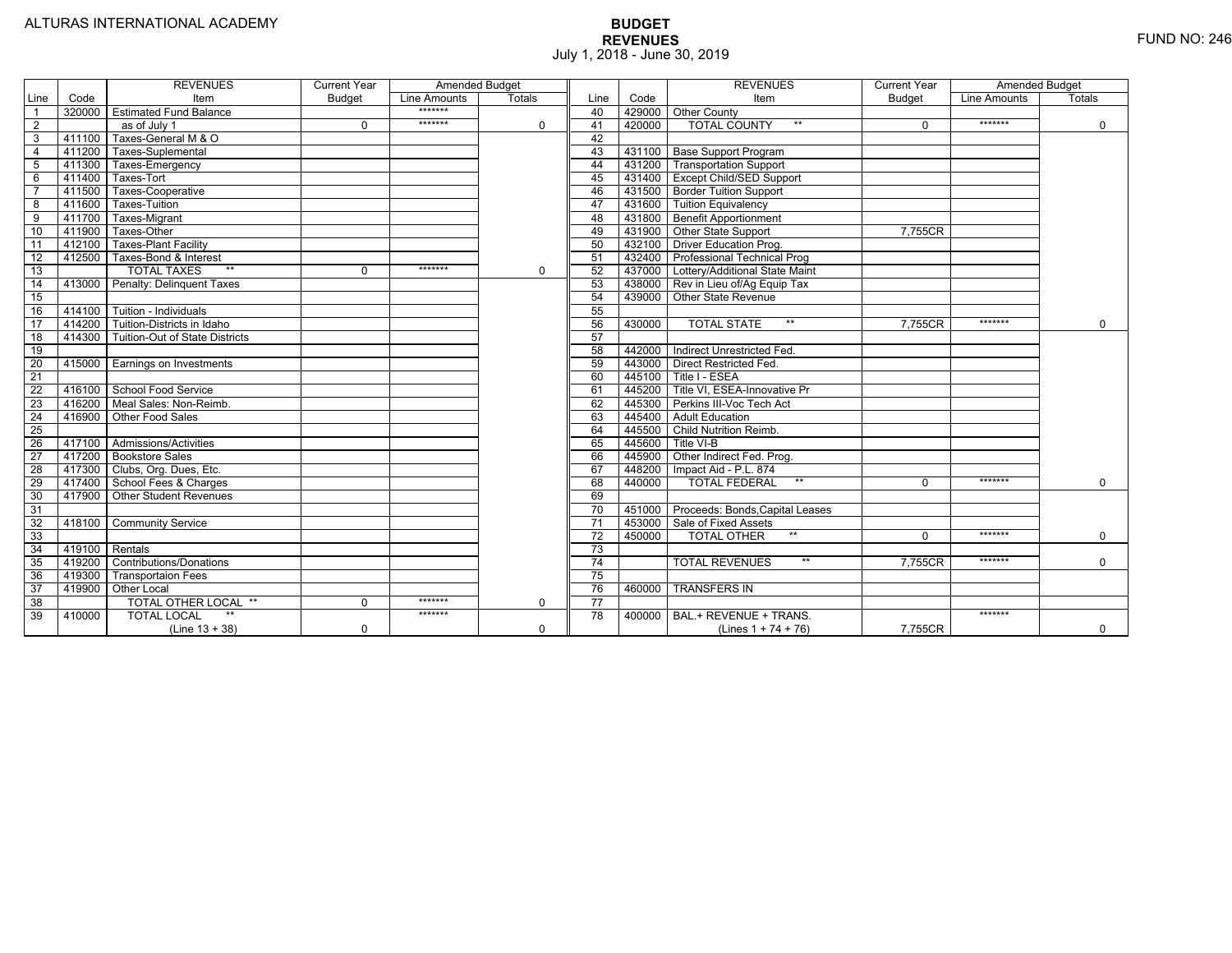|                 |                | <b>REVENUES</b>                         | <b>Current Year</b> | Amended Budget |             |                 |        | <b>REVENUES</b>                        | <b>Current Year</b> | Amended Budget |               |
|-----------------|----------------|-----------------------------------------|---------------------|----------------|-------------|-----------------|--------|----------------------------------------|---------------------|----------------|---------------|
| Line            | Code           | Item                                    | <b>Budget</b>       | Line Amounts   | Totals      | Line            | Code   | Item                                   | <b>Budget</b>       | Line Amounts   | <b>Totals</b> |
|                 |                | 320000 Estimated Fund Balance           |                     | *******        |             | 40              |        | 429000 Other County                    |                     |                |               |
| $\overline{2}$  |                | as of July 1                            | $\Omega$            | *******        | $\Omega$    | 41              | 420000 | <b>TOTAL COUNTY</b><br>$***$           | $\Omega$            | *******        | $\mathbf 0$   |
| 3               | 411100         | Taxes-General M & O                     |                     |                |             | 42              |        |                                        |                     |                |               |
| 4               | 411200         | Taxes-Suplemental                       |                     |                |             | 43              |        | 431100   Base Support Program          |                     |                |               |
| 5               |                | 411300 Taxes-Emergency                  |                     |                |             | 44              |        | 431200   Transportation Support        |                     |                |               |
| 6               | 411400         | Taxes-Tort                              |                     |                |             | 45              |        | 431400 Except Child/SED Support        |                     |                |               |
|                 | 411500         | Taxes-Cooperative                       |                     |                |             | 46              |        | 431500 Border Tuition Support          |                     |                |               |
| 8               | 411600         | Taxes-Tuition                           |                     |                |             | 47              |        | 431600 Tuition Equivalency             |                     |                |               |
| 9               |                | 411700 Taxes-Migrant                    |                     |                |             | 48              |        | 431800 Benefit Apportionment           |                     |                |               |
| 10              | 411900         | Taxes-Other                             |                     |                |             | 49              |        | 431900 Other State Support             | 7.755CR             |                |               |
| 11              | 412100         | <b>Taxes-Plant Facility</b>             |                     |                |             | 50              |        | 432100 Driver Education Prog.          |                     |                |               |
| $\overline{12}$ | 412500         | Taxes-Bond & Interest                   |                     |                |             | 51              |        | 432400 Professional Technical Prog     |                     |                |               |
| 13              |                | $**$<br><b>TOTAL TAXES</b>              | $\Omega$            | *******        | $\Omega$    | 52              |        | 437000 Lottery/Additional State Maint  |                     |                |               |
| 14              |                | 413000 Penalty: Delinquent Taxes        |                     |                |             | 53              |        | 438000 Rev in Lieu of/Ag Equip Tax     |                     |                |               |
| 15              |                |                                         |                     |                |             | 54              |        | 439000 Other State Revenue             |                     |                |               |
| 16              |                | 414100 Tuition - Individuals            |                     |                |             | 55              |        |                                        |                     |                |               |
| 17              |                | 414200 Tuition-Districts in Idaho       |                     |                |             | 56              | 430000 | $**$<br><b>TOTAL STATE</b>             | 7.755CR             | *******        | $\Omega$      |
| $\overline{18}$ |                | 414300   Tuition-Out of State Districts |                     |                |             | 57              |        |                                        |                     |                |               |
| 19              |                |                                         |                     |                |             | 58              |        | 442000   Indirect Unrestricted Fed.    |                     |                |               |
| 20              |                | 415000 Earnings on Investments          |                     |                |             | 59              |        | 443000 Direct Restricted Fed.          |                     |                |               |
| 21              |                |                                         |                     |                |             | 60              |        | 445100 Title I - ESEA                  |                     |                |               |
| 22              |                | 416100 School Food Service              |                     |                |             | 61              | 445200 | Title VI, ESEA-Innovative Pr           |                     |                |               |
| 23              |                | 416200   Meal Sales: Non-Reimb.         |                     |                |             | 62              |        | 445300 Perkins III-Voc Tech Act        |                     |                |               |
| 24              |                | 416900 Other Food Sales                 |                     |                |             | 63              |        | 445400 Adult Education                 |                     |                |               |
| $\overline{25}$ |                |                                         |                     |                |             | 64              | 445500 | <b>Child Nutrition Reimb.</b>          |                     |                |               |
| 26              |                | 417100 Admissions/Activities            |                     |                |             | 65              | 445600 | Title VI-B                             |                     |                |               |
| $\overline{27}$ |                | 417200 Bookstore Sales                  |                     |                |             | 66              | 445900 | Other Indirect Fed. Prog.              |                     |                |               |
| $\overline{28}$ |                | 417300   Clubs, Org. Dues, Etc.         |                     |                |             | 67              | 448200 | Impact Aid - P.L. 874                  |                     |                |               |
| $\overline{29}$ |                | 417400 School Fees & Charges            |                     |                |             | 68              | 440000 | <b>TOTAL FEDERAL</b><br>$**$           | $\Omega$            | *******        | $\Omega$      |
| 30              |                | 417900 Other Student Revenues           |                     |                |             | 69              |        |                                        |                     |                |               |
| 31              |                |                                         |                     |                |             | $\overline{70}$ |        | 451000 Proceeds: Bonds, Capital Leases |                     |                |               |
| $\overline{32}$ | 418100         | <b>Community Service</b>                |                     |                |             | $\overline{71}$ | 453000 | Sale of Fixed Assets                   |                     |                |               |
| 33              |                |                                         |                     |                |             | $\overline{72}$ | 450000 | $**$<br><b>TOTAL OTHER</b>             | $\Omega$            | *******        | 0             |
| $\overline{34}$ | 419100 Rentals |                                         |                     |                |             | $\overline{73}$ |        |                                        |                     |                |               |
| 35              |                | 419200 Contributions/Donations          |                     |                |             | 74              |        | <b>TOTAL REVENUES</b><br>$***$         | 7.755CR             | *******        | $\Omega$      |
| 36              | 419300         | <b>Transportaion Fees</b>               |                     |                |             | 75              |        |                                        |                     |                |               |
| 37              | 419900         | Other Local                             |                     |                |             | 76              | 460000 | <b>TRANSFERS IN</b>                    |                     |                |               |
| 38              |                | TOTAL OTHER LOCAL **                    | $\Omega$            | *******        | $\Omega$    | 77              |        |                                        |                     |                |               |
| 39              | 410000         | <b>TOTAL LOCAL</b>                      |                     | *******        |             | 78              | 400000 | BAL.+ REVENUE + TRANS.                 |                     | *******        |               |
|                 |                | $(Line 13 + 38)$                        | 0                   |                | $\mathbf 0$ |                 |        | (Lines $1 + 74 + 76$ )                 | 7.755CR             |                | $\mathbf 0$   |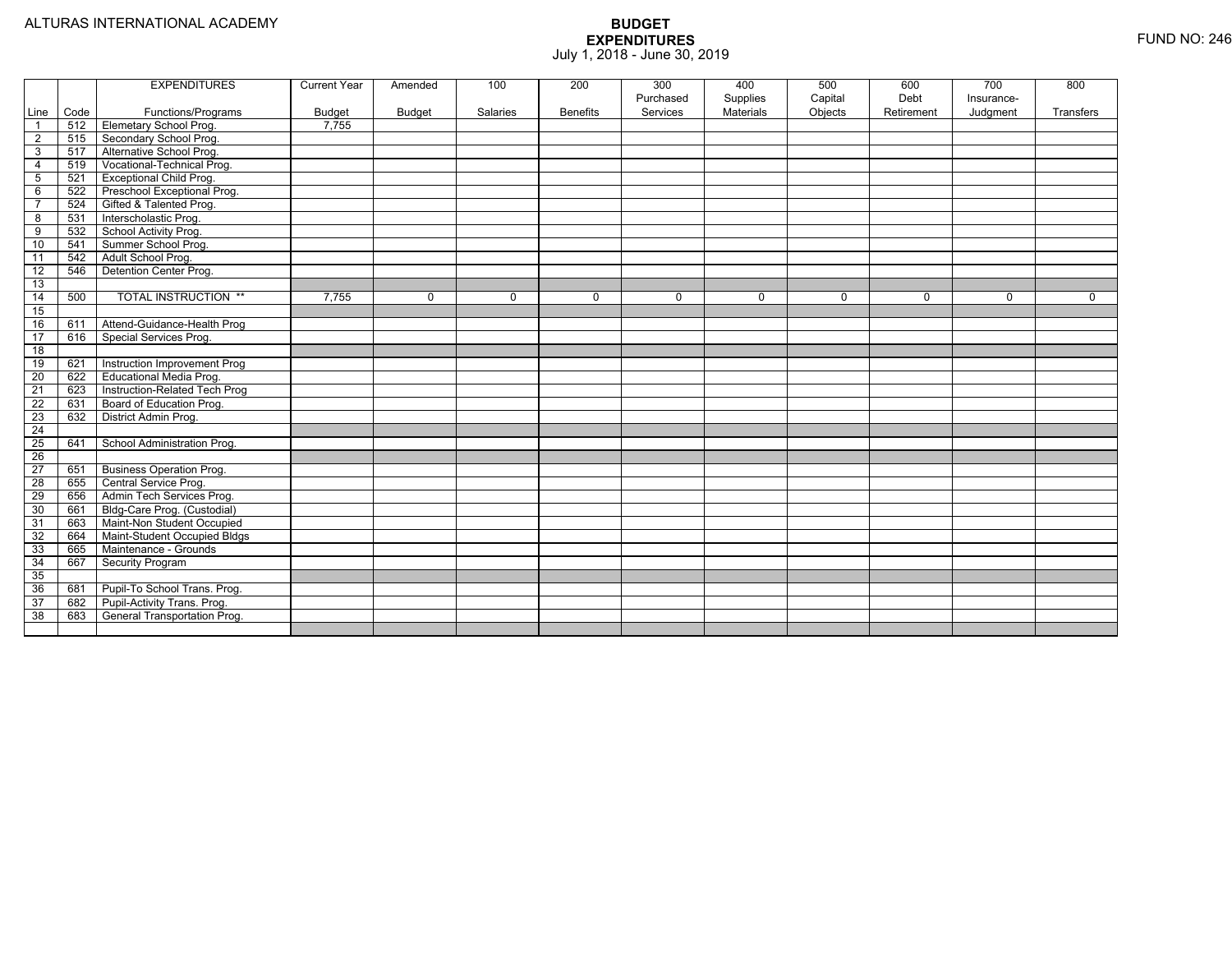|                 |      | <b>EXPENDITURES</b>                 | <b>Current Year</b> | Amended  | 100      | 200             | 300                   | 400                   | 500                | 600                | 700                    | 800         |
|-----------------|------|-------------------------------------|---------------------|----------|----------|-----------------|-----------------------|-----------------------|--------------------|--------------------|------------------------|-------------|
| Line            | Code | Functions/Programs                  | <b>Budget</b>       | Budget   | Salaries | <b>Benefits</b> | Purchased<br>Services | Supplies<br>Materials | Capital<br>Objects | Debt<br>Retirement | Insurance-<br>Judgment | Transfers   |
| $\overline{1}$  | 512  | <b>Elemetary School Prog.</b>       | 7,755               |          |          |                 |                       |                       |                    |                    |                        |             |
| $\overline{2}$  | 515  | Secondary School Prog.              |                     |          |          |                 |                       |                       |                    |                    |                        |             |
| $\mathbf{3}$    | 517  | Alternative School Prog.            |                     |          |          |                 |                       |                       |                    |                    |                        |             |
| $\overline{4}$  | 519  | Vocational-Technical Prog.          |                     |          |          |                 |                       |                       |                    |                    |                        |             |
| 5               | 521  | <b>Exceptional Child Prog.</b>      |                     |          |          |                 |                       |                       |                    |                    |                        |             |
| 6               | 522  | Preschool Exceptional Prog.         |                     |          |          |                 |                       |                       |                    |                    |                        |             |
| $\overline{7}$  | 524  | Gifted & Talented Prog.             |                     |          |          |                 |                       |                       |                    |                    |                        |             |
| 8               | 531  | Interscholastic Prog.               |                     |          |          |                 |                       |                       |                    |                    |                        |             |
| 9               | 532  | School Activity Prog.               |                     |          |          |                 |                       |                       |                    |                    |                        |             |
| 10              | 541  | Summer School Prog.                 |                     |          |          |                 |                       |                       |                    |                    |                        |             |
| 11              | 542  | Adult School Prog.                  |                     |          |          |                 |                       |                       |                    |                    |                        |             |
| $\overline{12}$ | 546  | Detention Center Prog.              |                     |          |          |                 |                       |                       |                    |                    |                        |             |
| 13              |      |                                     |                     |          |          |                 |                       |                       |                    |                    |                        |             |
| 14              | 500  | <b>TOTAL INSTRUCTION **</b>         | 7,755               | $\Omega$ | $\Omega$ | $\mathbf 0$     | $\Omega$              | $\mathbf 0$           | $\mathbf 0$        | $\Omega$           | $\mathbf 0$            | $\mathbf 0$ |
| 15              |      |                                     |                     |          |          |                 |                       |                       |                    |                    |                        |             |
| 16              | 611  | Attend-Guidance-Health Prog         |                     |          |          |                 |                       |                       |                    |                    |                        |             |
| 17              | 616  | Special Services Prog.              |                     |          |          |                 |                       |                       |                    |                    |                        |             |
| 18              |      |                                     |                     |          |          |                 |                       |                       |                    |                    |                        |             |
| 19              | 621  | Instruction Improvement Prog        |                     |          |          |                 |                       |                       |                    |                    |                        |             |
| $\overline{20}$ | 622  | Educational Media Prog.             |                     |          |          |                 |                       |                       |                    |                    |                        |             |
| 21              | 623  | Instruction-Related Tech Prog       |                     |          |          |                 |                       |                       |                    |                    |                        |             |
| $\overline{22}$ | 631  | Board of Education Prog.            |                     |          |          |                 |                       |                       |                    |                    |                        |             |
| 23              | 632  | District Admin Prog.                |                     |          |          |                 |                       |                       |                    |                    |                        |             |
| $\overline{24}$ |      |                                     |                     |          |          |                 |                       |                       |                    |                    |                        |             |
| $\overline{25}$ | 641  | School Administration Prog.         |                     |          |          |                 |                       |                       |                    |                    |                        |             |
| $\overline{26}$ |      |                                     |                     |          |          |                 |                       |                       |                    |                    |                        |             |
| 27              | 651  | <b>Business Operation Prog.</b>     |                     |          |          |                 |                       |                       |                    |                    |                        |             |
| 28              | 655  | Central Service Prog.               |                     |          |          |                 |                       |                       |                    |                    |                        |             |
| 29              | 656  | Admin Tech Services Prog.           |                     |          |          |                 |                       |                       |                    |                    |                        |             |
| 30              | 661  | Bldg-Care Prog. (Custodial)         |                     |          |          |                 |                       |                       |                    |                    |                        |             |
| 31              | 663  | Maint-Non Student Occupied          |                     |          |          |                 |                       |                       |                    |                    |                        |             |
| 32              | 664  | Maint-Student Occupied Bldgs        |                     |          |          |                 |                       |                       |                    |                    |                        |             |
| 33              | 665  | Maintenance - Grounds               |                     |          |          |                 |                       |                       |                    |                    |                        |             |
| 34              | 667  | <b>Security Program</b>             |                     |          |          |                 |                       |                       |                    |                    |                        |             |
| 35              |      |                                     |                     |          |          |                 |                       |                       |                    |                    |                        |             |
| 36              | 681  | Pupil-To School Trans. Prog.        |                     |          |          |                 |                       |                       |                    |                    |                        |             |
| 37              | 682  | Pupil-Activity Trans. Prog.         |                     |          |          |                 |                       |                       |                    |                    |                        |             |
| 38              | 683  | <b>General Transportation Prog.</b> |                     |          |          |                 |                       |                       |                    |                    |                        |             |
|                 |      |                                     |                     |          |          |                 |                       |                       |                    |                    |                        |             |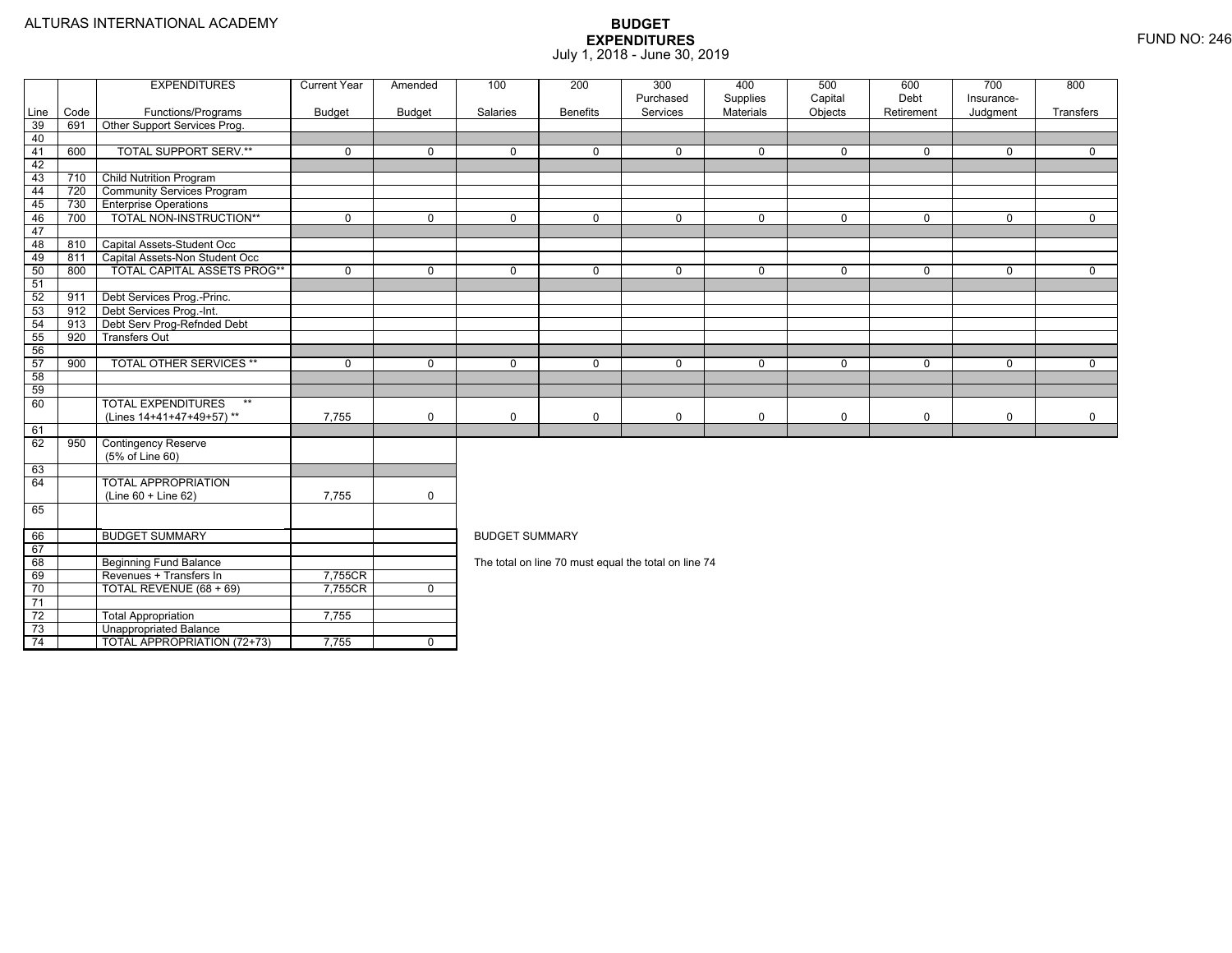TOTAL APPROPRIATION (72+73) 7,755 0

|      |      | <b>EXPENDITURES</b>                | <b>Current Year</b> | Amended        | 100                   | 200             | 300                                                  | 400                          | 500                | 600                | 700                    | 800         |
|------|------|------------------------------------|---------------------|----------------|-----------------------|-----------------|------------------------------------------------------|------------------------------|--------------------|--------------------|------------------------|-------------|
| Line | Code | Functions/Programs                 | <b>Budget</b>       | <b>Budget</b>  | Salaries              | <b>Benefits</b> | Purchased<br>Services                                | Supplies<br><b>Materials</b> | Capital<br>Objects | Debt<br>Retirement | Insurance-<br>Judgment | Transfers   |
| 39   | 691  | Other Support Services Prog.       |                     |                |                       |                 |                                                      |                              |                    |                    |                        |             |
| 40   |      |                                    |                     |                |                       |                 |                                                      |                              |                    |                    |                        |             |
| 41   | 600  | <b>TOTAL SUPPORT SERV.**</b>       | $\mathbf 0$         | $\Omega$       | $\Omega$              | $\Omega$        | $\Omega$                                             | $\mathbf 0$                  | $\Omega$           | $\Omega$           | $\Omega$               | $\Omega$    |
| 42   |      |                                    |                     |                |                       |                 |                                                      |                              |                    |                    |                        |             |
| 43   | 710  | <b>Child Nutrition Program</b>     |                     |                |                       |                 |                                                      |                              |                    |                    |                        |             |
| 44   | 720  | <b>Community Services Program</b>  |                     |                |                       |                 |                                                      |                              |                    |                    |                        |             |
| 45   | 730  | <b>Enterprise Operations</b>       |                     |                |                       |                 |                                                      |                              |                    |                    |                        |             |
| 46   | 700  | TOTAL NON-INSTRUCTION**            | $\mathbf 0$         | $\Omega$       | $\Omega$              | $\Omega$        | 0                                                    | $\mathbf 0$                  | $\Omega$           | $\Omega$           | $\Omega$               | $\mathbf 0$ |
| 47   |      |                                    |                     |                |                       |                 |                                                      |                              |                    |                    |                        |             |
| 48   | 810  | Capital Assets-Student Occ         |                     |                |                       |                 |                                                      |                              |                    |                    |                        |             |
| 49   | 811  | Capital Assets-Non Student Occ     |                     |                |                       |                 |                                                      |                              |                    |                    |                        |             |
| 50   | 800  | <b>TOTAL CAPITAL ASSETS PROG**</b> | $\mathbf 0$         | $\Omega$       | $\Omega$              | $\Omega$        | $\Omega$                                             | $\mathbf 0$                  | $\mathbf 0$        | $\Omega$           | $\Omega$               | $\Omega$    |
| 51   |      |                                    |                     |                |                       |                 |                                                      |                              |                    |                    |                        |             |
| 52   | 911  | Debt Services Prog.-Princ.         |                     |                |                       |                 |                                                      |                              |                    |                    |                        |             |
| 53   | 912  | Debt Services Prog.-Int.           |                     |                |                       |                 |                                                      |                              |                    |                    |                        |             |
| 54   | 913  | Debt Serv Prog-Refnded Debt        |                     |                |                       |                 |                                                      |                              |                    |                    |                        |             |
| 55   | 920  | <b>Transfers Out</b>               |                     |                |                       |                 |                                                      |                              |                    |                    |                        |             |
| 56   |      |                                    |                     |                |                       |                 |                                                      |                              |                    |                    |                        |             |
| 57   | 900  | <b>TOTAL OTHER SERVICES **</b>     | $\Omega$            | $\Omega$       | $\Omega$              | $\Omega$        | $\Omega$                                             | $\mathbf 0$                  | $\Omega$           | $\Omega$           | $\Omega$               | $\mathbf 0$ |
| 58   |      |                                    |                     |                |                       |                 |                                                      |                              |                    |                    |                        |             |
| 59   |      |                                    |                     |                |                       |                 |                                                      |                              |                    |                    |                        |             |
| 60   |      | <b>TOTAL EXPENDITURES</b><br>$***$ |                     |                |                       |                 |                                                      |                              |                    |                    |                        |             |
|      |      | (Lines 14+41+47+49+57)**           | 7,755               | $\mathbf 0$    | 0                     | $\Omega$        | 0                                                    | 0                            | 0                  | $\mathbf 0$        | $\mathbf 0$            | $\mathbf 0$ |
| 61   |      |                                    |                     |                |                       |                 |                                                      |                              |                    |                    |                        |             |
| 62   | 950  | <b>Contingency Reserve</b>         |                     |                |                       |                 |                                                      |                              |                    |                    |                        |             |
|      |      | (5% of Line 60)                    |                     |                |                       |                 |                                                      |                              |                    |                    |                        |             |
| 63   |      |                                    |                     |                |                       |                 |                                                      |                              |                    |                    |                        |             |
| 64   |      | <b>TOTAL APPROPRIATION</b>         |                     |                |                       |                 |                                                      |                              |                    |                    |                        |             |
|      |      | $(Line 60 + Line 62)$              | 7,755               | $\mathbf 0$    |                       |                 |                                                      |                              |                    |                    |                        |             |
| 65   |      |                                    |                     |                |                       |                 |                                                      |                              |                    |                    |                        |             |
| 66   |      | <b>BUDGET SUMMARY</b>              |                     |                | <b>BUDGET SUMMARY</b> |                 |                                                      |                              |                    |                    |                        |             |
| 67   |      |                                    |                     |                |                       |                 |                                                      |                              |                    |                    |                        |             |
| 68   |      | <b>Beginning Fund Balance</b>      |                     |                |                       |                 | The total on line 70 must equal the total on line 74 |                              |                    |                    |                        |             |
| 69   |      | Revenues + Transfers In            | 7,755CR             |                |                       |                 |                                                      |                              |                    |                    |                        |             |
| 70   |      | TOTAL REVENUE (68 + 69)            | 7,755CR             | $\overline{0}$ |                       |                 |                                                      |                              |                    |                    |                        |             |
| 71   |      |                                    |                     |                |                       |                 |                                                      |                              |                    |                    |                        |             |
| 72   |      | <b>Total Appropriation</b>         | 7,755               |                |                       |                 |                                                      |                              |                    |                    |                        |             |
| 73   |      | Unappropriated Balance             |                     |                |                       |                 |                                                      |                              |                    |                    |                        |             |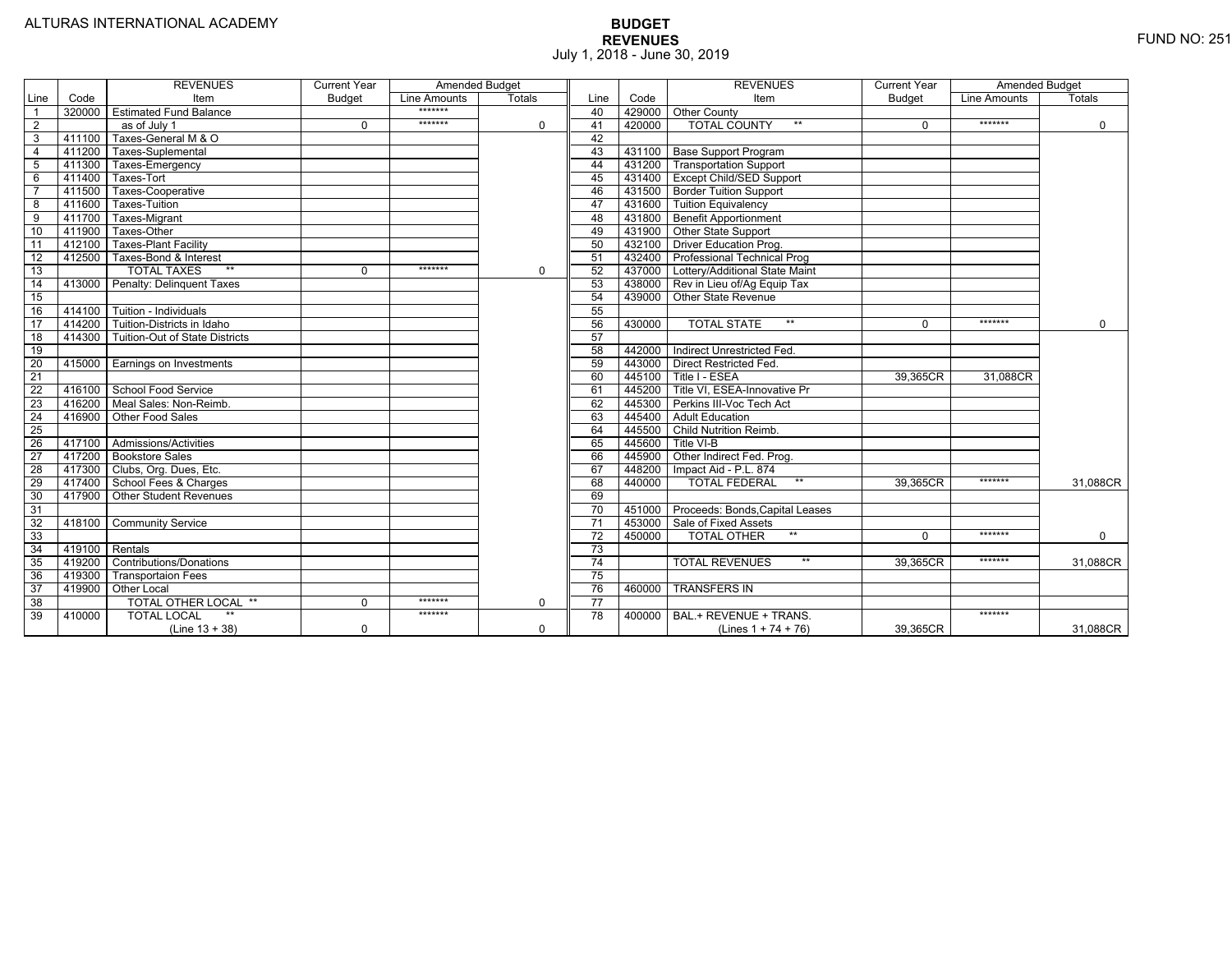|                 |                | <b>REVENUES</b>                         | <b>Current Year</b> | <b>Amended Budget</b> |          |                 |        | <b>REVENUES</b>                        | <b>Current Year</b> | <b>Amended Budget</b> |             |
|-----------------|----------------|-----------------------------------------|---------------------|-----------------------|----------|-----------------|--------|----------------------------------------|---------------------|-----------------------|-------------|
| Line            | Code           | Item                                    | <b>Budget</b>       | Line Amounts          | Totals   | Line            | Code   | Item                                   | <b>Budget</b>       | Line Amounts          | Totals      |
|                 |                | 320000 Estimated Fund Balance           |                     | *******               |          | 40              |        | 429000 Other County                    |                     |                       |             |
| $\overline{2}$  |                | as of July 1                            | $\Omega$            | *******               | 0        | 41              | 420000 | <b>TOTAL COUNTY</b><br>$***$           | $\Omega$            | *******               | $\mathbf 0$ |
| 3               | 411100         | Taxes-General M & O                     |                     |                       |          | 42              |        |                                        |                     |                       |             |
| $\overline{4}$  | 411200         | Taxes-Suplemental                       |                     |                       |          | 43              |        | 431100 Base Support Program            |                     |                       |             |
| 5               | 411300         | Taxes-Emergency                         |                     |                       |          | 44              |        | 431200 Transportation Support          |                     |                       |             |
| 6               | 411400         | Taxes-Tort                              |                     |                       |          | 45              |        | 431400   Except Child/SED Support      |                     |                       |             |
|                 | 411500         | Taxes-Cooperative                       |                     |                       |          | 46              |        | 431500   Border Tuition Support        |                     |                       |             |
| 8               | 411600         | Taxes-Tuition                           |                     |                       |          | 47              |        | 431600 Tuition Equivalency             |                     |                       |             |
| 9               | 411700         | Taxes-Migrant                           |                     |                       |          | 48              |        | 431800 Benefit Apportionment           |                     |                       |             |
| 10              | 411900         | Taxes-Other                             |                     |                       |          | 49              |        | 431900 Other State Support             |                     |                       |             |
| 11              | 412100         | <b>Taxes-Plant Facility</b>             |                     |                       |          | 50              |        | 432100 Driver Education Prog.          |                     |                       |             |
| 12              | 412500         | Taxes-Bond & Interest                   |                     |                       |          | 51              |        | 432400 Professional Technical Prog     |                     |                       |             |
| 13              |                | $**$<br><b>TOTAL TAXES</b>              | $\mathbf{0}$        | *******               | 0        | 52              |        | 437000 Lottery/Additional State Maint  |                     |                       |             |
| 14              |                | 413000 Penalty: Delinguent Taxes        |                     |                       |          | 53              |        | 438000 Rev in Lieu of/Ag Equip Tax     |                     |                       |             |
| 15              |                |                                         |                     |                       |          | 54              |        | 439000 Other State Revenue             |                     |                       |             |
| 16              |                | 414100   Tuition - Individuals          |                     |                       |          | 55              |        |                                        |                     |                       |             |
| 17              |                | 414200 Tuition-Districts in Idaho       |                     |                       |          | 56              | 430000 | $***$<br><b>TOTAL STATE</b>            | $\Omega$            | *******               | $\Omega$    |
| 18              |                | 414300   Tuition-Out of State Districts |                     |                       |          | 57              |        |                                        |                     |                       |             |
| 19              |                |                                         |                     |                       |          | 58              |        | 442000 Indirect Unrestricted Fed       |                     |                       |             |
| $\overline{20}$ |                | 415000 Earnings on Investments          |                     |                       |          | 59              |        | 443000 Direct Restricted Fed.          |                     |                       |             |
| 21              |                |                                         |                     |                       |          | 60              |        | 445100 Title I - ESEA                  | 39,365CR            | 31,088CR              |             |
| 22              |                | 416100 School Food Service              |                     |                       |          | 61              |        | 445200   Title VI. ESEA-Innovative Pr  |                     |                       |             |
| 23              |                | 416200   Meal Sales: Non-Reimb.         |                     |                       |          | 62              |        | 445300 Perkins III-Voc Tech Act        |                     |                       |             |
| 24              |                | 416900 Other Food Sales                 |                     |                       |          | 63              |        | 445400 Adult Education                 |                     |                       |             |
| 25              |                |                                         |                     |                       |          | 64              |        | 445500 Child Nutrition Reimb.          |                     |                       |             |
| 26              |                | 417100 Admissions/Activities            |                     |                       |          | 65              | 445600 | Title VI-B                             |                     |                       |             |
| $\overline{27}$ |                | 417200 Bookstore Sales                  |                     |                       |          | 66              | 445900 | Other Indirect Fed. Prog.              |                     |                       |             |
| $\overline{28}$ |                | 417300   Clubs, Org. Dues, Etc.         |                     |                       |          | 67              | 448200 | Impact Aid - P.L. 874                  |                     |                       |             |
| $\overline{29}$ |                | 417400 School Fees & Charges            |                     |                       |          | 68              | 440000 | <b>TOTAL FEDERAL</b><br>$***$          | 39,365CR            | *******               | 31,088CR    |
| 30              |                | 417900 Other Student Revenues           |                     |                       |          | 69              |        |                                        |                     |                       |             |
| 31              |                |                                         |                     |                       |          | $\overline{70}$ |        | 451000 Proceeds: Bonds, Capital Leases |                     |                       |             |
| $\overline{32}$ |                | 418100 Community Service                |                     |                       |          | $\overline{71}$ |        | 453000 Sale of Fixed Assets            |                     |                       |             |
| 33              |                |                                         |                     |                       |          | 72              | 450000 | $**$<br><b>TOTAL OTHER</b>             | $\Omega$            | *******               | $\mathbf 0$ |
| 34              | 419100 Rentals |                                         |                     |                       |          | 73              |        |                                        |                     |                       |             |
| 35              |                | 419200 Contributions/Donations          |                     |                       |          | $\overline{74}$ |        | <b>TOTAL REVENUES</b><br>$**$          | 39.365CR            | *******               | 31,088CR    |
| 36              | 419300         | <b>Transportaion Fees</b>               |                     |                       |          | 75              |        |                                        |                     |                       |             |
| 37              |                | 419900 Other Local                      |                     |                       |          | 76              | 460000 | <b>TRANSFERS IN</b>                    |                     |                       |             |
| 38              |                | TOTAL OTHER LOCAL **                    | $\mathbf 0$         | *******               | 0        | $\overline{77}$ |        |                                        |                     |                       |             |
| 39              | 410000         | <b>TOTAL LOCAL</b>                      |                     | *******               |          | 78              | 400000 | BAL.+ REVENUE + TRANS.                 |                     | *******               |             |
|                 |                | $(Line 13 + 38)$                        | $\mathbf 0$         |                       | $\Omega$ |                 |        | (Lines $1 + 74 + 76$ )                 | 39.365CR            |                       | 31.088CR    |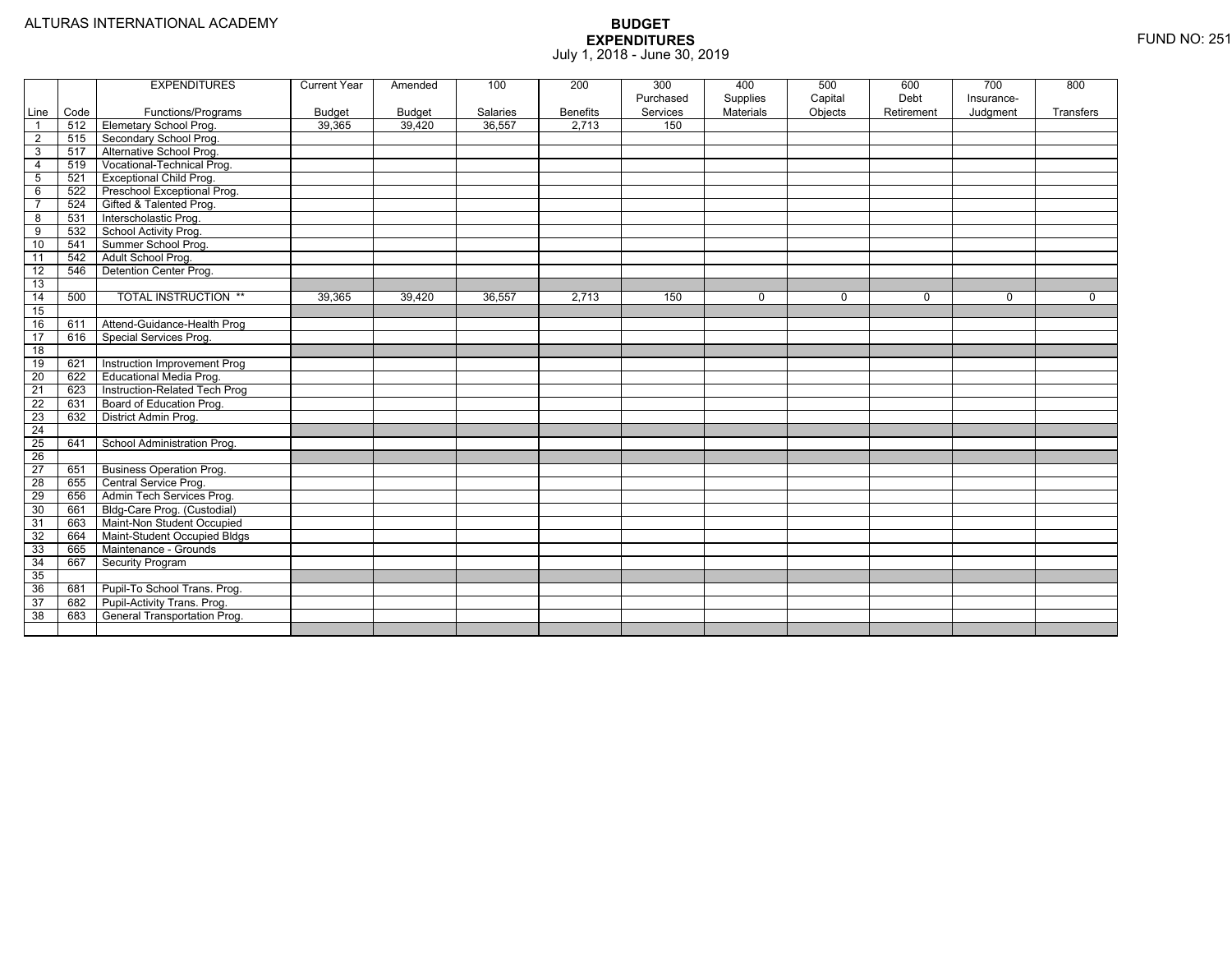|                         |      | <b>EXPENDITURES</b>             | <b>Current Year</b> | Amended | 100      | 200             | 300<br>Purchased | 400<br>Supplies | 500<br>Capital | 600<br>Debt | 700<br>Insurance- | 800         |
|-------------------------|------|---------------------------------|---------------------|---------|----------|-----------------|------------------|-----------------|----------------|-------------|-------------------|-------------|
| Line                    | Code | Functions/Programs              | Budget              | Budget  | Salaries | <b>Benefits</b> | Services         | Materials       | Objects        | Retirement  | Judgment          | Transfers   |
| $\overline{1}$          | 512  | Elemetary School Prog.          | 39,365              | 39,420  | 36,557   | 2.713           | 150              |                 |                |             |                   |             |
| $\overline{2}$          | 515  | Secondary School Prog.          |                     |         |          |                 |                  |                 |                |             |                   |             |
| 3                       | 517  | Alternative School Prog.        |                     |         |          |                 |                  |                 |                |             |                   |             |
| $\overline{4}$          | 519  | Vocational-Technical Prog.      |                     |         |          |                 |                  |                 |                |             |                   |             |
| 5                       | 521  | <b>Exceptional Child Prog.</b>  |                     |         |          |                 |                  |                 |                |             |                   |             |
| 6                       | 522  | Preschool Exceptional Prog.     |                     |         |          |                 |                  |                 |                |             |                   |             |
| $\overline{7}$          | 524  | Gifted & Talented Prog.         |                     |         |          |                 |                  |                 |                |             |                   |             |
| $\overline{\mathbf{8}}$ | 531  | Interscholastic Prog.           |                     |         |          |                 |                  |                 |                |             |                   |             |
| 9                       | 532  | School Activity Prog.           |                     |         |          |                 |                  |                 |                |             |                   |             |
| 10                      | 541  | Summer School Prog.             |                     |         |          |                 |                  |                 |                |             |                   |             |
| 11                      | 542  | Adult School Prog.              |                     |         |          |                 |                  |                 |                |             |                   |             |
| 12                      | 546  | Detention Center Prog.          |                     |         |          |                 |                  |                 |                |             |                   |             |
| 13                      |      |                                 |                     |         |          |                 |                  |                 |                |             |                   |             |
| 14                      | 500  | <b>TOTAL INSTRUCTION **</b>     | 39,365              | 39,420  | 36,557   | 2,713           | 150              | $\mathbf 0$     | $\mathbf 0$    | $\Omega$    | $\mathbf 0$       | $\mathbf 0$ |
| 15                      |      |                                 |                     |         |          |                 |                  |                 |                |             |                   |             |
| 16                      | 611  | Attend-Guidance-Health Prog     |                     |         |          |                 |                  |                 |                |             |                   |             |
| $\overline{17}$         | 616  | Special Services Prog.          |                     |         |          |                 |                  |                 |                |             |                   |             |
| 18                      |      |                                 |                     |         |          |                 |                  |                 |                |             |                   |             |
| 19                      | 621  | Instruction Improvement Prog    |                     |         |          |                 |                  |                 |                |             |                   |             |
| $\overline{20}$         | 622  | Educational Media Prog.         |                     |         |          |                 |                  |                 |                |             |                   |             |
| $\overline{21}$         | 623  | Instruction-Related Tech Prog   |                     |         |          |                 |                  |                 |                |             |                   |             |
| 22                      | 631  | Board of Education Prog.        |                     |         |          |                 |                  |                 |                |             |                   |             |
| $\overline{23}$         | 632  | District Admin Prog.            |                     |         |          |                 |                  |                 |                |             |                   |             |
| $\overline{24}$         |      |                                 |                     |         |          |                 |                  |                 |                |             |                   |             |
| $\overline{25}$         | 641  | School Administration Prog.     |                     |         |          |                 |                  |                 |                |             |                   |             |
| $\overline{26}$         |      |                                 |                     |         |          |                 |                  |                 |                |             |                   |             |
| $\overline{27}$         | 651  | <b>Business Operation Prog.</b> |                     |         |          |                 |                  |                 |                |             |                   |             |
| $\overline{28}$         | 655  | Central Service Prog.           |                     |         |          |                 |                  |                 |                |             |                   |             |
| 29                      | 656  | Admin Tech Services Prog.       |                     |         |          |                 |                  |                 |                |             |                   |             |
| 30                      | 661  | Bldg-Care Prog. (Custodial)     |                     |         |          |                 |                  |                 |                |             |                   |             |
| 31                      | 663  | Maint-Non Student Occupied      |                     |         |          |                 |                  |                 |                |             |                   |             |
| 32                      | 664  | Maint-Student Occupied Bldgs    |                     |         |          |                 |                  |                 |                |             |                   |             |
| 33                      | 665  | Maintenance - Grounds           |                     |         |          |                 |                  |                 |                |             |                   |             |
| 34                      | 667  | Security Program                |                     |         |          |                 |                  |                 |                |             |                   |             |
| 35                      |      |                                 |                     |         |          |                 |                  |                 |                |             |                   |             |
| 36                      | 681  | Pupil-To School Trans. Prog.    |                     |         |          |                 |                  |                 |                |             |                   |             |
| 37                      | 682  | Pupil-Activity Trans. Prog.     |                     |         |          |                 |                  |                 |                |             |                   |             |
| 38                      | 683  | General Transportation Prog.    |                     |         |          |                 |                  |                 |                |             |                   |             |
|                         |      |                                 |                     |         |          |                 |                  |                 |                |             |                   |             |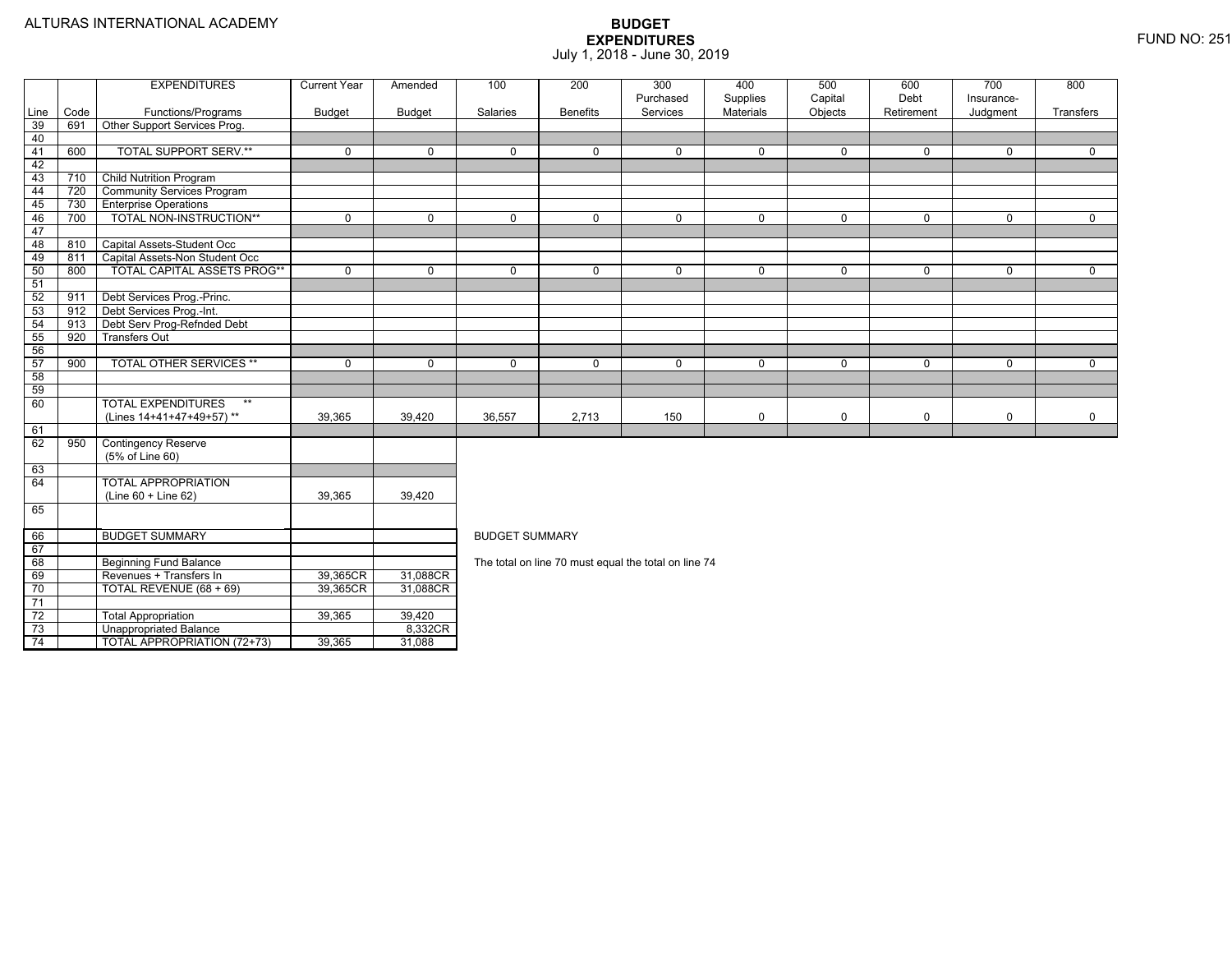74

Unappropriated Balance 8,332CR

4 | | TOTAL APPROPRIATION (72+73) | 39,365 | 31,088

|                 |      | <b>EXPENDITURES</b>                           | <b>Current Year</b> | Amended       | 100                   | 200             | 300                                                  | 400                   | 500                | 600                | 700                    | 800         |  |  |  |
|-----------------|------|-----------------------------------------------|---------------------|---------------|-----------------------|-----------------|------------------------------------------------------|-----------------------|--------------------|--------------------|------------------------|-------------|--|--|--|
| Line            | Code | Functions/Programs                            | <b>Budget</b>       | <b>Budget</b> | Salaries              | <b>Benefits</b> | Purchased<br>Services                                | Supplies<br>Materials | Capital<br>Objects | Debt<br>Retirement | Insurance-<br>Judgment | Transfers   |  |  |  |
| 39              | 691  | Other Support Services Prog.                  |                     |               |                       |                 |                                                      |                       |                    |                    |                        |             |  |  |  |
| 40              |      |                                               |                     |               |                       |                 |                                                      |                       |                    |                    |                        |             |  |  |  |
| 41              | 600  | <b>TOTAL SUPPORT SERV.**</b>                  | $\mathbf 0$         | $\Omega$      | $\Omega$              | $\Omega$        | 0                                                    | $\mathbf 0$           | $\Omega$           | $\Omega$           | $\mathbf 0$            | $\Omega$    |  |  |  |
| 42              |      |                                               |                     |               |                       |                 |                                                      |                       |                    |                    |                        |             |  |  |  |
| 43              | 710  | <b>Child Nutrition Program</b>                |                     |               |                       |                 |                                                      |                       |                    |                    |                        |             |  |  |  |
| 44              | 720  | <b>Community Services Program</b>             |                     |               |                       |                 |                                                      |                       |                    |                    |                        |             |  |  |  |
| 45              | 730  | <b>Enterprise Operations</b>                  |                     |               |                       |                 |                                                      |                       |                    |                    |                        |             |  |  |  |
| 46              | 700  | TOTAL NON-INSTRUCTION**                       | $\mathbf 0$         | $\mathbf 0$   | $\mathbf 0$           | $\mathbf 0$     | 0                                                    | $\mathbf 0$           | $\mathbf 0$        | $\mathbf 0$        | $\mathbf 0$            | $\mathbf 0$ |  |  |  |
| 47              |      |                                               |                     |               |                       |                 |                                                      |                       |                    |                    |                        |             |  |  |  |
| 48              | 810  | Capital Assets-Student Occ                    |                     |               |                       |                 |                                                      |                       |                    |                    |                        |             |  |  |  |
| 49              | 811  | Capital Assets-Non Student Occ                |                     |               |                       |                 |                                                      |                       |                    |                    |                        |             |  |  |  |
| 50              | 800  | TOTAL CAPITAL ASSETS PROG**                   | $\mathbf 0$         | $\mathbf 0$   | $\mathbf 0$           | $\Omega$        | 0                                                    | $\mathbf 0$           | $\mathbf 0$        | $\mathbf 0$        | $\mathbf 0$            | $\mathbf 0$ |  |  |  |
| 51              |      |                                               |                     |               |                       |                 |                                                      |                       |                    |                    |                        |             |  |  |  |
| 52              | 911  | Debt Services Prog.-Princ.                    |                     |               |                       |                 |                                                      |                       |                    |                    |                        |             |  |  |  |
| 53              | 912  | Debt Services Prog.-Int.                      |                     |               |                       |                 |                                                      |                       |                    |                    |                        |             |  |  |  |
| 54              | 913  | Debt Serv Prog-Refnded Debt                   |                     |               |                       |                 |                                                      |                       |                    |                    |                        |             |  |  |  |
| 55              | 920  | <b>Transfers Out</b>                          |                     |               |                       |                 |                                                      |                       |                    |                    |                        |             |  |  |  |
| 56              |      |                                               |                     |               |                       |                 |                                                      |                       |                    |                    |                        |             |  |  |  |
| 57              | 900  | <b>TOTAL OTHER SERVICES **</b>                | 0                   | $\Omega$      | $\mathbf 0$           | $\Omega$        | 0                                                    | $\mathbf 0$           | $\Omega$           | $\Omega$           | $\mathbf 0$            | $\mathbf 0$ |  |  |  |
| 58              |      |                                               |                     |               |                       |                 |                                                      |                       |                    |                    |                        |             |  |  |  |
| 59              |      |                                               |                     |               |                       |                 |                                                      |                       |                    |                    |                        |             |  |  |  |
| 60              |      | <b>TOTAL EXPENDITURES</b><br>$***$            |                     |               |                       |                 |                                                      |                       |                    |                    |                        |             |  |  |  |
|                 |      | (Lines 14+41+47+49+57)**                      | 39.365              | 39.420        | 36,557                | 2,713           | 150                                                  | 0                     | 0                  | $\mathbf 0$        | $\mathbf 0$            | $\mathbf 0$ |  |  |  |
| 61              |      |                                               |                     |               |                       |                 |                                                      |                       |                    |                    |                        |             |  |  |  |
| 62              | 950  | <b>Contingency Reserve</b><br>(5% of Line 60) |                     |               |                       |                 |                                                      |                       |                    |                    |                        |             |  |  |  |
| 63              |      |                                               |                     |               |                       |                 |                                                      |                       |                    |                    |                        |             |  |  |  |
| 64              |      | <b>TOTAL APPROPRIATION</b>                    |                     |               |                       |                 |                                                      |                       |                    |                    |                        |             |  |  |  |
|                 |      | (Line 60 + Line 62)                           | 39,365              | 39,420        |                       |                 |                                                      |                       |                    |                    |                        |             |  |  |  |
| 65              |      |                                               |                     |               |                       |                 |                                                      |                       |                    |                    |                        |             |  |  |  |
|                 |      |                                               |                     |               |                       |                 |                                                      |                       |                    |                    |                        |             |  |  |  |
| 66              |      | <b>BUDGET SUMMARY</b>                         |                     |               | <b>BUDGET SUMMARY</b> |                 |                                                      |                       |                    |                    |                        |             |  |  |  |
| 67              |      |                                               |                     |               |                       |                 |                                                      |                       |                    |                    |                        |             |  |  |  |
| 68              |      | <b>Beginning Fund Balance</b>                 |                     |               |                       |                 | The total on line 70 must equal the total on line 74 |                       |                    |                    |                        |             |  |  |  |
| 69              |      | Revenues + Transfers In                       | 39,365CR            | 31,088CR      |                       |                 |                                                      |                       |                    |                    |                        |             |  |  |  |
| 70              |      | TOTAL REVENUE (68 + 69)                       | 39,365CR            | 31,088CR      |                       |                 |                                                      |                       |                    |                    |                        |             |  |  |  |
| 71              |      |                                               |                     |               |                       |                 |                                                      |                       |                    |                    |                        |             |  |  |  |
| $\overline{72}$ |      | <b>Total Appropriation</b>                    | 39,365              | 39,420        |                       |                 |                                                      |                       |                    |                    |                        |             |  |  |  |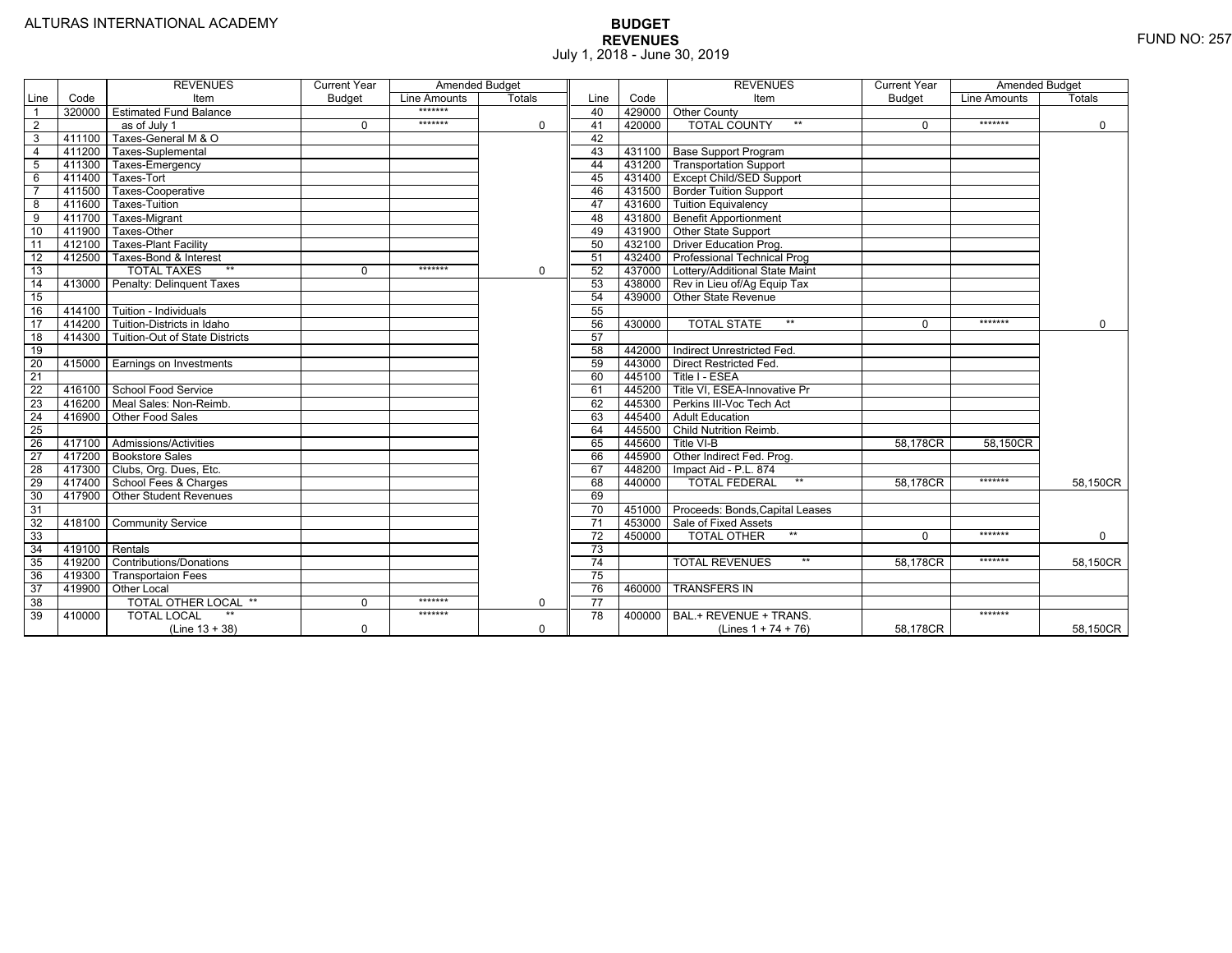|                 |                | <b>REVENUES</b>                         | <b>Current Year</b> | <b>Amended Budget</b> |          |                 |        | <b>REVENUES</b>                        | <b>Current Year</b> | <b>Amended Budget</b> |             |
|-----------------|----------------|-----------------------------------------|---------------------|-----------------------|----------|-----------------|--------|----------------------------------------|---------------------|-----------------------|-------------|
| Line            | Code           | Item                                    | <b>Budget</b>       | Line Amounts          | Totals   | Line            | Code   | Item                                   | <b>Budget</b>       | Line Amounts          | Totals      |
|                 |                | 320000 Estimated Fund Balance           |                     | *******               |          | 40              |        | 429000 Other County                    |                     |                       |             |
| $\overline{2}$  |                | as of July 1                            | $\Omega$            | *******               | 0        | 41              | 420000 | <b>TOTAL COUNTY</b><br>$***$           | $\Omega$            | *******               | $\mathbf 0$ |
| 3               | 411100         | Taxes-General M & O                     |                     |                       |          | 42              |        |                                        |                     |                       |             |
| $\overline{4}$  | 411200         | Taxes-Suplemental                       |                     |                       |          | 43              |        | 431100 Base Support Program            |                     |                       |             |
| 5               | 411300         | Taxes-Emergency                         |                     |                       |          | 44              |        | 431200 Transportation Support          |                     |                       |             |
| 6               | 411400         | Taxes-Tort                              |                     |                       |          | 45              |        | 431400 Except Child/SED Support        |                     |                       |             |
|                 | 411500         | Taxes-Cooperative                       |                     |                       |          | 46              |        | 431500   Border Tuition Support        |                     |                       |             |
| 8               | 411600         | Taxes-Tuition                           |                     |                       |          | 47              |        | 431600 Tuition Equivalency             |                     |                       |             |
| 9               | 411700         | Taxes-Migrant                           |                     |                       |          | 48              |        | 431800 Benefit Apportionment           |                     |                       |             |
| 10              | 411900         | Taxes-Other                             |                     |                       |          | 49              |        | 431900 Other State Support             |                     |                       |             |
| 11              | 412100         | <b>Taxes-Plant Facility</b>             |                     |                       |          | 50              |        | 432100 Driver Education Prog.          |                     |                       |             |
| 12              | 412500         | Taxes-Bond & Interest                   |                     |                       |          | 51              |        | 432400 Professional Technical Prog     |                     |                       |             |
| 13              |                | $**$<br><b>TOTAL TAXES</b>              | $\mathbf 0$         | *******               | 0        | 52              |        | 437000 Lottery/Additional State Maint  |                     |                       |             |
| 14              |                | 413000 Penalty: Delinguent Taxes        |                     |                       |          | 53              |        | 438000 Rev in Lieu of/Ag Equip Tax     |                     |                       |             |
| 15              |                |                                         |                     |                       |          | 54              | 439000 | <b>Other State Revenue</b>             |                     |                       |             |
| 16              |                | 414100 Tuition - Individuals            |                     |                       |          | 55              |        |                                        |                     |                       |             |
| 17              |                | 414200 Tuition-Districts in Idaho       |                     |                       |          | 56              | 430000 | $***$<br><b>TOTAL STATE</b>            | $\Omega$            | *******               | $\Omega$    |
| 18              |                | 414300   Tuition-Out of State Districts |                     |                       |          | 57              |        |                                        |                     |                       |             |
| 19              |                |                                         |                     |                       |          | 58              |        | 442000 Indirect Unrestricted Fed.      |                     |                       |             |
| $\overline{20}$ |                | 415000 Earnings on Investments          |                     |                       |          | 59              |        | 443000 Direct Restricted Fed.          |                     |                       |             |
| 21              |                |                                         |                     |                       |          | 60              |        | 445100 Title I - ESEA                  |                     |                       |             |
| 22              |                | 416100 School Food Service              |                     |                       |          | 61              |        | 445200   Title VI. ESEA-Innovative Pr  |                     |                       |             |
| $\overline{23}$ |                | 416200   Meal Sales: Non-Reimb.         |                     |                       |          | 62              |        | 445300 Perkins III-Voc Tech Act        |                     |                       |             |
| 24              |                | 416900 Other Food Sales                 |                     |                       |          | 63              |        | 445400 Adult Education                 |                     |                       |             |
| 25              |                |                                         |                     |                       |          | 64              |        | 445500 Child Nutrition Reimb.          |                     |                       |             |
| 26              |                | 417100 Admissions/Activities            |                     |                       |          | 65              | 445600 | Title VI-B                             | 58.178CR            | 58.150CR              |             |
| $\overline{27}$ |                | 417200 Bookstore Sales                  |                     |                       |          | 66              | 445900 | Other Indirect Fed. Prog.              |                     |                       |             |
| $\overline{28}$ |                | 417300   Clubs, Org. Dues, Etc.         |                     |                       |          | 67              | 448200 | Impact Aid - P.L. 874                  |                     |                       |             |
| $\overline{29}$ |                | 417400 School Fees & Charges            |                     |                       |          | 68              | 440000 | <b>TOTAL FEDERAL</b><br>$***$          | 58.178CR            | *******               | 58,150CR    |
| 30              |                | 417900 Other Student Revenues           |                     |                       |          | 69              |        |                                        |                     |                       |             |
| 31              |                |                                         |                     |                       |          | $\overline{70}$ |        | 451000 Proceeds: Bonds, Capital Leases |                     |                       |             |
| $\overline{32}$ |                | 418100 Community Service                |                     |                       |          | $\overline{71}$ |        | 453000 Sale of Fixed Assets            |                     |                       |             |
| 33              |                |                                         |                     |                       |          | 72              | 450000 | $**$<br><b>TOTAL OTHER</b>             | $\Omega$            | *******               | $\mathbf 0$ |
| 34              | 419100 Rentals |                                         |                     |                       |          | 73              |        |                                        |                     |                       |             |
| 35              |                | 419200 Contributions/Donations          |                     |                       |          | $\overline{74}$ |        | <b>TOTAL REVENUES</b><br>$**$          | 58.178CR            | *******               | 58,150CR    |
| 36              | 419300         | <b>Transportaion Fees</b>               |                     |                       |          | 75              |        |                                        |                     |                       |             |
| 37              |                | 419900 Other Local                      |                     |                       |          | 76              | 460000 | <b>TRANSFERS IN</b>                    |                     |                       |             |
| 38              |                | TOTAL OTHER LOCAL **                    | $\mathbf 0$         | *******               | 0        | 77              |        |                                        |                     |                       |             |
| 39              | 410000         | <b>TOTAL LOCAL</b>                      |                     | *******               |          | 78              | 400000 | BAL.+ REVENUE + TRANS.                 |                     | *******               |             |
|                 |                | $(Line 13 + 38)$                        | $\mathbf 0$         |                       | $\Omega$ |                 |        | (Lines $1 + 74 + 76$ )                 | 58.178CR            |                       | 58,150CR    |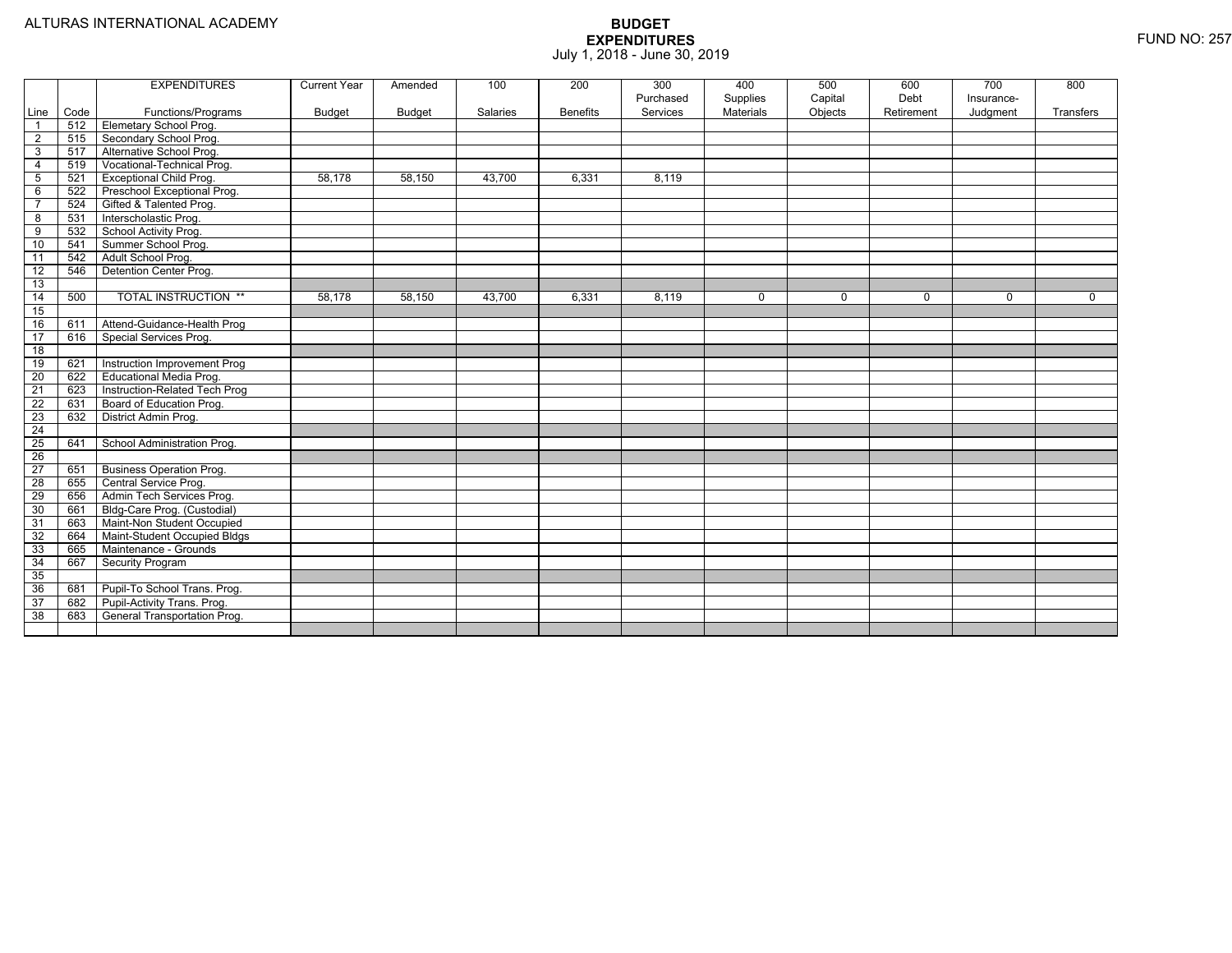|                 |      | <b>EXPENDITURES</b>             | <b>Current Year</b> | Amended       | 100      | 200             | 300<br>Purchased | 400<br>Supplies | 500<br>Capital | 600<br>Debt | 700<br>Insurance- | 800         |
|-----------------|------|---------------------------------|---------------------|---------------|----------|-----------------|------------------|-----------------|----------------|-------------|-------------------|-------------|
| Line            | Code | Functions/Programs              | <b>Budget</b>       | <b>Budget</b> | Salaries | <b>Benefits</b> | Services         | Materials       | Objects        | Retirement  | Judgment          | Transfers   |
| $\overline{1}$  | 512  | <b>Elemetary School Prog.</b>   |                     |               |          |                 |                  |                 |                |             |                   |             |
| $\overline{2}$  | 515  | Secondary School Prog.          |                     |               |          |                 |                  |                 |                |             |                   |             |
| 3               | 517  | Alternative School Prog.        |                     |               |          |                 |                  |                 |                |             |                   |             |
| 4               | 519  | Vocational-Technical Prog.      |                     |               |          |                 |                  |                 |                |             |                   |             |
| $5\phantom{.0}$ | 521  | Exceptional Child Prog.         | 58.178              | 58,150        | 43,700   | 6,331           | 8,119            |                 |                |             |                   |             |
| 6               | 522  | Preschool Exceptional Prog.     |                     |               |          |                 |                  |                 |                |             |                   |             |
| $\overline{7}$  | 524  | Gifted & Talented Prog.         |                     |               |          |                 |                  |                 |                |             |                   |             |
| 8               | 531  | Interscholastic Prog.           |                     |               |          |                 |                  |                 |                |             |                   |             |
| 9               | 532  | School Activity Prog.           |                     |               |          |                 |                  |                 |                |             |                   |             |
| 10              | 541  | Summer School Prog.             |                     |               |          |                 |                  |                 |                |             |                   |             |
| 11              | 542  | Adult School Prog.              |                     |               |          |                 |                  |                 |                |             |                   |             |
| $\overline{12}$ | 546  | Detention Center Prog.          |                     |               |          |                 |                  |                 |                |             |                   |             |
| 13              |      |                                 |                     |               |          |                 |                  |                 |                |             |                   |             |
| 14              | 500  | <b>TOTAL INSTRUCTION **</b>     | 58,178              | 58,150        | 43,700   | 6,331           | 8,119            | 0               | $\mathbf 0$    | 0           | $\mathbf 0$       | $\mathbf 0$ |
| 15              |      |                                 |                     |               |          |                 |                  |                 |                |             |                   |             |
| 16              | 611  | Attend-Guidance-Health Prog     |                     |               |          |                 |                  |                 |                |             |                   |             |
| 17              | 616  | Special Services Prog.          |                     |               |          |                 |                  |                 |                |             |                   |             |
| 18              |      |                                 |                     |               |          |                 |                  |                 |                |             |                   |             |
| 19              | 621  | Instruction Improvement Prog    |                     |               |          |                 |                  |                 |                |             |                   |             |
| 20              | 622  | Educational Media Prog.         |                     |               |          |                 |                  |                 |                |             |                   |             |
| $\overline{21}$ | 623  | Instruction-Related Tech Prog   |                     |               |          |                 |                  |                 |                |             |                   |             |
| $\overline{22}$ | 631  | Board of Education Prog.        |                     |               |          |                 |                  |                 |                |             |                   |             |
| 23              | 632  | District Admin Prog.            |                     |               |          |                 |                  |                 |                |             |                   |             |
| $\overline{24}$ |      |                                 |                     |               |          |                 |                  |                 |                |             |                   |             |
| $\overline{25}$ | 641  | School Administration Prog.     |                     |               |          |                 |                  |                 |                |             |                   |             |
| $\overline{26}$ |      |                                 |                     |               |          |                 |                  |                 |                |             |                   |             |
| $\overline{27}$ | 651  | <b>Business Operation Prog.</b> |                     |               |          |                 |                  |                 |                |             |                   |             |
| 28              | 655  | Central Service Prog.           |                     |               |          |                 |                  |                 |                |             |                   |             |
| 29              | 656  | Admin Tech Services Prog.       |                     |               |          |                 |                  |                 |                |             |                   |             |
| 30              | 661  | Bldg-Care Prog. (Custodial)     |                     |               |          |                 |                  |                 |                |             |                   |             |
| 31              | 663  | Maint-Non Student Occupied      |                     |               |          |                 |                  |                 |                |             |                   |             |
| 32              | 664  | Maint-Student Occupied Bldgs    |                     |               |          |                 |                  |                 |                |             |                   |             |
| 33              | 665  | Maintenance - Grounds           |                     |               |          |                 |                  |                 |                |             |                   |             |
| 34              | 667  | <b>Security Program</b>         |                     |               |          |                 |                  |                 |                |             |                   |             |
| 35              |      |                                 |                     |               |          |                 |                  |                 |                |             |                   |             |
| 36              | 681  | Pupil-To School Trans. Prog.    |                     |               |          |                 |                  |                 |                |             |                   |             |
| 37              | 682  | Pupil-Activity Trans. Prog.     |                     |               |          |                 |                  |                 |                |             |                   |             |
| 38              | 683  | General Transportation Prog.    |                     |               |          |                 |                  |                 |                |             |                   |             |
|                 |      |                                 |                     |               |          |                 |                  |                 |                |             |                   |             |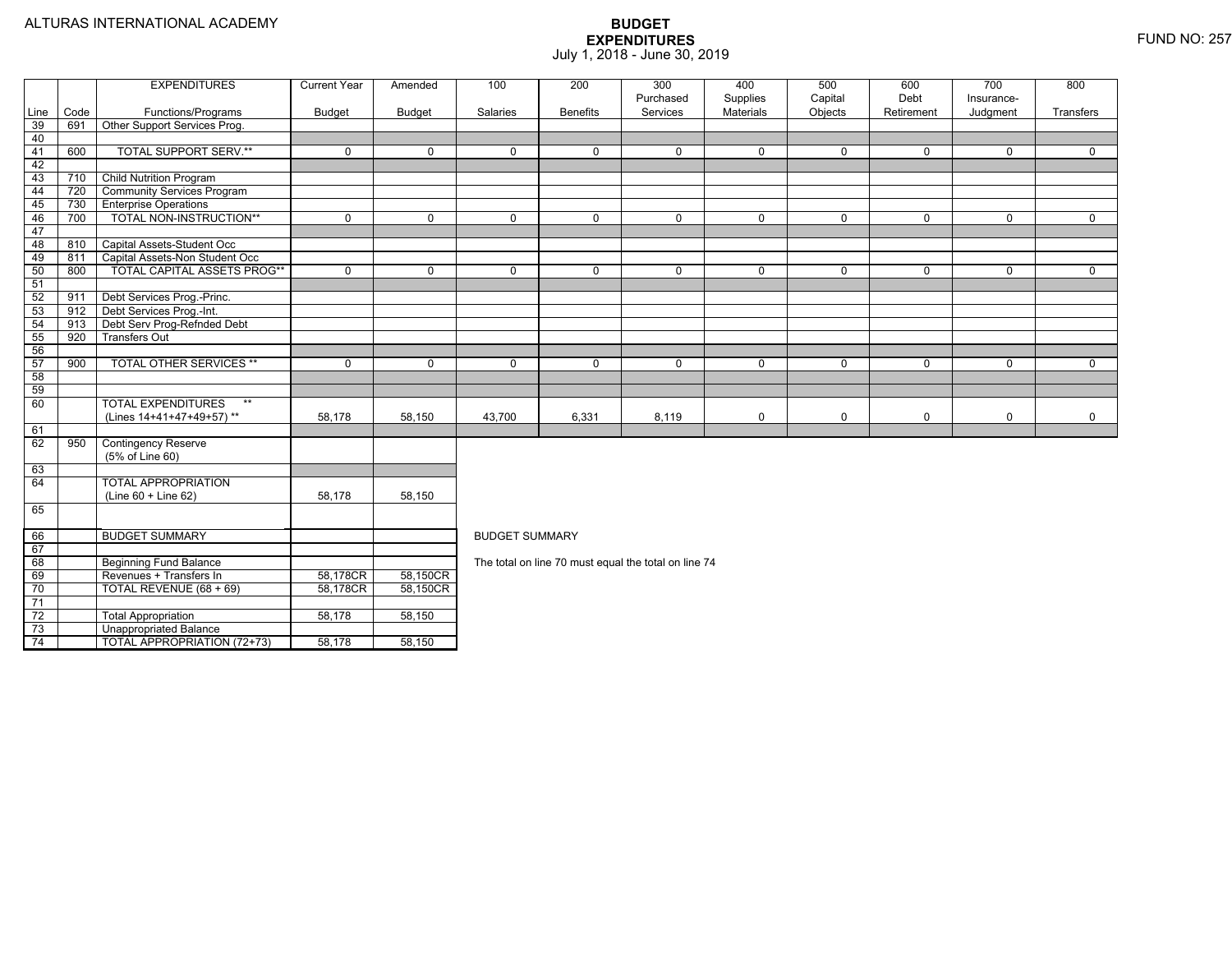74

Unappropriated Balance

4 | | TOTAL APPROPRIATION (72+73) | 58,178 | 58,150

|                 |      | <b>EXPENDITURES</b>                | <b>Current Year</b> | Amended       | 100                                                  | 200             | 300<br>Purchased | 400<br>Supplies  | 500<br>Capital | 600<br>Debt | 700<br>Insurance- | 800         |  |  |  |
|-----------------|------|------------------------------------|---------------------|---------------|------------------------------------------------------|-----------------|------------------|------------------|----------------|-------------|-------------------|-------------|--|--|--|
| Line            | Code | Functions/Programs                 | <b>Budget</b>       | <b>Budget</b> | Salaries                                             | <b>Benefits</b> | Services         | <b>Materials</b> | Objects        | Retirement  | Judgment          | Transfers   |  |  |  |
| 39              | 691  | Other Support Services Prog.       |                     |               |                                                      |                 |                  |                  |                |             |                   |             |  |  |  |
| 40              |      |                                    |                     |               |                                                      |                 |                  |                  |                |             |                   |             |  |  |  |
| 41              | 600  | <b>TOTAL SUPPORT SERV.**</b>       | $\mathbf 0$         | $\Omega$      | $\Omega$                                             | $\Omega$        | 0                | $\mathbf 0$      | $\mathbf 0$    | $\Omega$    | $\mathbf 0$       | $\mathbf 0$ |  |  |  |
| 42              |      |                                    |                     |               |                                                      |                 |                  |                  |                |             |                   |             |  |  |  |
| 43              | 710  | <b>Child Nutrition Program</b>     |                     |               |                                                      |                 |                  |                  |                |             |                   |             |  |  |  |
| 44              | 720  | <b>Community Services Program</b>  |                     |               |                                                      |                 |                  |                  |                |             |                   |             |  |  |  |
| 45              | 730  | <b>Enterprise Operations</b>       |                     |               |                                                      |                 |                  |                  |                |             |                   |             |  |  |  |
| 46              | 700  | TOTAL NON-INSTRUCTION**            | $\mathbf 0$         | $\mathbf 0$   | $\mathbf 0$                                          | $\Omega$        | 0                | $\mathbf 0$      | $\mathbf 0$    | $\mathbf 0$ | $\mathbf 0$       | $\mathbf 0$ |  |  |  |
| 47              |      |                                    |                     |               |                                                      |                 |                  |                  |                |             |                   |             |  |  |  |
| 48              | 810  | Capital Assets-Student Occ         |                     |               |                                                      |                 |                  |                  |                |             |                   |             |  |  |  |
| 49              | 811  | Capital Assets-Non Student Occ     |                     |               |                                                      |                 |                  |                  |                |             |                   |             |  |  |  |
| 50              | 800  | TOTAL CAPITAL ASSETS PROG**        | $\mathbf 0$         | $\mathbf 0$   | $\mathbf 0$                                          | $\Omega$        | 0                | $\mathbf 0$      | $\mathbf 0$    | $\mathbf 0$ | $\mathbf 0$       | $\mathbf 0$ |  |  |  |
| 51              |      |                                    |                     |               |                                                      |                 |                  |                  |                |             |                   |             |  |  |  |
| 52              | 911  | Debt Services Prog.-Princ.         |                     |               |                                                      |                 |                  |                  |                |             |                   |             |  |  |  |
| 53              | 912  | Debt Services Prog.-Int.           |                     |               |                                                      |                 |                  |                  |                |             |                   |             |  |  |  |
| 54              | 913  | Debt Serv Prog-Refnded Debt        |                     |               |                                                      |                 |                  |                  |                |             |                   |             |  |  |  |
| 55              | 920  | <b>Transfers Out</b>               |                     |               |                                                      |                 |                  |                  |                |             |                   |             |  |  |  |
| 56              |      |                                    |                     |               |                                                      |                 |                  |                  |                |             |                   |             |  |  |  |
| 57              | 900  | <b>TOTAL OTHER SERVICES **</b>     | 0                   | $\Omega$      | $\mathbf 0$                                          | $\Omega$        | 0                | $\mathbf 0$      | $\Omega$       | $\Omega$    | $\mathbf 0$       | $\mathbf 0$ |  |  |  |
| 58              |      |                                    |                     |               |                                                      |                 |                  |                  |                |             |                   |             |  |  |  |
| 59              |      |                                    |                     |               |                                                      |                 |                  |                  |                |             |                   |             |  |  |  |
| 60              |      | <b>TOTAL EXPENDITURES</b><br>$***$ |                     |               |                                                      |                 |                  |                  |                |             |                   |             |  |  |  |
|                 |      | (Lines 14+41+47+49+57)**           | 58,178              | 58,150        | 43,700                                               | 6,331           | 8,119            | $\mathbf 0$      | 0              | $\mathbf 0$ | $\mathbf 0$       | $\mathbf 0$ |  |  |  |
| 61              |      |                                    |                     |               |                                                      |                 |                  |                  |                |             |                   |             |  |  |  |
| 62              | 950  | <b>Contingency Reserve</b>         |                     |               |                                                      |                 |                  |                  |                |             |                   |             |  |  |  |
|                 |      | (5% of Line 60)                    |                     |               |                                                      |                 |                  |                  |                |             |                   |             |  |  |  |
| 63              |      |                                    |                     |               |                                                      |                 |                  |                  |                |             |                   |             |  |  |  |
| 64              |      | <b>TOTAL APPROPRIATION</b>         |                     |               |                                                      |                 |                  |                  |                |             |                   |             |  |  |  |
|                 |      | $(Line 60 + Line 62)$              | 58,178              | 58,150        |                                                      |                 |                  |                  |                |             |                   |             |  |  |  |
| 65              |      |                                    |                     |               |                                                      |                 |                  |                  |                |             |                   |             |  |  |  |
|                 |      |                                    |                     |               |                                                      |                 |                  |                  |                |             |                   |             |  |  |  |
| 66              |      | <b>BUDGET SUMMARY</b>              |                     |               | <b>BUDGET SUMMARY</b>                                |                 |                  |                  |                |             |                   |             |  |  |  |
| 67              |      |                                    |                     |               |                                                      |                 |                  |                  |                |             |                   |             |  |  |  |
| 68              |      | <b>Beginning Fund Balance</b>      |                     |               | The total on line 70 must equal the total on line 74 |                 |                  |                  |                |             |                   |             |  |  |  |
| 69              |      | Revenues + Transfers In            | 58,178CR            | 58,150CR      |                                                      |                 |                  |                  |                |             |                   |             |  |  |  |
| 70              |      | TOTAL REVENUE (68 + 69)            | 58,178CR            | 58,150CR      |                                                      |                 |                  |                  |                |             |                   |             |  |  |  |
| $\overline{71}$ |      |                                    |                     |               |                                                      |                 |                  |                  |                |             |                   |             |  |  |  |
| $\overline{72}$ |      | <b>Total Appropriation</b>         | 58,178              | 58,150        |                                                      |                 |                  |                  |                |             |                   |             |  |  |  |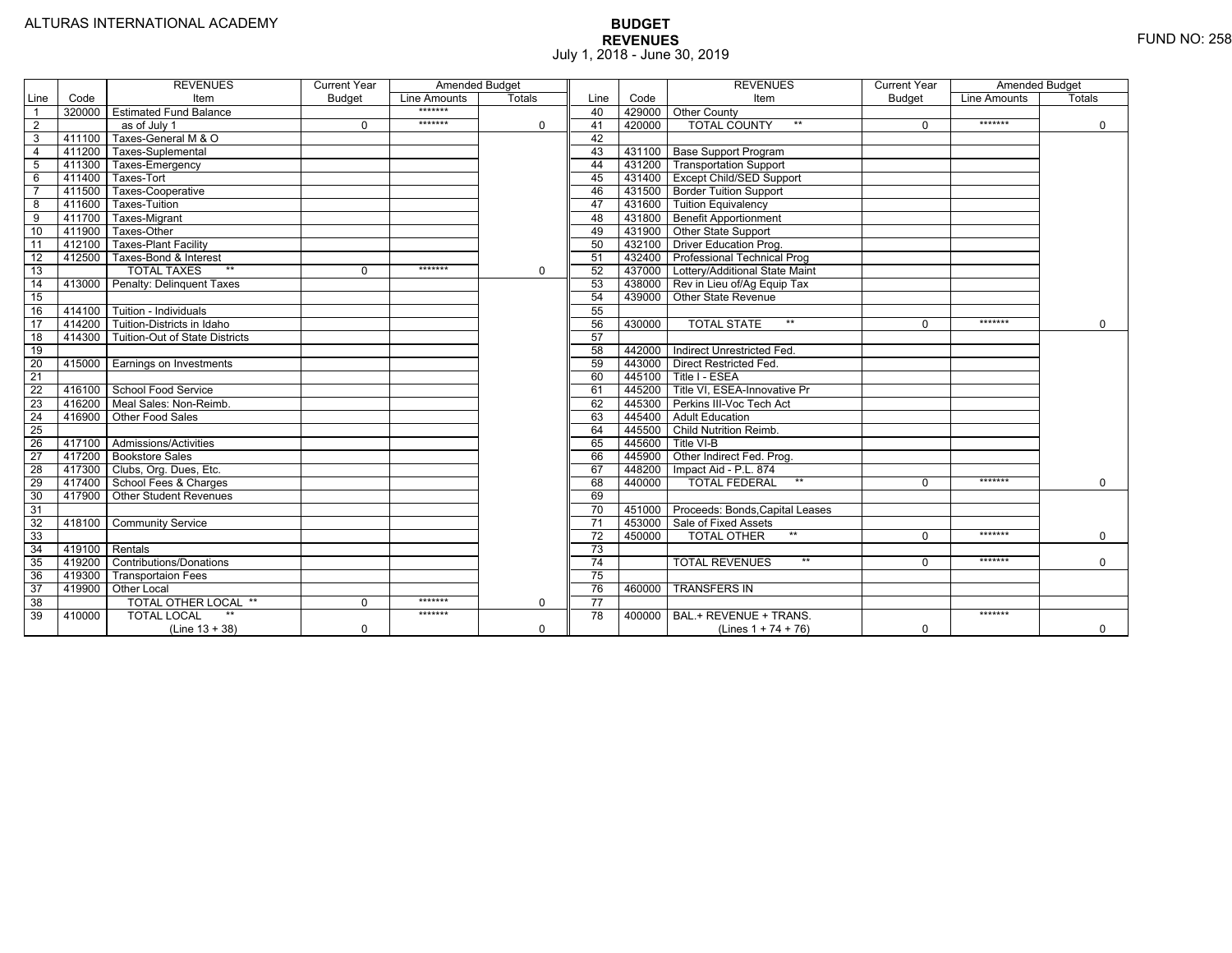|                 |                | <b>REVENUES</b>                         | <b>Current Year</b> | <b>Amended Budget</b> |          |                 |        | <b>REVENUES</b>                        | <b>Current Year</b> | <b>Amended Budget</b> |             |
|-----------------|----------------|-----------------------------------------|---------------------|-----------------------|----------|-----------------|--------|----------------------------------------|---------------------|-----------------------|-------------|
| Line            | Code           | Item                                    | <b>Budget</b>       | Line Amounts          | Totals   | Line            | Code   | Item                                   | Budget              | Line Amounts          | Totals      |
|                 |                | 320000 Estimated Fund Balance           |                     | *******               |          | 40              |        | 429000 Other County                    |                     |                       |             |
| $\overline{2}$  |                | as of July 1                            | $\Omega$            | *******               | 0        | 41              | 420000 | <b>TOTAL COUNTY</b><br>$***$           | $\Omega$            | *******               | $\mathbf 0$ |
| 3               | 411100         | Taxes-General M & O                     |                     |                       |          | 42              |        |                                        |                     |                       |             |
| $\overline{4}$  | 411200         | Taxes-Suplemental                       |                     |                       |          | 43              |        | 431100 Base Support Program            |                     |                       |             |
| 5               |                | 411300 Taxes-Emergency                  |                     |                       |          | 44              |        | 431200 Transportation Support          |                     |                       |             |
| 6               | 411400         | Taxes-Tort                              |                     |                       |          | 45              |        | 431400 Except Child/SED Support        |                     |                       |             |
|                 | 411500         | Taxes-Cooperative                       |                     |                       |          | 46              |        | 431500 Border Tuition Support          |                     |                       |             |
| 8               | 411600         | Taxes-Tuition                           |                     |                       |          | 47              |        | 431600 Tuition Equivalency             |                     |                       |             |
| 9               |                | 411700 Taxes-Migrant                    |                     |                       |          | 48              |        | 431800 Benefit Apportionment           |                     |                       |             |
| 10              | 411900         | Taxes-Other                             |                     |                       |          | 49              |        | 431900 Other State Support             |                     |                       |             |
| 11              |                | 412100 Taxes-Plant Facility             |                     |                       |          | 50              |        | 432100 Driver Education Prog.          |                     |                       |             |
| 12              | 412500         | Taxes-Bond & Interest                   |                     |                       |          | 51              |        | 432400 Professional Technical Prog     |                     |                       |             |
| 13              |                | $**$<br><b>TOTAL TAXES</b>              | $\Omega$            | *******               | 0        | 52              |        | 437000 Lottery/Additional State Maint  |                     |                       |             |
| 14              |                | 413000 Penalty: Delinguent Taxes        |                     |                       |          | 53              |        | 438000 Rev in Lieu of/Ag Equip Tax     |                     |                       |             |
| 15              |                |                                         |                     |                       |          | 54              |        | 439000 Other State Revenue             |                     |                       |             |
| 16              |                | 414100 Tuition - Individuals            |                     |                       |          | 55              |        |                                        |                     |                       |             |
| 17              |                | 414200 Tuition-Districts in Idaho       |                     |                       |          | 56              | 430000 | $**$<br><b>TOTAL STATE</b>             | $\Omega$            | *******               | $\Omega$    |
| $\overline{18}$ |                | 414300   Tuition-Out of State Districts |                     |                       |          | 57              |        |                                        |                     |                       |             |
| 19              |                |                                         |                     |                       |          | 58              |        | 442000   Indirect Unrestricted Fed.    |                     |                       |             |
| 20              |                | 415000 Earnings on Investments          |                     |                       |          | 59              |        | 443000 Direct Restricted Fed.          |                     |                       |             |
| 21              |                |                                         |                     |                       |          | 60              |        | 445100 Title I - ESEA                  |                     |                       |             |
| 22              |                | 416100 School Food Service              |                     |                       |          | 61              |        | 445200 Title VI. ESEA-Innovative Pr    |                     |                       |             |
| 23              |                | 416200   Meal Sales: Non-Reimb.         |                     |                       |          | 62              |        | 445300 Perkins III-Voc Tech Act        |                     |                       |             |
| 24              |                | 416900 Other Food Sales                 |                     |                       |          | 63              |        | 445400 Adult Education                 |                     |                       |             |
| $\overline{25}$ |                |                                         |                     |                       |          | 64              |        | 445500 Child Nutrition Reimb.          |                     |                       |             |
| 26              |                | 417100 Admissions/Activities            |                     |                       |          | 65              | 445600 | Title VI-B                             |                     |                       |             |
| $\overline{27}$ |                | 417200 Bookstore Sales                  |                     |                       |          | 66              | 445900 | Other Indirect Fed. Prog.              |                     |                       |             |
| 28              |                | 417300 Clubs, Org. Dues, Etc.           |                     |                       |          | 67              | 448200 | Impact Aid - P.L. 874                  |                     |                       |             |
| $\overline{29}$ |                | 417400 School Fees & Charges            |                     |                       |          | 68              | 440000 | <b>TOTAL FEDERAL</b><br>$***$          | $\Omega$            | *******               | $\mathbf 0$ |
| 30              |                | 417900 Other Student Revenues           |                     |                       |          | 69              |        |                                        |                     |                       |             |
| 31              |                |                                         |                     |                       |          | 70              |        | 451000 Proceeds: Bonds, Capital Leases |                     |                       |             |
| $\overline{32}$ |                | 418100 Community Service                |                     |                       |          | $\overline{71}$ |        | 453000 Sale of Fixed Assets            |                     |                       |             |
| 33              |                |                                         |                     |                       |          | 72              | 450000 | $**$<br><b>TOTAL OTHER</b>             | $\Omega$            | *******               | $\mathbf 0$ |
| 34              | 419100 Rentals |                                         |                     |                       |          | 73              |        |                                        |                     |                       |             |
| 35              |                | 419200 Contributions/Donations          |                     |                       |          | $\overline{74}$ |        | $**$<br><b>TOTAL REVENUES</b>          | $\Omega$            | *******               | $\Omega$    |
| 36              | 419300         | <b>Transportaion Fees</b>               |                     |                       |          | 75              |        |                                        |                     |                       |             |
| 37              |                | 419900 Other Local                      |                     |                       |          | 76              | 460000 | <b>TRANSFERS IN</b>                    |                     |                       |             |
| 38              |                | TOTAL OTHER LOCAL **                    | $\mathbf 0$         | *******               | 0        | $\overline{77}$ |        |                                        |                     |                       |             |
| 39              | 410000         | <b>TOTAL LOCAL</b>                      |                     | *******               |          | 78              | 400000 | BAL.+ REVENUE + TRANS.                 |                     | *******               |             |
|                 |                | $(Line 13 + 38)$                        | $\Omega$            |                       | $\Omega$ |                 |        | (Lines $1 + 74 + 76$ )                 | $\mathbf 0$         |                       | $\Omega$    |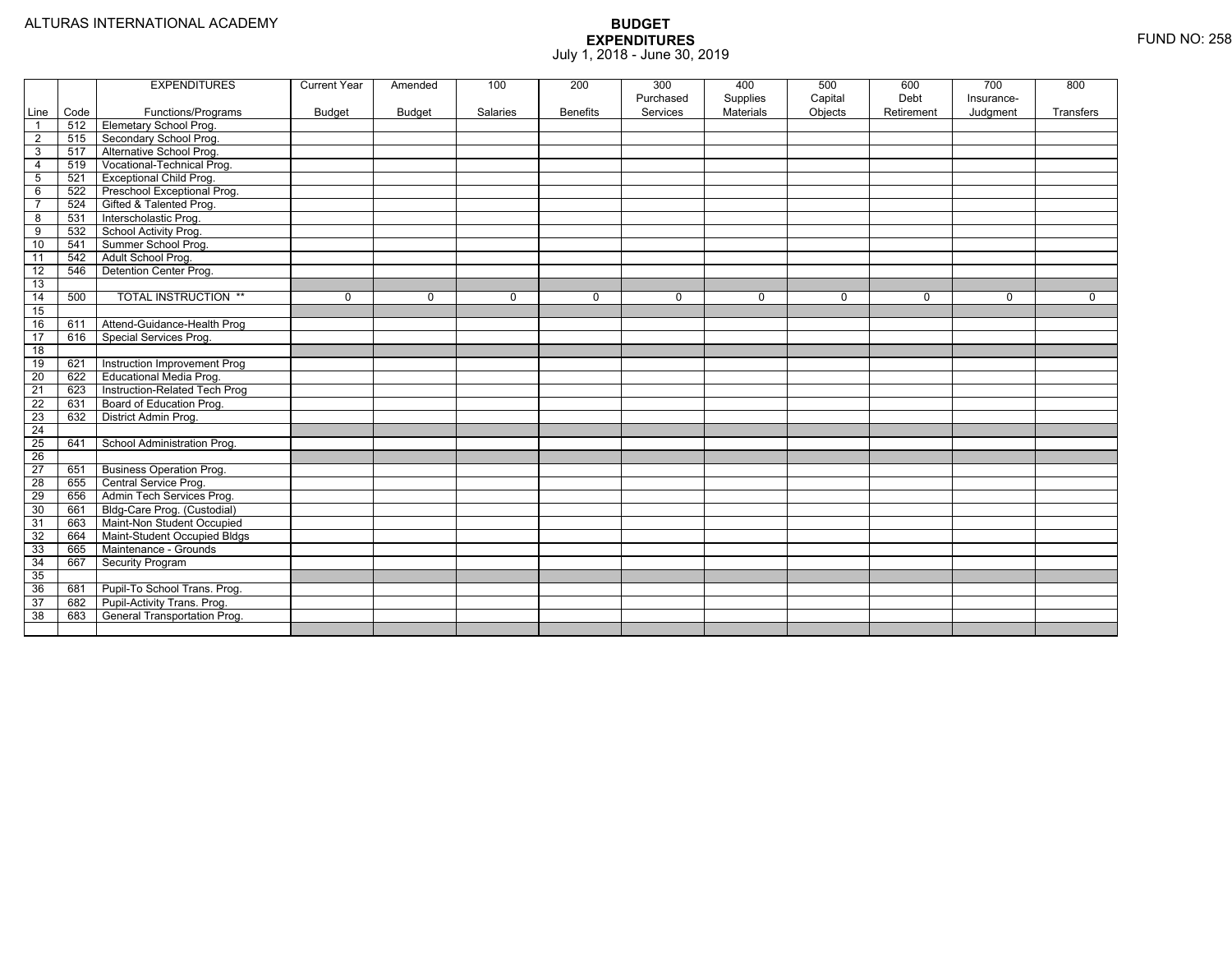|                 |      | <b>EXPENDITURES</b>             | <b>Current Year</b> | Amended  | 100      | 200             | 300<br>Purchased | 400<br>Supplies | 500<br>Capital | 600<br>Debt | 700<br>Insurance- | 800         |
|-----------------|------|---------------------------------|---------------------|----------|----------|-----------------|------------------|-----------------|----------------|-------------|-------------------|-------------|
| Line            | Code | Functions/Programs              | <b>Budget</b>       | Budget   | Salaries | <b>Benefits</b> | Services         | Materials       | Objects        | Retirement  | Judgment          | Transfers   |
| $\overline{1}$  | 512  | <b>Elemetary School Prog.</b>   |                     |          |          |                 |                  |                 |                |             |                   |             |
| $\overline{2}$  | 515  | Secondary School Prog.          |                     |          |          |                 |                  |                 |                |             |                   |             |
| 3               | 517  | Alternative School Prog.        |                     |          |          |                 |                  |                 |                |             |                   |             |
| $\overline{4}$  | 519  | Vocational-Technical Prog.      |                     |          |          |                 |                  |                 |                |             |                   |             |
| $\sqrt{5}$      | 521  | <b>Exceptional Child Prog.</b>  |                     |          |          |                 |                  |                 |                |             |                   |             |
| 6               | 522  | Preschool Exceptional Prog.     |                     |          |          |                 |                  |                 |                |             |                   |             |
| $\overline{7}$  | 524  | Gifted & Talented Prog.         |                     |          |          |                 |                  |                 |                |             |                   |             |
| 8               | 531  | Interscholastic Prog.           |                     |          |          |                 |                  |                 |                |             |                   |             |
| 9               | 532  | School Activity Prog.           |                     |          |          |                 |                  |                 |                |             |                   |             |
| 10              | 541  | Summer School Prog.             |                     |          |          |                 |                  |                 |                |             |                   |             |
| 11              | 542  | Adult School Prog.              |                     |          |          |                 |                  |                 |                |             |                   |             |
| $\overline{12}$ | 546  | <b>Detention Center Prog.</b>   |                     |          |          |                 |                  |                 |                |             |                   |             |
| 13              |      |                                 |                     |          |          |                 |                  |                 |                |             |                   |             |
| $\overline{14}$ | 500  | <b>TOTAL INSTRUCTION **</b>     | 0                   | $\Omega$ | $\Omega$ | 0               | $\Omega$         | 0               | $\mathbf 0$    | $\Omega$    | $\mathbf 0$       | $\mathbf 0$ |
| 15              |      |                                 |                     |          |          |                 |                  |                 |                |             |                   |             |
| 16              | 611  | Attend-Guidance-Health Prog     |                     |          |          |                 |                  |                 |                |             |                   |             |
| $\overline{17}$ | 616  | Special Services Prog.          |                     |          |          |                 |                  |                 |                |             |                   |             |
| $\overline{18}$ |      |                                 |                     |          |          |                 |                  |                 |                |             |                   |             |
| 19              | 621  | Instruction Improvement Prog    |                     |          |          |                 |                  |                 |                |             |                   |             |
| 20              | 622  | Educational Media Prog.         |                     |          |          |                 |                  |                 |                |             |                   |             |
| 21              | 623  | Instruction-Related Tech Prog   |                     |          |          |                 |                  |                 |                |             |                   |             |
| $\overline{22}$ | 631  | Board of Education Prog.        |                     |          |          |                 |                  |                 |                |             |                   |             |
| 23              | 632  | District Admin Prog.            |                     |          |          |                 |                  |                 |                |             |                   |             |
| $\overline{24}$ |      |                                 |                     |          |          |                 |                  |                 |                |             |                   |             |
| $\overline{25}$ | 641  | School Administration Prog.     |                     |          |          |                 |                  |                 |                |             |                   |             |
| $\overline{26}$ |      |                                 |                     |          |          |                 |                  |                 |                |             |                   |             |
| $\overline{27}$ | 651  | <b>Business Operation Prog.</b> |                     |          |          |                 |                  |                 |                |             |                   |             |
| $\overline{28}$ | 655  | Central Service Prog.           |                     |          |          |                 |                  |                 |                |             |                   |             |
| 29              | 656  | Admin Tech Services Prog.       |                     |          |          |                 |                  |                 |                |             |                   |             |
| 30              | 661  | Bldg-Care Prog. (Custodial)     |                     |          |          |                 |                  |                 |                |             |                   |             |
| 31              | 663  | Maint-Non Student Occupied      |                     |          |          |                 |                  |                 |                |             |                   |             |
| 32              | 664  | Maint-Student Occupied Bldgs    |                     |          |          |                 |                  |                 |                |             |                   |             |
| 33              | 665  | Maintenance - Grounds           |                     |          |          |                 |                  |                 |                |             |                   |             |
| 34              | 667  | Security Program                |                     |          |          |                 |                  |                 |                |             |                   |             |
| 35              |      |                                 |                     |          |          |                 |                  |                 |                |             |                   |             |
| 36              | 681  | Pupil-To School Trans. Prog.    |                     |          |          |                 |                  |                 |                |             |                   |             |
| 37              | 682  | Pupil-Activity Trans. Prog.     |                     |          |          |                 |                  |                 |                |             |                   |             |
| 38              | 683  | General Transportation Prog.    |                     |          |          |                 |                  |                 |                |             |                   |             |
|                 |      |                                 |                     |          |          |                 |                  |                 |                |             |                   |             |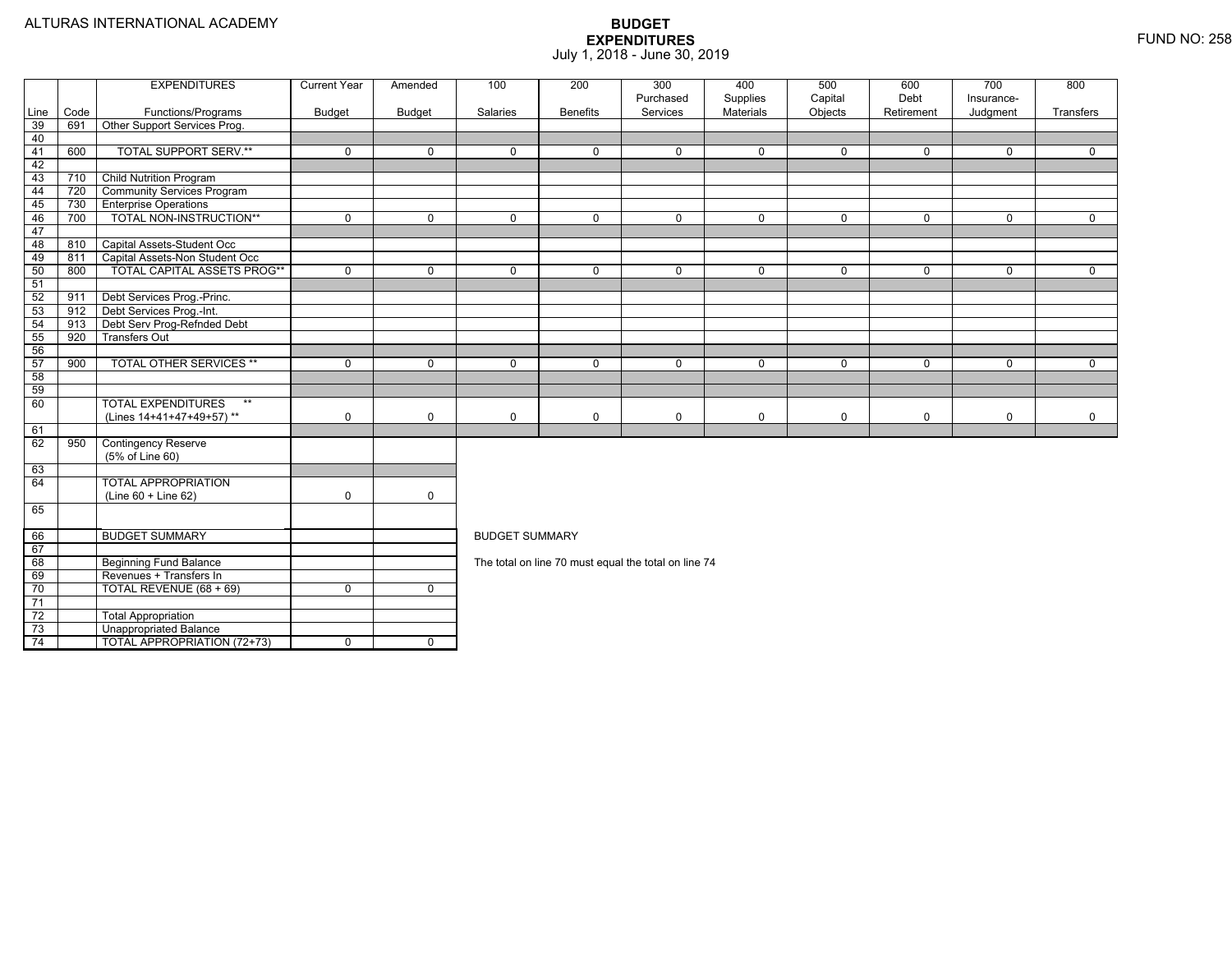|                 |      | <b>EXPENDITURES</b>                                   | <b>Current Year</b> | Amended        | 100                                                                                              | 200             | 300                                                  | 400                   | 500                | 600                | 700                    | 800            |  |  |
|-----------------|------|-------------------------------------------------------|---------------------|----------------|--------------------------------------------------------------------------------------------------|-----------------|------------------------------------------------------|-----------------------|--------------------|--------------------|------------------------|----------------|--|--|
| Line            | Code | Functions/Programs                                    | Budget              | <b>Budget</b>  | Salaries                                                                                         | <b>Benefits</b> | Purchased<br>Services                                | Supplies<br>Materials | Capital<br>Objects | Debt<br>Retirement | Insurance-<br>Judgment | Transfers      |  |  |
| 39              | 691  | Other Support Services Prog.                          |                     |                |                                                                                                  |                 |                                                      |                       |                    |                    |                        |                |  |  |
| 40              |      |                                                       |                     |                |                                                                                                  |                 |                                                      |                       |                    |                    |                        |                |  |  |
| 41              | 600  | <b>TOTAL SUPPORT SERV.**</b>                          | $\mathbf 0$         | $\mathbf 0$    | $\Omega$                                                                                         | $\mathbf 0$     | $\mathbf 0$                                          | $\mathbf 0$           | 0                  | $\mathbf 0$        | $\mathbf 0$            | $\Omega$       |  |  |
| 42              |      |                                                       |                     |                |                                                                                                  |                 |                                                      |                       |                    |                    |                        |                |  |  |
| 43              | 710  | <b>Child Nutrition Program</b>                        |                     |                |                                                                                                  |                 |                                                      |                       |                    |                    |                        |                |  |  |
| 44              | 720  | <b>Community Services Program</b>                     |                     |                |                                                                                                  |                 |                                                      |                       |                    |                    |                        |                |  |  |
| 45              | 730  | <b>Enterprise Operations</b>                          |                     |                |                                                                                                  |                 |                                                      |                       |                    |                    |                        |                |  |  |
| 46              | 700  | TOTAL NON-INSTRUCTION**                               | $\overline{0}$      | $\overline{0}$ | $\overline{0}$                                                                                   | $\overline{0}$  | $\overline{0}$                                       | $\overline{0}$        | $\overline{0}$     | $\mathbf 0$        | $\overline{0}$         | $\overline{0}$ |  |  |
| 47              |      |                                                       |                     |                |                                                                                                  |                 |                                                      |                       |                    |                    |                        |                |  |  |
| 48              | 810  | Capital Assets-Student Occ                            |                     |                |                                                                                                  |                 |                                                      |                       |                    |                    |                        |                |  |  |
| 49              | 811  | Capital Assets-Non Student Occ                        |                     |                |                                                                                                  |                 |                                                      |                       |                    |                    |                        |                |  |  |
| 50              | 800  | <b>TOTAL CAPITAL ASSETS PROG**</b>                    | $\mathbf 0$         | $\mathbf 0$    | $\mathbf 0$                                                                                      | $\mathbf 0$     | $\mathbf 0$                                          | $\mathbf 0$           | 0                  | $\mathbf 0$        | $\mathbf 0$            | $\mathbf{0}$   |  |  |
| 51              |      |                                                       |                     |                |                                                                                                  |                 |                                                      |                       |                    |                    |                        |                |  |  |
| 52              | 911  | Debt Services Prog.-Princ.                            |                     |                |                                                                                                  |                 |                                                      |                       |                    |                    |                        |                |  |  |
| 53              | 912  | Debt Services Prog.-Int.                              |                     |                |                                                                                                  |                 |                                                      |                       |                    |                    |                        |                |  |  |
| 54              | 913  | Debt Serv Prog-Refnded Debt                           |                     |                |                                                                                                  |                 |                                                      |                       |                    |                    |                        |                |  |  |
| 55              | 920  | <b>Transfers Out</b>                                  |                     |                | $\mathbf 0$<br>$\mathbf 0$<br>$\mathbf 0$<br>$\mathbf 0$<br>$\mathbf 0$<br>0<br>$\mathbf 0$<br>0 |                 |                                                      |                       |                    |                    |                        |                |  |  |
| 56              |      |                                                       |                     |                |                                                                                                  |                 |                                                      |                       |                    |                    |                        |                |  |  |
| 57              | 900  | <b>TOTAL OTHER SERVICES **</b>                        | $\mathbf 0$         | $\mathbf 0$    |                                                                                                  |                 |                                                      |                       |                    |                    |                        |                |  |  |
| 58              |      |                                                       |                     |                |                                                                                                  |                 |                                                      |                       |                    |                    |                        |                |  |  |
| 59              |      | $**$                                                  |                     |                |                                                                                                  |                 |                                                      |                       |                    |                    |                        |                |  |  |
| 60              |      | <b>TOTAL EXPENDITURES</b><br>(Lines 14+41+47+49+57)** | $\mathbf 0$         | $\mathbf 0$    | $\mathbf 0$                                                                                      | $\mathbf 0$     | $\mathbf 0$                                          | $\mathbf 0$           | 0                  | $\mathbf 0$        | $\mathbf 0$            | $\mathbf 0$    |  |  |
| 61              |      |                                                       |                     |                |                                                                                                  |                 |                                                      |                       |                    |                    |                        |                |  |  |
| 62              | 950  | <b>Contingency Reserve</b>                            |                     |                |                                                                                                  |                 |                                                      |                       |                    |                    |                        |                |  |  |
|                 |      | (5% of Line 60)                                       |                     |                |                                                                                                  |                 |                                                      |                       |                    |                    |                        |                |  |  |
| 63              |      |                                                       |                     |                |                                                                                                  |                 |                                                      |                       |                    |                    |                        |                |  |  |
| 64              |      | <b>TOTAL APPROPRIATION</b>                            |                     |                |                                                                                                  |                 |                                                      |                       |                    |                    |                        |                |  |  |
|                 |      | (Line 60 + Line 62)                                   | $\mathbf 0$         | $\mathbf 0$    |                                                                                                  |                 |                                                      |                       |                    |                    |                        |                |  |  |
| 65              |      |                                                       |                     |                |                                                                                                  |                 |                                                      |                       |                    |                    |                        |                |  |  |
|                 |      |                                                       |                     |                |                                                                                                  |                 |                                                      |                       |                    |                    |                        |                |  |  |
| 66              |      | <b>BUDGET SUMMARY</b>                                 |                     |                | <b>BUDGET SUMMARY</b>                                                                            |                 |                                                      |                       |                    |                    |                        |                |  |  |
| 67              |      |                                                       |                     |                |                                                                                                  |                 |                                                      |                       |                    |                    |                        |                |  |  |
| 68              |      | <b>Beginning Fund Balance</b>                         |                     |                |                                                                                                  |                 | The total on line 70 must equal the total on line 74 |                       |                    |                    |                        |                |  |  |
| 69              |      | Revenues + Transfers In                               |                     |                |                                                                                                  |                 |                                                      |                       |                    |                    |                        |                |  |  |
| 70              |      | TOTAL REVENUE (68 + 69)                               | $\Omega$            | $\mathbf 0$    |                                                                                                  |                 |                                                      |                       |                    |                    |                        |                |  |  |
| $\overline{71}$ |      |                                                       |                     |                |                                                                                                  |                 |                                                      |                       |                    |                    |                        |                |  |  |
| 72              |      | <b>Total Appropriation</b>                            |                     |                |                                                                                                  |                 |                                                      |                       |                    |                    |                        |                |  |  |
| 73              |      | <b>Unappropriated Balance</b>                         |                     |                |                                                                                                  |                 |                                                      |                       |                    |                    |                        |                |  |  |
| - 74            |      | <b>TOTAL APPROPRIATION (72+73)</b>                    | $\Omega$            | $\overline{0}$ |                                                                                                  |                 |                                                      |                       |                    |                    |                        |                |  |  |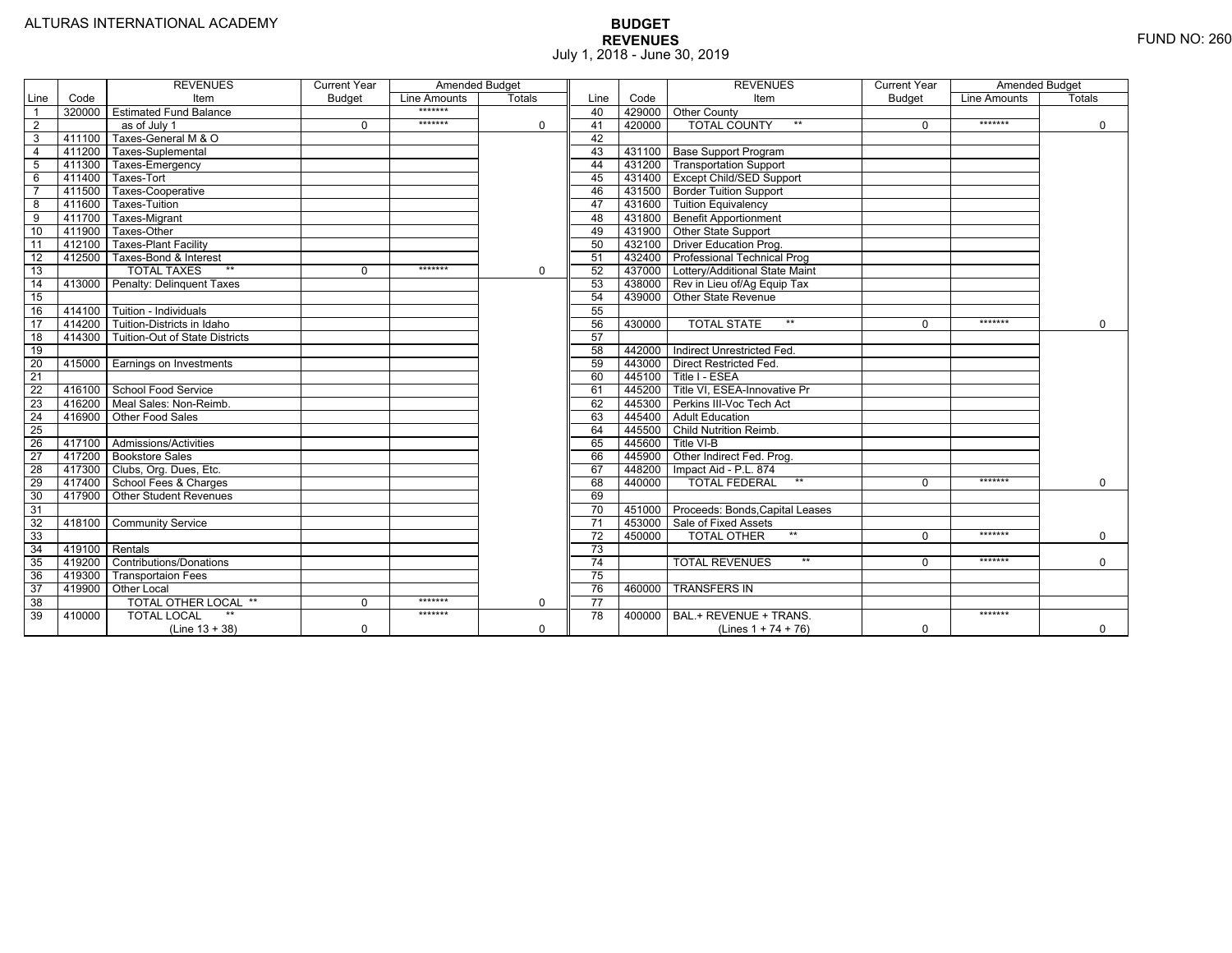|                 |                | <b>REVENUES</b>                         | <b>Current Year</b> | <b>Amended Budget</b> |             |                 |        | <b>REVENUES</b>                        | <b>Current Year</b> | <b>Amended Budget</b> |             |
|-----------------|----------------|-----------------------------------------|---------------------|-----------------------|-------------|-----------------|--------|----------------------------------------|---------------------|-----------------------|-------------|
| Line            | Code           | Item                                    | <b>Budget</b>       | Line Amounts          | Totals      | Line            | Code   | Item                                   | Budget              | Line Amounts          | Totals      |
|                 |                | 320000 Estimated Fund Balance           |                     | *******               |             | 40              |        | 429000 Other County                    |                     |                       |             |
| $\overline{2}$  |                | as of July 1                            | $\Omega$            | *******               | 0           | 41              | 420000 | <b>TOTAL COUNTY</b><br>$***$           | $\Omega$            | *******               | $\mathbf 0$ |
| 3               | 411100         | Taxes-General M & O                     |                     |                       |             | 42              |        |                                        |                     |                       |             |
| $\overline{4}$  | 411200         | Taxes-Suplemental                       |                     |                       |             | 43              |        | 431100 Base Support Program            |                     |                       |             |
| 5               |                | 411300 Taxes-Emergency                  |                     |                       |             | 44              |        | 431200 Transportation Support          |                     |                       |             |
| 6               | 411400         | Taxes-Tort                              |                     |                       |             | 45              |        | 431400 Except Child/SED Support        |                     |                       |             |
|                 | 411500         | Taxes-Cooperative                       |                     |                       |             | 46              |        | 431500 Border Tuition Support          |                     |                       |             |
| 8               | 411600         | Taxes-Tuition                           |                     |                       |             | 47              |        | 431600 Tuition Equivalency             |                     |                       |             |
| 9               |                | 411700 Taxes-Migrant                    |                     |                       |             | 48              |        | 431800 Benefit Apportionment           |                     |                       |             |
| 10              | 411900         | Taxes-Other                             |                     |                       |             | 49              |        | 431900 Other State Support             |                     |                       |             |
| 11              |                | 412100 Taxes-Plant Facility             |                     |                       |             | 50              |        | 432100 Driver Education Prog.          |                     |                       |             |
| 12              | 412500         | Taxes-Bond & Interest                   |                     |                       |             | 51              |        | 432400 Professional Technical Prog     |                     |                       |             |
| 13              |                | $**$<br><b>TOTAL TAXES</b>              | $\Omega$            | *******               | 0           | 52              |        | 437000 Lottery/Additional State Maint  |                     |                       |             |
| 14              |                | 413000 Penalty: Delinguent Taxes        |                     |                       |             | 53              |        | 438000 Rev in Lieu of/Ag Equip Tax     |                     |                       |             |
| 15              |                |                                         |                     |                       |             | 54              |        | 439000 Other State Revenue             |                     |                       |             |
| 16              |                | 414100 Tuition - Individuals            |                     |                       |             | 55              |        |                                        |                     |                       |             |
| 17              |                | 414200 Tuition-Districts in Idaho       |                     |                       |             | 56              | 430000 | $**$<br><b>TOTAL STATE</b>             | $\Omega$            | *******               | $\Omega$    |
| $\overline{18}$ |                | 414300   Tuition-Out of State Districts |                     |                       |             | 57              |        |                                        |                     |                       |             |
| 19              |                |                                         |                     |                       |             | 58              |        | 442000   Indirect Unrestricted Fed.    |                     |                       |             |
| 20              |                | 415000 Earnings on Investments          |                     |                       |             | 59              |        | 443000 Direct Restricted Fed.          |                     |                       |             |
| 21              |                |                                         |                     |                       |             | 60              |        | 445100 Title I - ESEA                  |                     |                       |             |
| 22              |                | 416100 School Food Service              |                     |                       |             | 61              |        | 445200 Title VI. ESEA-Innovative Pr    |                     |                       |             |
| 23              |                | 416200   Meal Sales: Non-Reimb.         |                     |                       |             | 62              |        | 445300 Perkins III-Voc Tech Act        |                     |                       |             |
| 24              |                | 416900 Other Food Sales                 |                     |                       |             | 63              |        | 445400 Adult Education                 |                     |                       |             |
| $\overline{25}$ |                |                                         |                     |                       |             | 64              |        | 445500 Child Nutrition Reimb.          |                     |                       |             |
| 26              |                | 417100 Admissions/Activities            |                     |                       |             | 65              | 445600 | Title VI-B                             |                     |                       |             |
| $\overline{27}$ |                | 417200 Bookstore Sales                  |                     |                       |             | 66              | 445900 | Other Indirect Fed. Prog.              |                     |                       |             |
| 28              |                | 417300 Clubs, Org. Dues, Etc.           |                     |                       |             | 67              | 448200 | Impact Aid - P.L. 874                  |                     |                       |             |
| $\overline{29}$ |                | 417400 School Fees & Charges            |                     |                       |             | 68              | 440000 | <b>TOTAL FEDERAL</b><br>$***$          | $\Omega$            | *******               | $\mathbf 0$ |
| 30              |                | 417900 Other Student Revenues           |                     |                       |             | 69              |        |                                        |                     |                       |             |
| 31              |                |                                         |                     |                       |             | 70              |        | 451000 Proceeds: Bonds, Capital Leases |                     |                       |             |
| $\overline{32}$ |                | 418100 Community Service                |                     |                       |             | $\overline{71}$ |        | 453000 Sale of Fixed Assets            |                     |                       |             |
| 33              |                |                                         |                     |                       |             | 72              | 450000 | $**$<br><b>TOTAL OTHER</b>             | $\Omega$            | *******               | $\mathbf 0$ |
| 34              | 419100 Rentals |                                         |                     |                       |             | 73              |        |                                        |                     |                       |             |
| 35              |                | 419200 Contributions/Donations          |                     |                       |             | $\overline{74}$ |        | $**$<br><b>TOTAL REVENUES</b>          | $\Omega$            | *******               | $\Omega$    |
| 36              | 419300         | <b>Transportaion Fees</b>               |                     |                       |             | 75              |        |                                        |                     |                       |             |
| 37              |                | 419900 Other Local                      |                     |                       |             | 76              | 460000 | <b>TRANSFERS IN</b>                    |                     |                       |             |
| 38              |                | TOTAL OTHER LOCAL **                    | $\mathbf 0$         | *******               | $\mathbf 0$ | $\overline{77}$ |        |                                        |                     |                       |             |
| 39              | 410000         | <b>TOTAL LOCAL</b>                      |                     | *******               |             | 78              | 400000 | BAL.+ REVENUE + TRANS.                 |                     | *******               |             |
|                 |                | $(Line 13 + 38)$                        | $\Omega$            |                       | $\Omega$    |                 |        | (Lines $1 + 74 + 76$ )                 | $\mathbf 0$         |                       | $\Omega$    |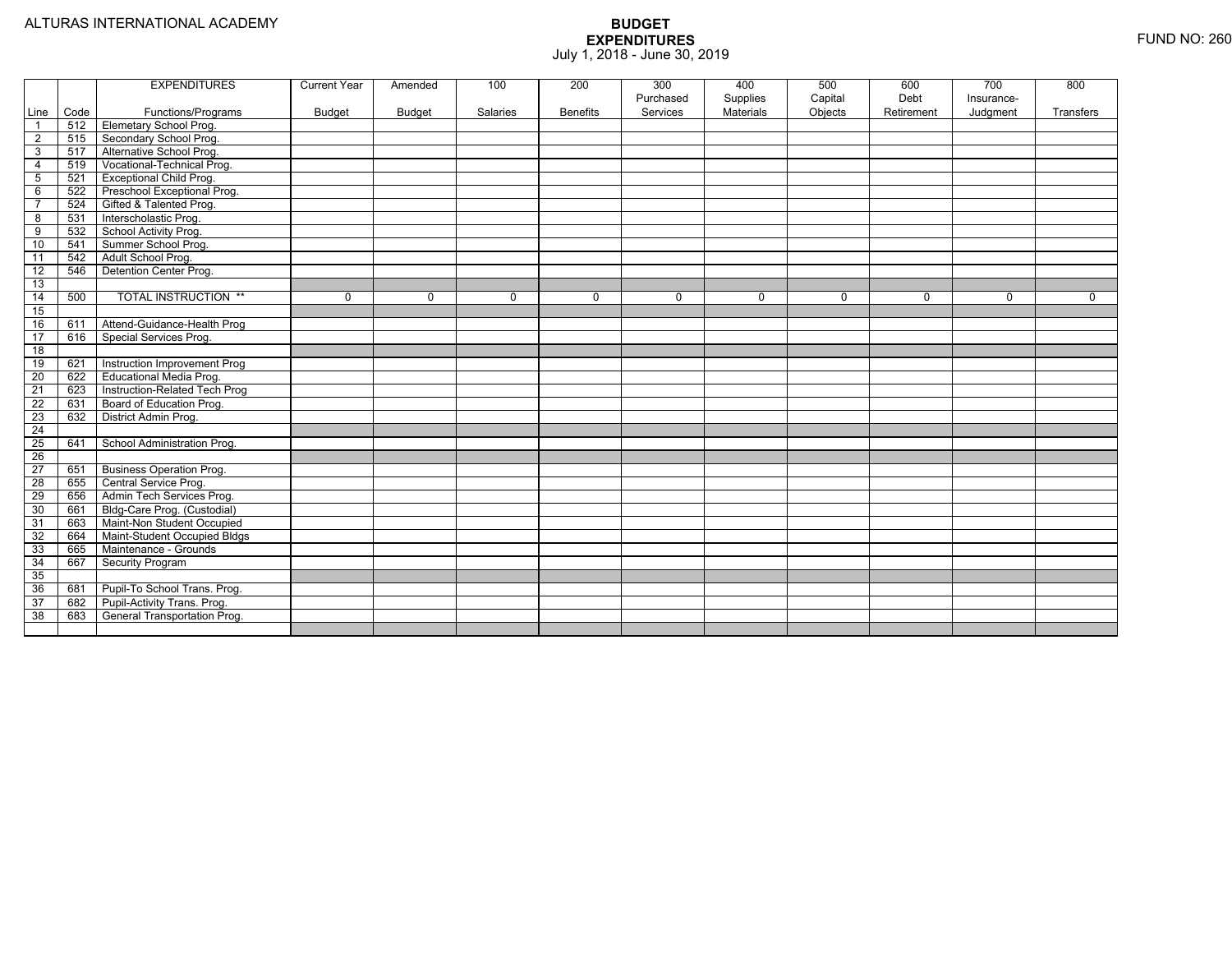|                 |      | <b>EXPENDITURES</b>             | <b>Current Year</b> | Amended     | 100         | 200             | 300<br>Purchased | 400<br>Supplies | 500<br>Capital | 600<br>Debt | 700<br>Insurance- | 800         |
|-----------------|------|---------------------------------|---------------------|-------------|-------------|-----------------|------------------|-----------------|----------------|-------------|-------------------|-------------|
| Line            | Code | Functions/Programs              | <b>Budget</b>       | Budget      | Salaries    | <b>Benefits</b> | Services         | Materials       | Objects        | Retirement  | Judgment          | Transfers   |
| $\overline{1}$  | 512  | Elemetary School Prog.          |                     |             |             |                 |                  |                 |                |             |                   |             |
| $\overline{2}$  | 515  | Secondary School Prog.          |                     |             |             |                 |                  |                 |                |             |                   |             |
| 3               | 517  | Alternative School Prog.        |                     |             |             |                 |                  |                 |                |             |                   |             |
| $\overline{4}$  | 519  | Vocational-Technical Prog.      |                     |             |             |                 |                  |                 |                |             |                   |             |
| $5\phantom{.0}$ | 521  | <b>Exceptional Child Prog.</b>  |                     |             |             |                 |                  |                 |                |             |                   |             |
| 6               | 522  | Preschool Exceptional Prog.     |                     |             |             |                 |                  |                 |                |             |                   |             |
| $\overline{7}$  | 524  | Gifted & Talented Prog.         |                     |             |             |                 |                  |                 |                |             |                   |             |
| $\overline{8}$  | 531  | Interscholastic Prog.           |                     |             |             |                 |                  |                 |                |             |                   |             |
| $\overline{9}$  | 532  | School Activity Prog.           |                     |             |             |                 |                  |                 |                |             |                   |             |
| 10              | 541  | Summer School Prog.             |                     |             |             |                 |                  |                 |                |             |                   |             |
| 11              | 542  | Adult School Prog.              |                     |             |             |                 |                  |                 |                |             |                   |             |
| $\overline{12}$ | 546  | Detention Center Prog.          |                     |             |             |                 |                  |                 |                |             |                   |             |
| 13              |      |                                 |                     |             |             |                 |                  |                 |                |             |                   |             |
| 14              | 500  | <b>TOTAL INSTRUCTION **</b>     | 0                   | $\mathbf 0$ | $\mathbf 0$ | $\mathbf 0$     | $\mathbf 0$      | 0               | $\mathbf 0$    | $\mathbf 0$ | $\mathbf 0$       | $\mathbf 0$ |
| 15              |      |                                 |                     |             |             |                 |                  |                 |                |             |                   |             |
| 16              | 611  | Attend-Guidance-Health Prog     |                     |             |             |                 |                  |                 |                |             |                   |             |
| 17              | 616  | Special Services Prog.          |                     |             |             |                 |                  |                 |                |             |                   |             |
| 18              |      |                                 |                     |             |             |                 |                  |                 |                |             |                   |             |
| 19              | 621  | Instruction Improvement Prog    |                     |             |             |                 |                  |                 |                |             |                   |             |
| $\overline{20}$ | 622  | Educational Media Prog.         |                     |             |             |                 |                  |                 |                |             |                   |             |
| 21              | 623  | Instruction-Related Tech Prog   |                     |             |             |                 |                  |                 |                |             |                   |             |
| 22              | 631  | Board of Education Prog.        |                     |             |             |                 |                  |                 |                |             |                   |             |
| $\overline{23}$ | 632  | District Admin Prog.            |                     |             |             |                 |                  |                 |                |             |                   |             |
| $\overline{24}$ |      |                                 |                     |             |             |                 |                  |                 |                |             |                   |             |
| 25              | 641  | School Administration Prog.     |                     |             |             |                 |                  |                 |                |             |                   |             |
| $\overline{26}$ |      |                                 |                     |             |             |                 |                  |                 |                |             |                   |             |
| $\overline{27}$ | 651  | <b>Business Operation Prog.</b> |                     |             |             |                 |                  |                 |                |             |                   |             |
| $\overline{28}$ | 655  | Central Service Prog.           |                     |             |             |                 |                  |                 |                |             |                   |             |
| 29              | 656  | Admin Tech Services Prog.       |                     |             |             |                 |                  |                 |                |             |                   |             |
| 30              | 661  | Bldg-Care Prog. (Custodial)     |                     |             |             |                 |                  |                 |                |             |                   |             |
| 31              | 663  | Maint-Non Student Occupied      |                     |             |             |                 |                  |                 |                |             |                   |             |
| 32              | 664  | Maint-Student Occupied Bldgs    |                     |             |             |                 |                  |                 |                |             |                   |             |
| 33              | 665  | Maintenance - Grounds           |                     |             |             |                 |                  |                 |                |             |                   |             |
| 34              | 667  | Security Program                |                     |             |             |                 |                  |                 |                |             |                   |             |
| 35              |      |                                 |                     |             |             |                 |                  |                 |                |             |                   |             |
| 36              | 681  | Pupil-To School Trans. Prog.    |                     |             |             |                 |                  |                 |                |             |                   |             |
| 37              | 682  | Pupil-Activity Trans. Prog.     |                     |             |             |                 |                  |                 |                |             |                   |             |
| 38              | 683  | General Transportation Prog.    |                     |             |             |                 |                  |                 |                |             |                   |             |
|                 |      |                                 |                     |             |             |                 |                  |                 |                |             |                   |             |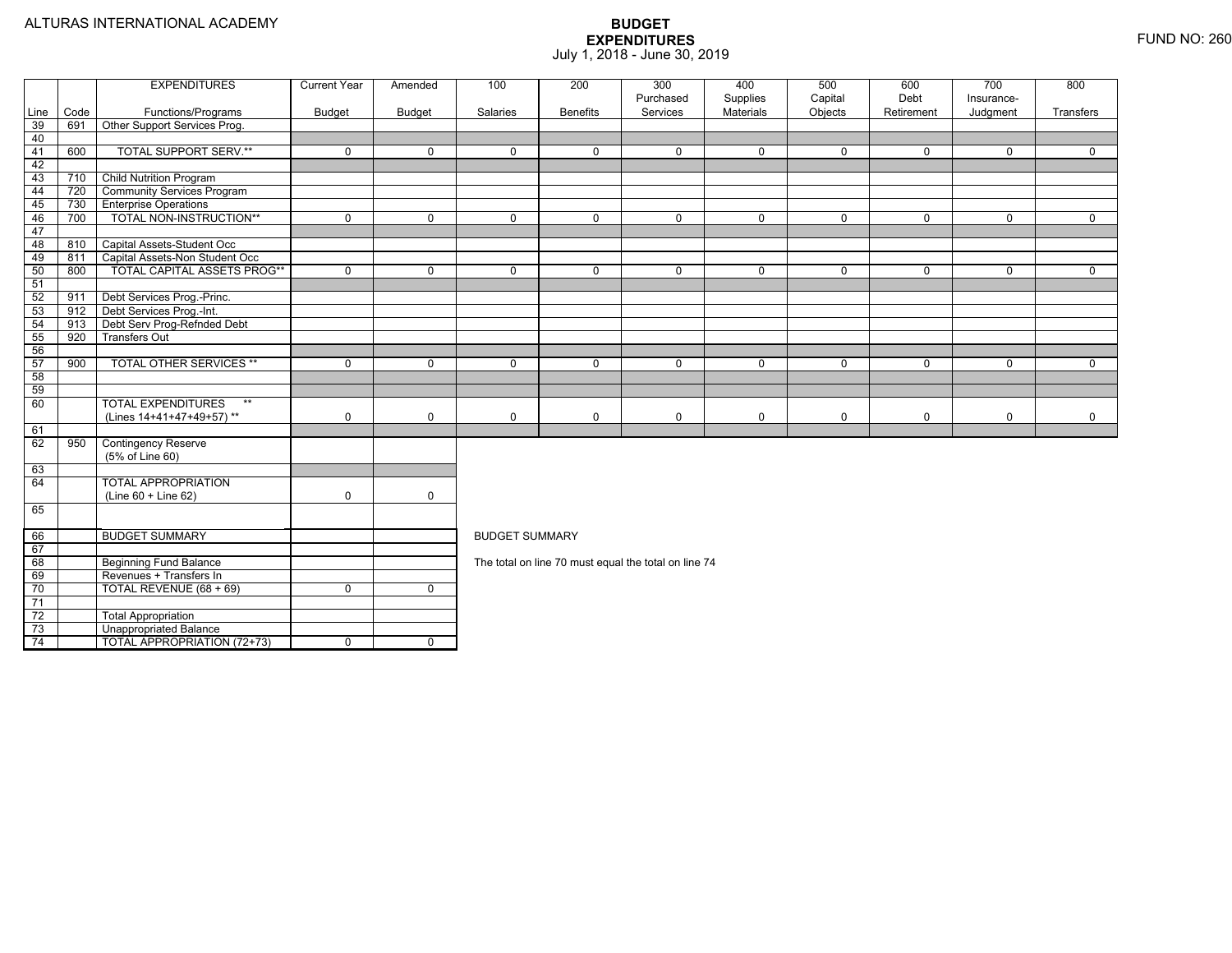|                 |      | <b>EXPENDITURES</b>                                   | <b>Current Year</b> | Amended        | 100                                                                                              | 200             | 300                                                  | 400                   | 500                | 600                | 700                    | 800            |  |  |
|-----------------|------|-------------------------------------------------------|---------------------|----------------|--------------------------------------------------------------------------------------------------|-----------------|------------------------------------------------------|-----------------------|--------------------|--------------------|------------------------|----------------|--|--|
| Line            | Code | Functions/Programs                                    | Budget              | <b>Budget</b>  | Salaries                                                                                         | <b>Benefits</b> | Purchased<br>Services                                | Supplies<br>Materials | Capital<br>Objects | Debt<br>Retirement | Insurance-<br>Judgment | Transfers      |  |  |
| 39              | 691  | Other Support Services Prog.                          |                     |                |                                                                                                  |                 |                                                      |                       |                    |                    |                        |                |  |  |
| 40              |      |                                                       |                     |                |                                                                                                  |                 |                                                      |                       |                    |                    |                        |                |  |  |
| 41              | 600  | <b>TOTAL SUPPORT SERV.**</b>                          | $\mathbf 0$         | $\mathbf 0$    | $\Omega$                                                                                         | $\mathbf 0$     | $\mathbf 0$                                          | $\mathbf 0$           | 0                  | $\mathbf 0$        | $\mathbf 0$            | $\Omega$       |  |  |
| 42              |      |                                                       |                     |                |                                                                                                  |                 |                                                      |                       |                    |                    |                        |                |  |  |
| 43              | 710  | <b>Child Nutrition Program</b>                        |                     |                |                                                                                                  |                 |                                                      |                       |                    |                    |                        |                |  |  |
| 44              | 720  | <b>Community Services Program</b>                     |                     |                |                                                                                                  |                 |                                                      |                       |                    |                    |                        |                |  |  |
| 45              | 730  | <b>Enterprise Operations</b>                          |                     |                |                                                                                                  |                 |                                                      |                       |                    |                    |                        |                |  |  |
| 46              | 700  | TOTAL NON-INSTRUCTION**                               | $\overline{0}$      | $\overline{0}$ | $\overline{0}$                                                                                   | $\overline{0}$  | $\overline{0}$                                       | $\overline{0}$        | $\overline{0}$     | $\mathbf 0$        | $\overline{0}$         | $\overline{0}$ |  |  |
| 47              |      |                                                       |                     |                |                                                                                                  |                 |                                                      |                       |                    |                    |                        |                |  |  |
| 48              | 810  | Capital Assets-Student Occ                            |                     |                |                                                                                                  |                 |                                                      |                       |                    |                    |                        |                |  |  |
| 49              | 811  | Capital Assets-Non Student Occ                        |                     |                |                                                                                                  |                 |                                                      |                       |                    |                    |                        |                |  |  |
| 50              | 800  | <b>TOTAL CAPITAL ASSETS PROG**</b>                    | $\mathbf 0$         | $\mathbf 0$    | $\mathbf 0$                                                                                      | $\mathbf 0$     | $\mathbf 0$                                          | $\mathbf 0$           | 0                  | $\mathbf 0$        | $\mathbf 0$            | $\mathbf{0}$   |  |  |
| 51              |      |                                                       |                     |                |                                                                                                  |                 |                                                      |                       |                    |                    |                        |                |  |  |
| 52              | 911  | Debt Services Prog.-Princ.                            |                     |                |                                                                                                  |                 |                                                      |                       |                    |                    |                        |                |  |  |
| 53              | 912  | Debt Services Prog.-Int.                              |                     |                |                                                                                                  |                 |                                                      |                       |                    |                    |                        |                |  |  |
| 54              | 913  | Debt Serv Prog-Refnded Debt                           |                     |                |                                                                                                  |                 |                                                      |                       |                    |                    |                        |                |  |  |
| 55              | 920  | <b>Transfers Out</b>                                  |                     |                | $\mathbf 0$<br>$\mathbf 0$<br>$\mathbf 0$<br>$\mathbf 0$<br>$\mathbf 0$<br>0<br>$\mathbf 0$<br>0 |                 |                                                      |                       |                    |                    |                        |                |  |  |
| 56              |      |                                                       |                     |                |                                                                                                  |                 |                                                      |                       |                    |                    |                        |                |  |  |
| 57              | 900  | <b>TOTAL OTHER SERVICES **</b>                        | $\mathbf 0$         | $\mathbf 0$    |                                                                                                  |                 |                                                      |                       |                    |                    |                        |                |  |  |
| 58              |      |                                                       |                     |                |                                                                                                  |                 |                                                      |                       |                    |                    |                        |                |  |  |
| 59              |      | $**$                                                  |                     |                |                                                                                                  |                 |                                                      |                       |                    |                    |                        |                |  |  |
| 60              |      | <b>TOTAL EXPENDITURES</b><br>(Lines 14+41+47+49+57)** | $\mathbf 0$         | $\mathbf 0$    | $\mathbf 0$                                                                                      | $\mathbf 0$     | $\mathbf 0$                                          | $\mathbf 0$           | 0                  | $\mathbf 0$        | $\mathbf 0$            | $\mathbf 0$    |  |  |
| 61              |      |                                                       |                     |                |                                                                                                  |                 |                                                      |                       |                    |                    |                        |                |  |  |
| 62              | 950  | <b>Contingency Reserve</b>                            |                     |                |                                                                                                  |                 |                                                      |                       |                    |                    |                        |                |  |  |
|                 |      | (5% of Line 60)                                       |                     |                |                                                                                                  |                 |                                                      |                       |                    |                    |                        |                |  |  |
| 63              |      |                                                       |                     |                |                                                                                                  |                 |                                                      |                       |                    |                    |                        |                |  |  |
| 64              |      | <b>TOTAL APPROPRIATION</b>                            |                     |                |                                                                                                  |                 |                                                      |                       |                    |                    |                        |                |  |  |
|                 |      | (Line 60 + Line 62)                                   | $\mathbf 0$         | $\mathbf 0$    |                                                                                                  |                 |                                                      |                       |                    |                    |                        |                |  |  |
| 65              |      |                                                       |                     |                |                                                                                                  |                 |                                                      |                       |                    |                    |                        |                |  |  |
|                 |      |                                                       |                     |                |                                                                                                  |                 |                                                      |                       |                    |                    |                        |                |  |  |
| 66              |      | <b>BUDGET SUMMARY</b>                                 |                     |                | <b>BUDGET SUMMARY</b>                                                                            |                 |                                                      |                       |                    |                    |                        |                |  |  |
| 67              |      |                                                       |                     |                |                                                                                                  |                 |                                                      |                       |                    |                    |                        |                |  |  |
| 68              |      | <b>Beginning Fund Balance</b>                         |                     |                |                                                                                                  |                 | The total on line 70 must equal the total on line 74 |                       |                    |                    |                        |                |  |  |
| 69              |      | Revenues + Transfers In                               |                     |                |                                                                                                  |                 |                                                      |                       |                    |                    |                        |                |  |  |
| 70              |      | TOTAL REVENUE (68 + 69)                               | $\Omega$            | $\mathbf 0$    |                                                                                                  |                 |                                                      |                       |                    |                    |                        |                |  |  |
| $\overline{71}$ |      |                                                       |                     |                |                                                                                                  |                 |                                                      |                       |                    |                    |                        |                |  |  |
| 72              |      | <b>Total Appropriation</b>                            |                     |                |                                                                                                  |                 |                                                      |                       |                    |                    |                        |                |  |  |
| 73              |      | <b>Unappropriated Balance</b>                         |                     |                |                                                                                                  |                 |                                                      |                       |                    |                    |                        |                |  |  |
| - 74            |      | <b>TOTAL APPROPRIATION (72+73)</b>                    | $\Omega$            | $\overline{0}$ |                                                                                                  |                 |                                                      |                       |                    |                    |                        |                |  |  |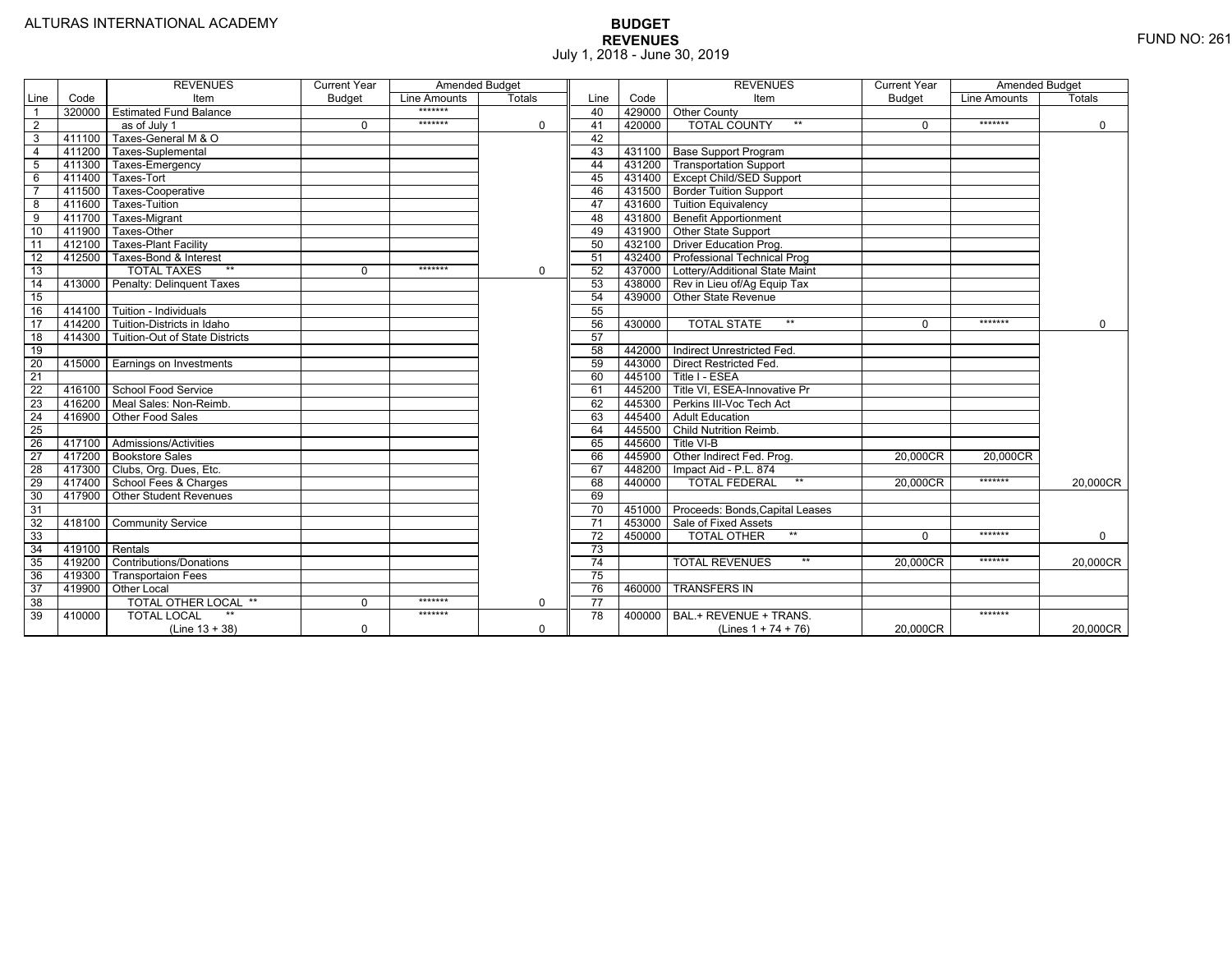|                 |                | <b>REVENUES</b>                         | <b>Current Year</b> | <b>Amended Budget</b> |             |                 |        | <b>REVENUES</b>                        | <b>Current Year</b> | <b>Amended Budget</b> |             |
|-----------------|----------------|-----------------------------------------|---------------------|-----------------------|-------------|-----------------|--------|----------------------------------------|---------------------|-----------------------|-------------|
| Line            | Code           | Item                                    | <b>Budget</b>       | Line Amounts          | Totals      | Line            | Code   | Item                                   | <b>Budget</b>       | Line Amounts          | Totals      |
|                 |                | 320000 Estimated Fund Balance           |                     | *******               |             | 40              |        | 429000 Other County                    |                     |                       |             |
| $\overline{2}$  |                | as of July 1                            | $\Omega$            | *******               | 0           | 41              | 420000 | <b>TOTAL COUNTY</b><br>$***$           | $\Omega$            | *******               | $\mathbf 0$ |
| 3               | 411100         | Taxes-General M & O                     |                     |                       |             | 42              |        |                                        |                     |                       |             |
| $\overline{4}$  | 411200         | Taxes-Suplemental                       |                     |                       |             | 43              |        | 431100 Base Support Program            |                     |                       |             |
| 5               |                | 411300 Taxes-Emergency                  |                     |                       |             | 44              |        | 431200 Transportation Support          |                     |                       |             |
| 6               | 411400         | Taxes-Tort                              |                     |                       |             | 45              |        | 431400 Except Child/SED Support        |                     |                       |             |
|                 | 411500         | Taxes-Cooperative                       |                     |                       |             | 46              |        | 431500   Border Tuition Support        |                     |                       |             |
| 8               | 411600         | Taxes-Tuition                           |                     |                       |             | 47              |        | 431600 Tuition Equivalency             |                     |                       |             |
| 9               | 411700         | Taxes-Migrant                           |                     |                       |             | 48              |        | 431800 Benefit Apportionment           |                     |                       |             |
| 10              | 411900         | Taxes-Other                             |                     |                       |             | 49              |        | 431900 Other State Support             |                     |                       |             |
| 11              | 412100         | <b>Taxes-Plant Facility</b>             |                     |                       |             | 50              |        | 432100 Driver Education Prog.          |                     |                       |             |
| 12              | 412500         | Taxes-Bond & Interest                   |                     |                       |             | 51              |        | 432400   Professional Technical Prog   |                     |                       |             |
| 13              |                | $**$<br><b>TOTAL TAXES</b>              | $\Omega$            | *******               | 0           | 52              |        | 437000 Lottery/Additional State Maint  |                     |                       |             |
| 14              |                | 413000 Penalty: Delinguent Taxes        |                     |                       |             | 53              |        | 438000 Rev in Lieu of/Ag Equip Tax     |                     |                       |             |
| 15              |                |                                         |                     |                       |             | 54              | 439000 | Other State Revenue                    |                     |                       |             |
| 16              |                | 414100 Tuition - Individuals            |                     |                       |             | 55              |        |                                        |                     |                       |             |
| 17              |                | 414200 Tuition-Districts in Idaho       |                     |                       |             | 56              | 430000 | $**$<br><b>TOTAL STATE</b>             | $\Omega$            | *******               | $\Omega$    |
| $\overline{18}$ |                | 414300   Tuition-Out of State Districts |                     |                       |             | 57              |        |                                        |                     |                       |             |
| 19              |                |                                         |                     |                       |             | 58              |        | 442000   Indirect Unrestricted Fed.    |                     |                       |             |
| 20              |                | 415000 Earnings on Investments          |                     |                       |             | 59              |        | 443000 Direct Restricted Fed.          |                     |                       |             |
| 21              |                |                                         |                     |                       |             | 60              |        | 445100 Title I - ESEA                  |                     |                       |             |
| 22              |                | 416100 School Food Service              |                     |                       |             | 61              | 445200 | Title VI. ESEA-Innovative Pr           |                     |                       |             |
| $\overline{23}$ |                | 416200   Meal Sales: Non-Reimb.         |                     |                       |             | 62              |        | 445300 Perkins III-Voc Tech Act        |                     |                       |             |
| 24              |                | 416900 Other Food Sales                 |                     |                       |             | 63              | 445400 | <b>Adult Education</b>                 |                     |                       |             |
| $\overline{25}$ |                |                                         |                     |                       |             | 64              | 445500 | <b>Child Nutrition Reimb.</b>          |                     |                       |             |
| 26              |                | 417100 Admissions/Activities            |                     |                       |             | 65              | 445600 | Title VI-B                             |                     |                       |             |
| $\overline{27}$ |                | 417200 Bookstore Sales                  |                     |                       |             | 66              | 445900 | Other Indirect Fed. Prog.              | 20,000CR            | 20.000CR              |             |
| $\overline{28}$ |                | 417300 Clubs, Org. Dues, Etc.           |                     |                       |             | 67              | 448200 | Impact Aid - P.L. 874                  |                     |                       |             |
| $\overline{29}$ |                | 417400 School Fees & Charges            |                     |                       |             | 68              | 440000 | $***$<br><b>TOTAL FEDERAL</b>          | 20.000CR            | *******               | 20.000CR    |
| 30              |                | 417900 Other Student Revenues           |                     |                       |             | 69              |        |                                        |                     |                       |             |
| 31              |                |                                         |                     |                       |             | 70              |        | 451000 Proceeds: Bonds, Capital Leases |                     |                       |             |
| $\overline{32}$ | 418100         | <b>Community Service</b>                |                     |                       |             | $\overline{71}$ |        | 453000 Sale of Fixed Assets            |                     |                       |             |
| 33              |                |                                         |                     |                       |             | 72              | 450000 | $**$<br><b>TOTAL OTHER</b>             | $\Omega$            | *******               | $\mathbf 0$ |
| $\overline{34}$ | 419100 Rentals |                                         |                     |                       |             | 73              |        |                                        |                     |                       |             |
| 35              |                | 419200 Contributions/Donations          |                     |                       |             | $\overline{74}$ |        | $**$<br><b>TOTAL REVENUES</b>          | 20.000CR            | *******               | 20,000CR    |
| 36              | 419300         | <b>Transportaion Fees</b>               |                     |                       |             | 75              |        |                                        |                     |                       |             |
| 37              |                | 419900 Other Local                      |                     |                       |             | 76              | 460000 | <b>TRANSFERS IN</b>                    |                     |                       |             |
| 38              |                | TOTAL OTHER LOCAL **                    | $\mathbf 0$         | *******               | $\mathbf 0$ | $\overline{77}$ |        |                                        |                     |                       |             |
| 39              | 410000         | <b>TOTAL LOCAL</b>                      |                     | *******               |             | 78              | 400000 | BAL.+ REVENUE + TRANS.                 |                     | *******               |             |
|                 |                | $(Line 13 + 38)$                        | $\mathbf 0$         |                       | $\Omega$    |                 |        | (Lines $1 + 74 + 76$ )                 | 20.000CR            |                       | 20.000CR    |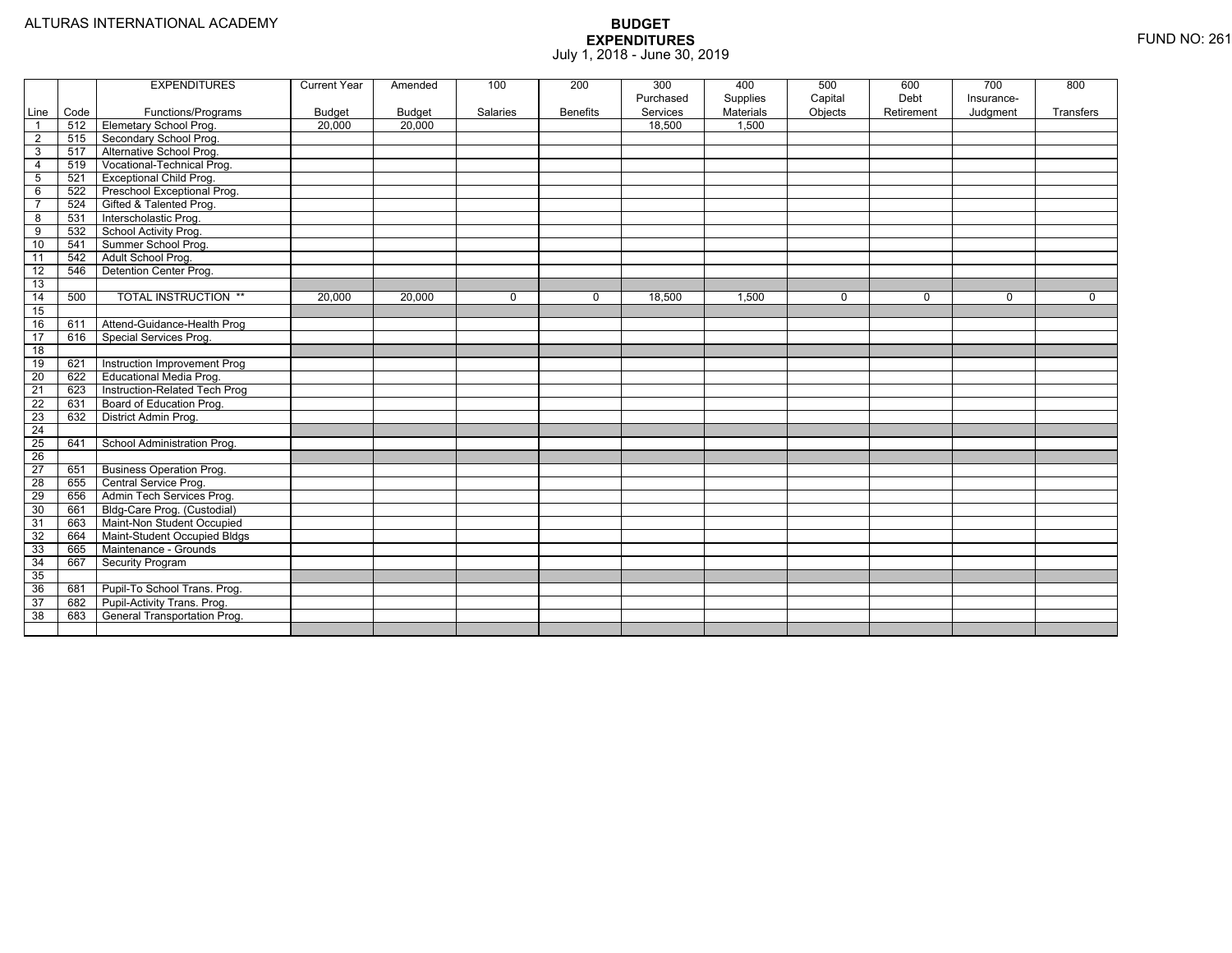|                         |      | <b>EXPENDITURES</b>             | <b>Current Year</b> | Amended | 100      | 200             | 300<br>Purchased | 400<br>Supplies | 500<br>Capital | 600<br>Debt | 700<br>Insurance- | 800         |
|-------------------------|------|---------------------------------|---------------------|---------|----------|-----------------|------------------|-----------------|----------------|-------------|-------------------|-------------|
| Line                    | Code | Functions/Programs              | Budget              | Budget  | Salaries | <b>Benefits</b> | Services         | Materials       | Objects        | Retirement  | Judgment          | Transfers   |
| $\overline{1}$          | 512  | Elemetary School Prog.          | 20,000              | 20,000  |          |                 | 18.500           | 1.500           |                |             |                   |             |
| $\overline{2}$          | 515  | Secondary School Prog.          |                     |         |          |                 |                  |                 |                |             |                   |             |
| 3                       | 517  | Alternative School Prog.        |                     |         |          |                 |                  |                 |                |             |                   |             |
| $\overline{4}$          | 519  | Vocational-Technical Prog.      |                     |         |          |                 |                  |                 |                |             |                   |             |
| 5                       | 521  | <b>Exceptional Child Prog.</b>  |                     |         |          |                 |                  |                 |                |             |                   |             |
| 6                       | 522  | Preschool Exceptional Prog.     |                     |         |          |                 |                  |                 |                |             |                   |             |
| $\overline{7}$          | 524  | Gifted & Talented Prog.         |                     |         |          |                 |                  |                 |                |             |                   |             |
| $\overline{\mathbf{8}}$ | 531  | Interscholastic Prog.           |                     |         |          |                 |                  |                 |                |             |                   |             |
| 9                       | 532  | School Activity Prog.           |                     |         |          |                 |                  |                 |                |             |                   |             |
| 10                      | 541  | Summer School Prog.             |                     |         |          |                 |                  |                 |                |             |                   |             |
| 11                      | 542  | Adult School Prog.              |                     |         |          |                 |                  |                 |                |             |                   |             |
| 12                      | 546  | Detention Center Prog.          |                     |         |          |                 |                  |                 |                |             |                   |             |
| 13                      |      |                                 |                     |         |          |                 |                  |                 |                |             |                   |             |
| 14                      | 500  | <b>TOTAL INSTRUCTION **</b>     | 20,000              | 20,000  | $\Omega$ | $\mathbf 0$     | 18,500           | 1,500           | $\mathbf 0$    | $\Omega$    | $\mathbf 0$       | $\mathbf 0$ |
| 15                      |      |                                 |                     |         |          |                 |                  |                 |                |             |                   |             |
| 16                      | 611  | Attend-Guidance-Health Prog     |                     |         |          |                 |                  |                 |                |             |                   |             |
| $\overline{17}$         | 616  | Special Services Prog.          |                     |         |          |                 |                  |                 |                |             |                   |             |
| 18                      |      |                                 |                     |         |          |                 |                  |                 |                |             |                   |             |
| 19                      | 621  | Instruction Improvement Prog    |                     |         |          |                 |                  |                 |                |             |                   |             |
| $\overline{20}$         | 622  | Educational Media Prog.         |                     |         |          |                 |                  |                 |                |             |                   |             |
| $\overline{21}$         | 623  | Instruction-Related Tech Prog   |                     |         |          |                 |                  |                 |                |             |                   |             |
| 22                      | 631  | Board of Education Prog.        |                     |         |          |                 |                  |                 |                |             |                   |             |
| $\overline{23}$         | 632  | District Admin Prog.            |                     |         |          |                 |                  |                 |                |             |                   |             |
| $\overline{24}$         |      |                                 |                     |         |          |                 |                  |                 |                |             |                   |             |
| $\overline{25}$         | 641  | School Administration Prog.     |                     |         |          |                 |                  |                 |                |             |                   |             |
| $\overline{26}$         |      |                                 |                     |         |          |                 |                  |                 |                |             |                   |             |
| $\overline{27}$         | 651  | <b>Business Operation Prog.</b> |                     |         |          |                 |                  |                 |                |             |                   |             |
| $\overline{28}$         | 655  | Central Service Prog.           |                     |         |          |                 |                  |                 |                |             |                   |             |
| 29                      | 656  | Admin Tech Services Prog.       |                     |         |          |                 |                  |                 |                |             |                   |             |
| 30                      | 661  | Bldg-Care Prog. (Custodial)     |                     |         |          |                 |                  |                 |                |             |                   |             |
| 31                      | 663  | Maint-Non Student Occupied      |                     |         |          |                 |                  |                 |                |             |                   |             |
| 32                      | 664  | Maint-Student Occupied Bldgs    |                     |         |          |                 |                  |                 |                |             |                   |             |
| 33                      | 665  | Maintenance - Grounds           |                     |         |          |                 |                  |                 |                |             |                   |             |
| 34                      | 667  | Security Program                |                     |         |          |                 |                  |                 |                |             |                   |             |
| 35                      |      |                                 |                     |         |          |                 |                  |                 |                |             |                   |             |
| 36                      | 681  | Pupil-To School Trans. Prog.    |                     |         |          |                 |                  |                 |                |             |                   |             |
| 37                      | 682  | Pupil-Activity Trans. Prog.     |                     |         |          |                 |                  |                 |                |             |                   |             |
| 38                      | 683  | General Transportation Prog.    |                     |         |          |                 |                  |                 |                |             |                   |             |
|                         |      |                                 |                     |         |          |                 |                  |                 |                |             |                   |             |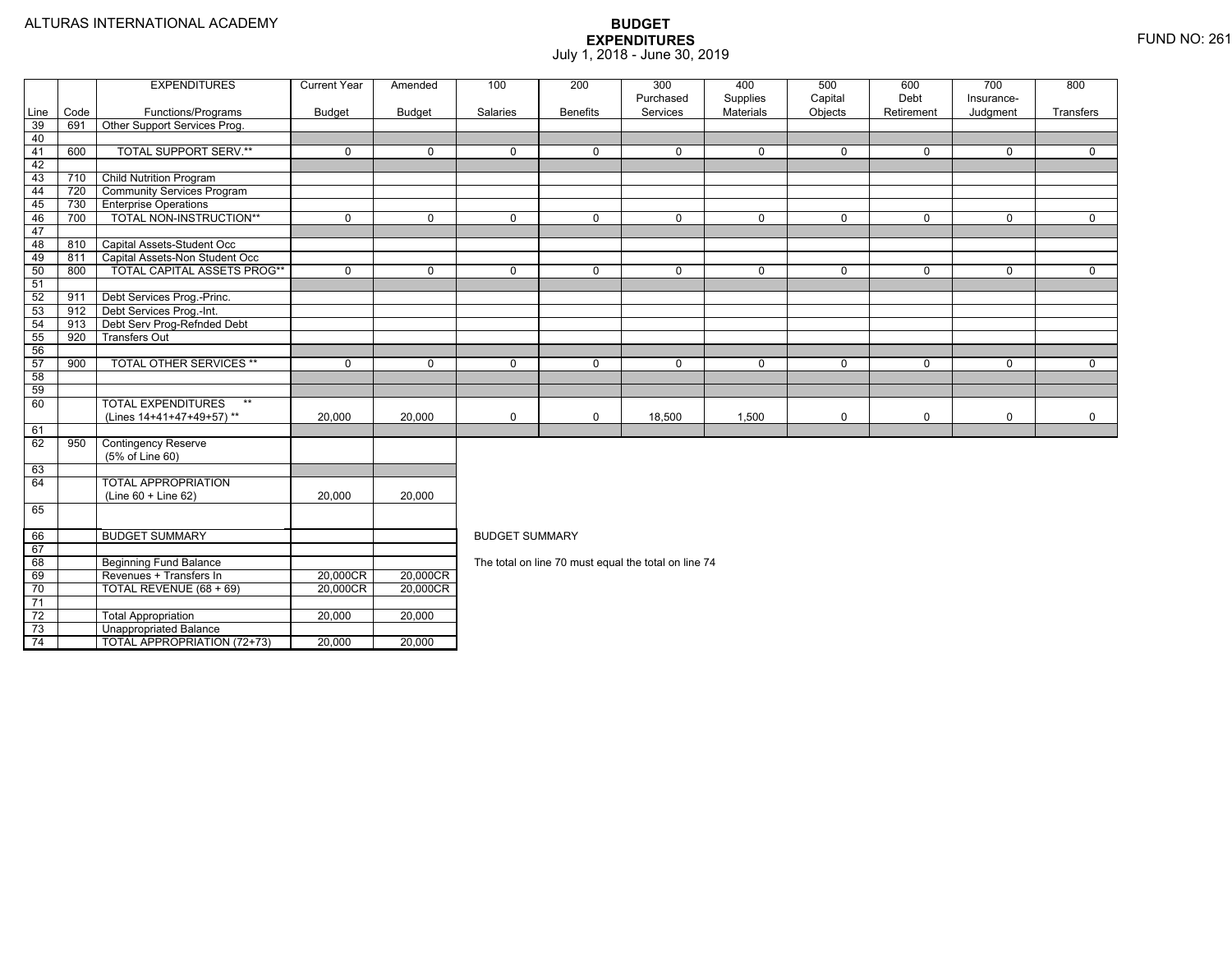TOTAL APPROPRIATION (72+73) 20,000 20,000

|      |      | <b>EXPENDITURES</b>                | <b>Current Year</b> | Amended       | 100                   | 200             | 300                                                  | 400                          | 500                | 600                | 700                    | 800         |  |  |
|------|------|------------------------------------|---------------------|---------------|-----------------------|-----------------|------------------------------------------------------|------------------------------|--------------------|--------------------|------------------------|-------------|--|--|
| Line | Code | Functions/Programs                 | <b>Budget</b>       | <b>Budget</b> | Salaries              | <b>Benefits</b> | Purchased<br>Services                                | Supplies<br><b>Materials</b> | Capital<br>Objects | Debt<br>Retirement | Insurance-<br>Judgment | Transfers   |  |  |
| 39   | 691  | Other Support Services Prog.       |                     |               |                       |                 |                                                      |                              |                    |                    |                        |             |  |  |
| 40   |      |                                    |                     |               |                       |                 |                                                      |                              |                    |                    |                        |             |  |  |
| 41   | 600  | <b>TOTAL SUPPORT SERV.**</b>       | $\mathbf 0$         | $\Omega$      | $\Omega$              | $\Omega$        | $\Omega$                                             | $\mathbf 0$                  | $\Omega$           | $\Omega$           | $\Omega$               | $\Omega$    |  |  |
| 42   |      |                                    |                     |               |                       |                 |                                                      |                              |                    |                    |                        |             |  |  |
| 43   | 710  | <b>Child Nutrition Program</b>     |                     |               |                       |                 |                                                      |                              |                    |                    |                        |             |  |  |
| 44   | 720  | <b>Community Services Program</b>  |                     |               |                       |                 |                                                      |                              |                    |                    |                        |             |  |  |
| 45   | 730  | <b>Enterprise Operations</b>       |                     |               |                       |                 |                                                      |                              |                    |                    |                        |             |  |  |
| 46   | 700  | TOTAL NON-INSTRUCTION**            | $\mathbf 0$         | $\Omega$      | $\Omega$              | $\Omega$        | 0                                                    | $\mathbf 0$                  | $\mathbf 0$        | $\Omega$           | $\Omega$               | $\mathbf 0$ |  |  |
| 47   |      |                                    |                     |               |                       |                 |                                                      |                              |                    |                    |                        |             |  |  |
| 48   | 810  | Capital Assets-Student Occ         |                     |               |                       |                 |                                                      |                              |                    |                    |                        |             |  |  |
| 49   | 811  | Capital Assets-Non Student Occ     |                     |               |                       |                 |                                                      |                              |                    |                    |                        |             |  |  |
| 50   | 800  | <b>TOTAL CAPITAL ASSETS PROG**</b> | $\mathbf 0$         | $\Omega$      | $\Omega$              | $\Omega$        | $\Omega$                                             | $\mathbf 0$                  | $\mathbf 0$        | $\Omega$           | $\Omega$               | $\Omega$    |  |  |
| 51   |      |                                    |                     |               |                       |                 |                                                      |                              |                    |                    |                        |             |  |  |
| 52   | 911  | Debt Services Prog.-Princ.         |                     |               |                       |                 |                                                      |                              |                    |                    |                        |             |  |  |
| 53   | 912  | Debt Services Prog.-Int.           |                     |               |                       |                 |                                                      |                              |                    |                    |                        |             |  |  |
| 54   | 913  | Debt Serv Prog-Refnded Debt        |                     |               |                       |                 |                                                      |                              |                    |                    |                        |             |  |  |
| 55   | 920  | <b>Transfers Out</b>               |                     |               |                       |                 |                                                      |                              |                    |                    |                        |             |  |  |
| 56   |      |                                    |                     |               |                       |                 |                                                      |                              |                    |                    |                        |             |  |  |
| 57   | 900  | <b>TOTAL OTHER SERVICES **</b>     | $\Omega$            | $\Omega$      | $\Omega$              | $\Omega$        | 0                                                    | $\mathbf 0$                  | $\Omega$           | $\Omega$           | $\Omega$               | $\mathbf 0$ |  |  |
| 58   |      |                                    |                     |               |                       |                 |                                                      |                              |                    |                    |                        |             |  |  |
| 59   |      |                                    |                     |               |                       |                 |                                                      |                              |                    |                    |                        |             |  |  |
| 60   |      | <b>TOTAL EXPENDITURES</b><br>$***$ |                     |               |                       |                 |                                                      |                              |                    |                    |                        |             |  |  |
|      |      | (Lines 14+41+47+49+57)**           | 20,000              | 20,000        | 0                     | $\Omega$        | 18,500                                               | 1,500                        | 0                  | $\mathbf 0$        | 0                      | $\mathbf 0$ |  |  |
| 61   |      |                                    |                     |               |                       |                 |                                                      |                              |                    |                    |                        |             |  |  |
| 62   | 950  | <b>Contingency Reserve</b>         |                     |               |                       |                 |                                                      |                              |                    |                    |                        |             |  |  |
|      |      | (5% of Line 60)                    |                     |               |                       |                 |                                                      |                              |                    |                    |                        |             |  |  |
| 63   |      |                                    |                     |               |                       |                 |                                                      |                              |                    |                    |                        |             |  |  |
| 64   |      | <b>TOTAL APPROPRIATION</b>         |                     |               |                       |                 |                                                      |                              |                    |                    |                        |             |  |  |
|      |      | $(Line 60 + Line 62)$              | 20,000              | 20,000        |                       |                 |                                                      |                              |                    |                    |                        |             |  |  |
| 65   |      |                                    |                     |               |                       |                 |                                                      |                              |                    |                    |                        |             |  |  |
| 66   |      | <b>BUDGET SUMMARY</b>              |                     |               | <b>BUDGET SUMMARY</b> |                 |                                                      |                              |                    |                    |                        |             |  |  |
| 67   |      |                                    |                     |               |                       |                 |                                                      |                              |                    |                    |                        |             |  |  |
| 68   |      | <b>Beginning Fund Balance</b>      |                     |               |                       |                 | The total on line 70 must equal the total on line 74 |                              |                    |                    |                        |             |  |  |
| 69   |      | Revenues + Transfers In            | 20,000CR            | 20,000CR      |                       |                 |                                                      |                              |                    |                    |                        |             |  |  |
| 70   |      | TOTAL REVENUE (68 + 69)            | 20,000CR            | 20,000CR      |                       |                 |                                                      |                              |                    |                    |                        |             |  |  |
| 71   |      |                                    |                     |               |                       |                 |                                                      |                              |                    |                    |                        |             |  |  |
| 72   |      | <b>Total Appropriation</b>         | 20,000              | 20,000        |                       |                 |                                                      |                              |                    |                    |                        |             |  |  |
| 73   |      | Unappropriated Balance             |                     |               |                       |                 |                                                      |                              |                    |                    |                        |             |  |  |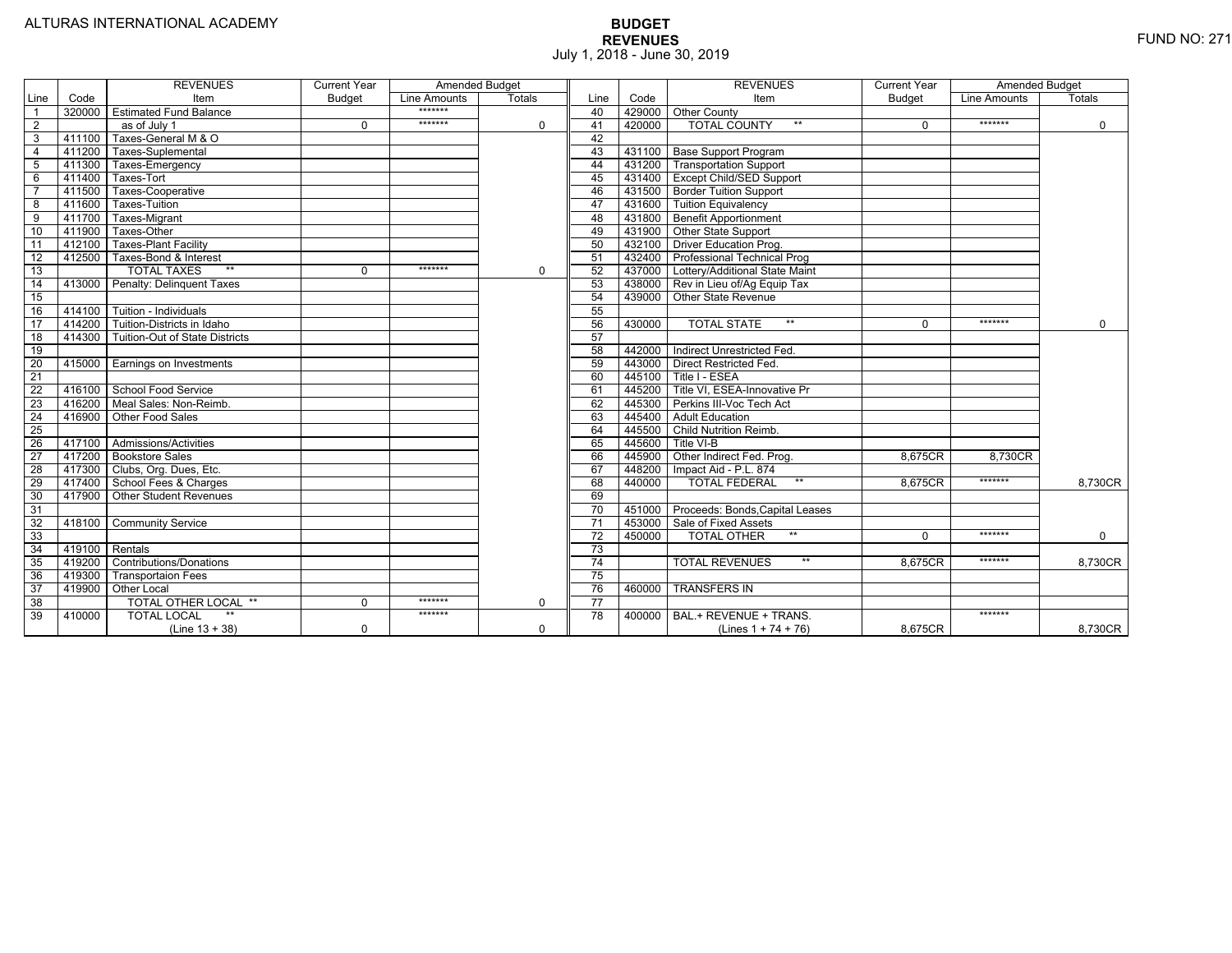|                 |                | <b>REVENUES</b>                         | <b>Current Year</b> | <b>Amended Budget</b> |             |                 |        | <b>REVENUES</b>                        | <b>Current Year</b> | <b>Amended Budget</b> |             |
|-----------------|----------------|-----------------------------------------|---------------------|-----------------------|-------------|-----------------|--------|----------------------------------------|---------------------|-----------------------|-------------|
| Line            | Code           | Item                                    | <b>Budget</b>       | Line Amounts          | Totals      | Line            | Code   | Item                                   | <b>Budget</b>       | Line Amounts          | Totals      |
|                 |                | 320000 Estimated Fund Balance           |                     | *******               |             | 40              |        | 429000 Other County                    |                     |                       |             |
| $\overline{2}$  |                | as of July 1                            | $\Omega$            | *******               | 0           | 41              | 420000 | <b>TOTAL COUNTY</b><br>$***$           | $\Omega$            | *******               | $\mathbf 0$ |
| 3               | 411100         | Taxes-General M & O                     |                     |                       |             | 42              |        |                                        |                     |                       |             |
| $\overline{4}$  | 411200         | Taxes-Suplemental                       |                     |                       |             | 43              |        | 431100 Base Support Program            |                     |                       |             |
| 5               |                | 411300 Taxes-Emergency                  |                     |                       |             | 44              |        | 431200 Transportation Support          |                     |                       |             |
| 6               | 411400         | Taxes-Tort                              |                     |                       |             | 45              |        | 431400 Except Child/SED Support        |                     |                       |             |
|                 | 411500         | Taxes-Cooperative                       |                     |                       |             | 46              |        | 431500 Border Tuition Support          |                     |                       |             |
| 8               | 411600         | Taxes-Tuition                           |                     |                       |             | 47              |        | 431600 Tuition Equivalency             |                     |                       |             |
| 9               | 411700         | Taxes-Migrant                           |                     |                       |             | 48              |        | 431800 Benefit Apportionment           |                     |                       |             |
| 10              | 411900         | Taxes-Other                             |                     |                       |             | 49              |        | 431900 Other State Support             |                     |                       |             |
| 11              | 412100         | <b>Taxes-Plant Facility</b>             |                     |                       |             | 50              |        | 432100 Driver Education Prog.          |                     |                       |             |
| 12              | 412500         | Taxes-Bond & Interest                   |                     |                       |             | 51              |        | 432400 Professional Technical Prog     |                     |                       |             |
| 13              |                | $**$<br><b>TOTAL TAXES</b>              | $\Omega$            | *******               | 0           | 52              |        | 437000 Lottery/Additional State Maint  |                     |                       |             |
| 14              |                | 413000 Penalty: Delinguent Taxes        |                     |                       |             | 53              |        | 438000 Rev in Lieu of/Ag Equip Tax     |                     |                       |             |
| 15              |                |                                         |                     |                       |             | 54              |        | 439000 Other State Revenue             |                     |                       |             |
| 16              |                | 414100 Tuition - Individuals            |                     |                       |             | 55              |        |                                        |                     |                       |             |
| 17              |                | 414200 Tuition-Districts in Idaho       |                     |                       |             | 56              | 430000 | $**$<br><b>TOTAL STATE</b>             | $\Omega$            | *******               | $\Omega$    |
| $\overline{18}$ |                | 414300   Tuition-Out of State Districts |                     |                       |             | 57              |        |                                        |                     |                       |             |
| 19              |                |                                         |                     |                       |             | 58              |        | 442000   Indirect Unrestricted Fed.    |                     |                       |             |
| 20              |                | 415000 Earnings on Investments          |                     |                       |             | 59              |        | 443000 Direct Restricted Fed.          |                     |                       |             |
| 21              |                |                                         |                     |                       |             | 60              |        | 445100 Title I - ESEA                  |                     |                       |             |
| 22              |                | 416100 School Food Service              |                     |                       |             | 61              | 445200 | Title VI. ESEA-Innovative Pr           |                     |                       |             |
| 23              |                | 416200   Meal Sales: Non-Reimb.         |                     |                       |             | 62              |        | 445300 Perkins III-Voc Tech Act        |                     |                       |             |
| 24              |                | 416900 Other Food Sales                 |                     |                       |             | 63              | 445400 | <b>Adult Education</b>                 |                     |                       |             |
| $\overline{25}$ |                |                                         |                     |                       |             | 64              | 445500 | Child Nutrition Reimb.                 |                     |                       |             |
| 26              |                | 417100 Admissions/Activities            |                     |                       |             | 65              | 445600 | Title VI-B                             |                     |                       |             |
| $\overline{27}$ |                | 417200 Bookstore Sales                  |                     |                       |             | 66              | 445900 | Other Indirect Fed. Prog.              | 8.675CR             | 8.730CR               |             |
| 28              |                | 417300 Clubs, Org. Dues, Etc.           |                     |                       |             | 67              | 448200 | Impact Aid - P.L. 874                  |                     |                       |             |
| $\overline{29}$ |                | 417400 School Fees & Charges            |                     |                       |             | 68              | 440000 | $***$<br><b>TOTAL FEDERAL</b>          | 8.675CR             | *******               | 8,730CR     |
| 30              |                | 417900 Other Student Revenues           |                     |                       |             | 69              |        |                                        |                     |                       |             |
| 31              |                |                                         |                     |                       |             | 70              |        | 451000 Proceeds: Bonds, Capital Leases |                     |                       |             |
| $\overline{32}$ | 418100         | <b>Community Service</b>                |                     |                       |             | $\overline{71}$ |        | 453000 Sale of Fixed Assets            |                     |                       |             |
| 33              |                |                                         |                     |                       |             | 72              | 450000 | $**$<br><b>TOTAL OTHER</b>             | $\Omega$            | *******               | $\Omega$    |
| 34              | 419100 Rentals |                                         |                     |                       |             | 73              |        |                                        |                     |                       |             |
| 35              |                | 419200 Contributions/Donations          |                     |                       |             | $\overline{74}$ |        | $**$<br><b>TOTAL REVENUES</b>          | 8.675CR             | *******               | 8,730CR     |
| 36              | 419300         | <b>Transportaion Fees</b>               |                     |                       |             | 75              |        |                                        |                     |                       |             |
| 37              |                | 419900 Other Local                      |                     |                       |             | 76              | 460000 | <b>TRANSFERS IN</b>                    |                     |                       |             |
| 38              |                | TOTAL OTHER LOCAL **                    | $\mathbf 0$         | *******               | $\mathbf 0$ | $\overline{77}$ |        |                                        |                     |                       |             |
| 39              | 410000         | <b>TOTAL LOCAL</b>                      |                     | *******               |             | 78              | 400000 | BAL.+ REVENUE + TRANS.                 |                     | *******               |             |
|                 |                | $(Line 13 + 38)$                        | $\Omega$            |                       | $\Omega$    |                 |        | (Lines $1 + 74 + 76$ )                 | 8.675CR             |                       | 8,730CR     |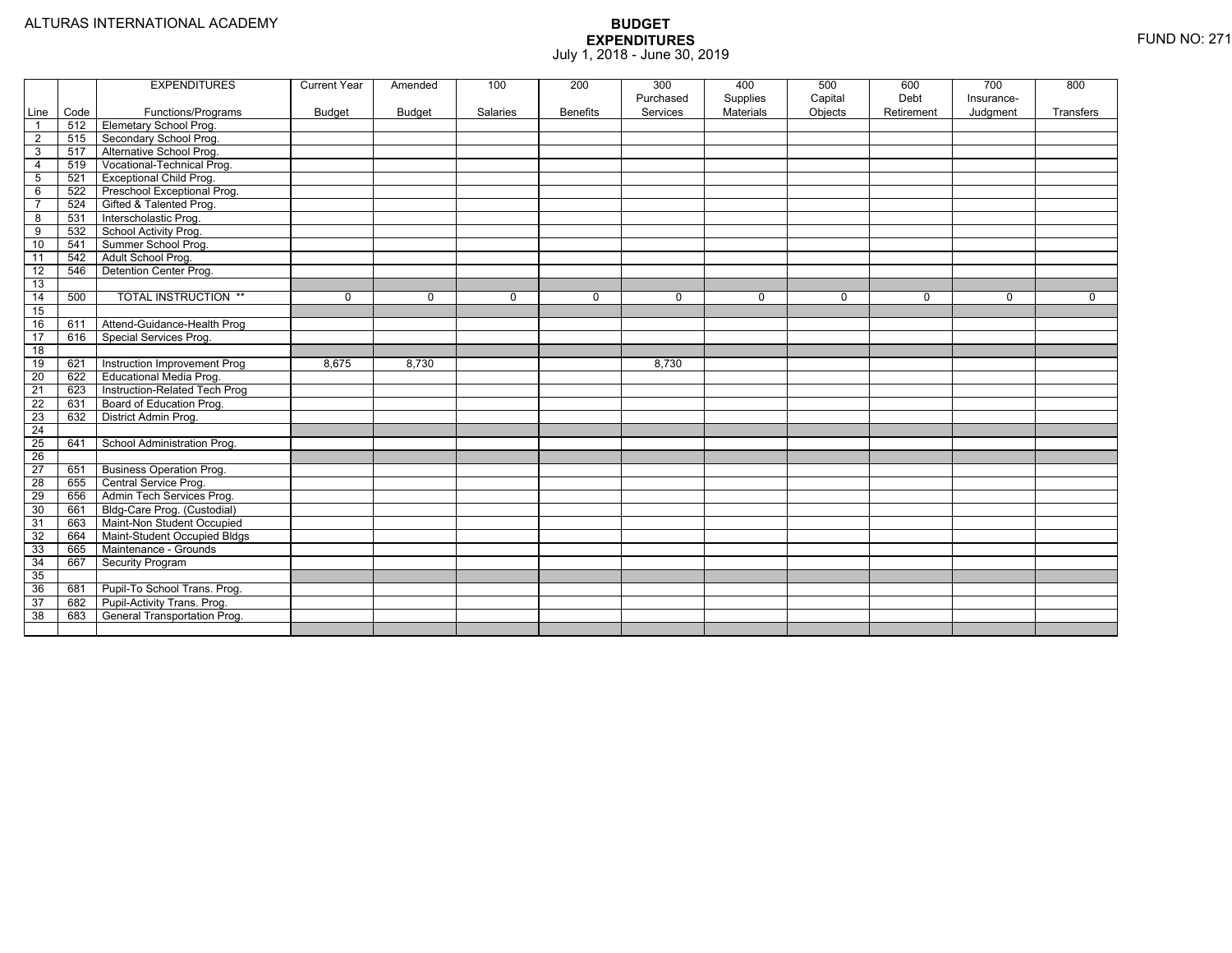|                 |      | <b>EXPENDITURES</b>             | <b>Current Year</b> | Amended       | 100      | 200             | 300<br>Purchased | 400<br>Supplies | 500<br>Capital | 600<br>Debt | 700<br>Insurance- | 800         |
|-----------------|------|---------------------------------|---------------------|---------------|----------|-----------------|------------------|-----------------|----------------|-------------|-------------------|-------------|
| Line            | Code | Functions/Programs              | <b>Budget</b>       | <b>Budget</b> | Salaries | <b>Benefits</b> | Services         | Materials       | Objects        | Retirement  | Judgment          | Transfers   |
| $\overline{1}$  | 512  | Elemetary School Prog.          |                     |               |          |                 |                  |                 |                |             |                   |             |
| $\overline{2}$  | 515  | Secondary School Prog.          |                     |               |          |                 |                  |                 |                |             |                   |             |
| $\overline{3}$  | 517  | Alternative School Prog.        |                     |               |          |                 |                  |                 |                |             |                   |             |
| $\overline{4}$  | 519  | Vocational-Technical Prog.      |                     |               |          |                 |                  |                 |                |             |                   |             |
| 5               | 521  | <b>Exceptional Child Prog.</b>  |                     |               |          |                 |                  |                 |                |             |                   |             |
| 6               | 522  | Preschool Exceptional Prog.     |                     |               |          |                 |                  |                 |                |             |                   |             |
| $\overline{7}$  | 524  | Gifted & Talented Prog.         |                     |               |          |                 |                  |                 |                |             |                   |             |
| 8               | 531  | Interscholastic Prog.           |                     |               |          |                 |                  |                 |                |             |                   |             |
| 9               | 532  | School Activity Prog.           |                     |               |          |                 |                  |                 |                |             |                   |             |
| 10              | 541  | Summer School Prog.             |                     |               |          |                 |                  |                 |                |             |                   |             |
| 11              | 542  | Adult School Prog.              |                     |               |          |                 |                  |                 |                |             |                   |             |
| $\overline{12}$ | 546  | Detention Center Prog.          |                     |               |          |                 |                  |                 |                |             |                   |             |
| 13              |      |                                 |                     |               |          |                 |                  |                 |                |             |                   |             |
| 14              | 500  | <b>TOTAL INSTRUCTION **</b>     | 0                   | $\mathbf 0$   | 0        | $\mathbf{0}$    | $\mathbf 0$      | $\mathbf 0$     | 0              | 0           | 0                 | $\mathbf 0$ |
| 15              |      |                                 |                     |               |          |                 |                  |                 |                |             |                   |             |
| 16              | 611  | Attend-Guidance-Health Prog     |                     |               |          |                 |                  |                 |                |             |                   |             |
| 17              | 616  | Special Services Prog.          |                     |               |          |                 |                  |                 |                |             |                   |             |
| $\overline{18}$ |      |                                 |                     |               |          |                 |                  |                 |                |             |                   |             |
| 19              | 621  | Instruction Improvement Prog    | 8,675               | 8,730         |          |                 | 8,730            |                 |                |             |                   |             |
| 20              | 622  | Educational Media Prog.         |                     |               |          |                 |                  |                 |                |             |                   |             |
| 21              | 623  | Instruction-Related Tech Prog   |                     |               |          |                 |                  |                 |                |             |                   |             |
| 22              | 631  | Board of Education Prog.        |                     |               |          |                 |                  |                 |                |             |                   |             |
| 23              | 632  | District Admin Prog.            |                     |               |          |                 |                  |                 |                |             |                   |             |
| $\overline{24}$ |      |                                 |                     |               |          |                 |                  |                 |                |             |                   |             |
| 25              | 641  | School Administration Prog.     |                     |               |          |                 |                  |                 |                |             |                   |             |
| 26              |      |                                 |                     |               |          |                 |                  |                 |                |             |                   |             |
| 27              | 651  | <b>Business Operation Prog.</b> |                     |               |          |                 |                  |                 |                |             |                   |             |
| $\overline{28}$ | 655  | Central Service Prog.           |                     |               |          |                 |                  |                 |                |             |                   |             |
| 29              | 656  | Admin Tech Services Prog.       |                     |               |          |                 |                  |                 |                |             |                   |             |
| 30              | 661  | Bldg-Care Prog. (Custodial)     |                     |               |          |                 |                  |                 |                |             |                   |             |
| 31              | 663  | Maint-Non Student Occupied      |                     |               |          |                 |                  |                 |                |             |                   |             |
| 32              | 664  | Maint-Student Occupied Bldgs    |                     |               |          |                 |                  |                 |                |             |                   |             |
| 33              | 665  | Maintenance - Grounds           |                     |               |          |                 |                  |                 |                |             |                   |             |
| 34              | 667  | Security Program                |                     |               |          |                 |                  |                 |                |             |                   |             |
| 35              |      |                                 |                     |               |          |                 |                  |                 |                |             |                   |             |
| 36              | 681  | Pupil-To School Trans. Prog.    |                     |               |          |                 |                  |                 |                |             |                   |             |
| 37              | 682  | Pupil-Activity Trans. Prog.     |                     |               |          |                 |                  |                 |                |             |                   |             |
| 38              | 683  | General Transportation Prog.    |                     |               |          |                 |                  |                 |                |             |                   |             |
|                 |      |                                 |                     |               |          |                 |                  |                 |                |             |                   |             |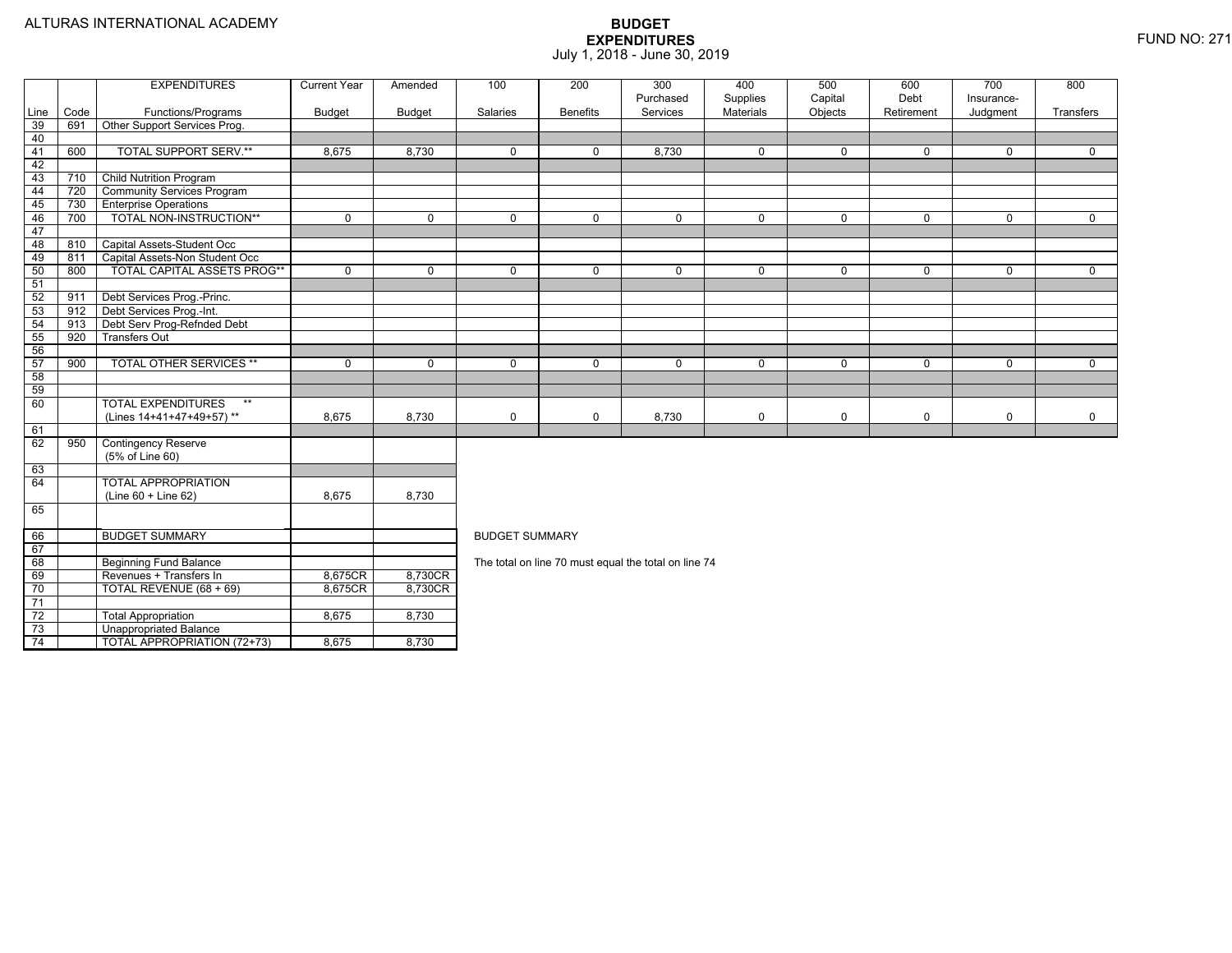74

Unappropriated Balance

TOTAL APPROPRIATION (72+73) 8,675 8,730

|                 |      | <b>EXPENDITURES</b>                                | <b>Current Year</b> | Amended       | 100                   | 200             | 300<br>Purchased                                     | 400<br>Supplies  | 500<br>Capital | 600<br>Debt | 700<br>Insurance- | 800         |  |  |  |
|-----------------|------|----------------------------------------------------|---------------------|---------------|-----------------------|-----------------|------------------------------------------------------|------------------|----------------|-------------|-------------------|-------------|--|--|--|
| Line            | Code | Functions/Programs                                 | <b>Budget</b>       | <b>Budget</b> | Salaries              | <b>Benefits</b> | Services                                             | <b>Materials</b> | Objects        | Retirement  | Judgment          | Transfers   |  |  |  |
| 39              | 691  | Other Support Services Prog.                       |                     |               |                       |                 |                                                      |                  |                |             |                   |             |  |  |  |
| 40              |      |                                                    |                     |               |                       |                 |                                                      |                  |                |             |                   |             |  |  |  |
| 41              | 600  | <b>TOTAL SUPPORT SERV.**</b>                       | 8,675               | 8,730         | $\mathbf 0$           | $\Omega$        | 8,730                                                | 0                | 0              | $\mathbf 0$ | $\Omega$          | $\Omega$    |  |  |  |
| 42              |      |                                                    |                     |               |                       |                 |                                                      |                  |                |             |                   |             |  |  |  |
| 43              | 710  | <b>Child Nutrition Program</b>                     |                     |               |                       |                 |                                                      |                  |                |             |                   |             |  |  |  |
| 44              | 720  | <b>Community Services Program</b>                  |                     |               |                       |                 |                                                      |                  |                |             |                   |             |  |  |  |
| 45              | 730  | <b>Enterprise Operations</b>                       |                     |               |                       |                 |                                                      |                  |                |             |                   |             |  |  |  |
| 46              | 700  | <b>TOTAL NON-INSTRUCTION**</b>                     | $\mathbf{0}$        | $\mathbf 0$   | $\mathbf 0$           | 0               | $\mathbf 0$                                          | $\mathbf 0$      | 0              | $\mathbf 0$ | 0                 | $\mathbf 0$ |  |  |  |
| 47              |      |                                                    |                     |               |                       |                 |                                                      |                  |                |             |                   |             |  |  |  |
| 48              | 810  | Capital Assets-Student Occ                         |                     |               |                       |                 |                                                      |                  |                |             |                   |             |  |  |  |
| 49              | 811  | Capital Assets-Non Student Occ                     |                     |               |                       |                 |                                                      |                  |                |             |                   |             |  |  |  |
| 50              | 800  | TOTAL CAPITAL ASSETS PROG**                        | $\mathbf 0$         | $\Omega$      | $\mathbf 0$           | $\Omega$        | $\mathbf 0$                                          | $\mathbf 0$      | $\mathbf 0$    | $\mathbf 0$ | $\mathbf{0}$      | $\mathbf 0$ |  |  |  |
| 51              |      |                                                    |                     |               |                       |                 |                                                      |                  |                |             |                   |             |  |  |  |
| 52              | 911  | Debt Services Prog.-Princ.                         |                     |               |                       |                 |                                                      |                  |                |             |                   |             |  |  |  |
| 53              | 912  | Debt Services Prog.-Int.                           |                     |               |                       |                 |                                                      |                  |                |             |                   |             |  |  |  |
| 54              | 913  | Debt Serv Prog-Refnded Debt                        |                     |               |                       |                 |                                                      |                  |                |             |                   |             |  |  |  |
| 55              | 920  | <b>Transfers Out</b>                               |                     |               |                       |                 |                                                      |                  |                |             |                   |             |  |  |  |
| 56              |      |                                                    |                     |               |                       |                 |                                                      |                  |                |             |                   |             |  |  |  |
| 57              | 900  | <b>TOTAL OTHER SERVICES **</b>                     | $\mathbf{0}$        | $\mathbf 0$   | $\mathbf 0$           | 0               | $\mathbf 0$                                          | $\mathbf 0$      | 0              | $\Omega$    | $\mathbf{0}$      | $\mathbf 0$ |  |  |  |
| 58              |      |                                                    |                     |               |                       |                 |                                                      |                  |                |             |                   |             |  |  |  |
| 59              |      |                                                    |                     |               |                       |                 |                                                      |                  |                |             |                   |             |  |  |  |
| 60              |      | <b>TOTAL EXPENDITURES</b><br>$***$                 |                     |               |                       |                 |                                                      |                  |                |             |                   |             |  |  |  |
|                 |      | (Lines 14+41+47+49+57)**                           | 8,675               | 8,730         | $\mathbf 0$           | 0               | 8,730                                                | 0                | 0              | 0           | 0                 | $\mathbf 0$ |  |  |  |
| 61              |      |                                                    |                     |               |                       |                 |                                                      |                  |                |             |                   |             |  |  |  |
| 62              | 950  | <b>Contingency Reserve</b>                         |                     |               |                       |                 |                                                      |                  |                |             |                   |             |  |  |  |
|                 |      | (5% of Line 60)                                    |                     |               |                       |                 |                                                      |                  |                |             |                   |             |  |  |  |
| 63              |      |                                                    |                     |               |                       |                 |                                                      |                  |                |             |                   |             |  |  |  |
| 64              |      | <b>TOTAL APPROPRIATION</b>                         |                     |               |                       |                 |                                                      |                  |                |             |                   |             |  |  |  |
|                 |      | (Line 60 + Line 62)                                | 8.675               | 8,730         |                       |                 |                                                      |                  |                |             |                   |             |  |  |  |
| 65              |      |                                                    |                     |               |                       |                 |                                                      |                  |                |             |                   |             |  |  |  |
|                 |      |                                                    |                     |               |                       |                 |                                                      |                  |                |             |                   |             |  |  |  |
| 66<br>67        |      | <b>BUDGET SUMMARY</b>                              |                     |               | <b>BUDGET SUMMARY</b> |                 |                                                      |                  |                |             |                   |             |  |  |  |
|                 |      |                                                    |                     |               |                       |                 |                                                      |                  |                |             |                   |             |  |  |  |
| 68              |      | <b>Beginning Fund Balance</b>                      |                     |               |                       |                 | The total on line 70 must equal the total on line 74 |                  |                |             |                   |             |  |  |  |
| 69<br>70        |      | Revenues + Transfers In<br>TOTAL REVENUE (68 + 69) | 8,675CR             | 8,730CR       |                       |                 |                                                      |                  |                |             |                   |             |  |  |  |
| 71              |      |                                                    | 8,675CR             | 8,730CR       |                       |                 |                                                      |                  |                |             |                   |             |  |  |  |
|                 |      |                                                    |                     |               |                       |                 |                                                      |                  |                |             |                   |             |  |  |  |
| $\overline{72}$ |      | <b>Total Appropriation</b>                         | 8,675               | 8,730         |                       |                 |                                                      |                  |                |             |                   |             |  |  |  |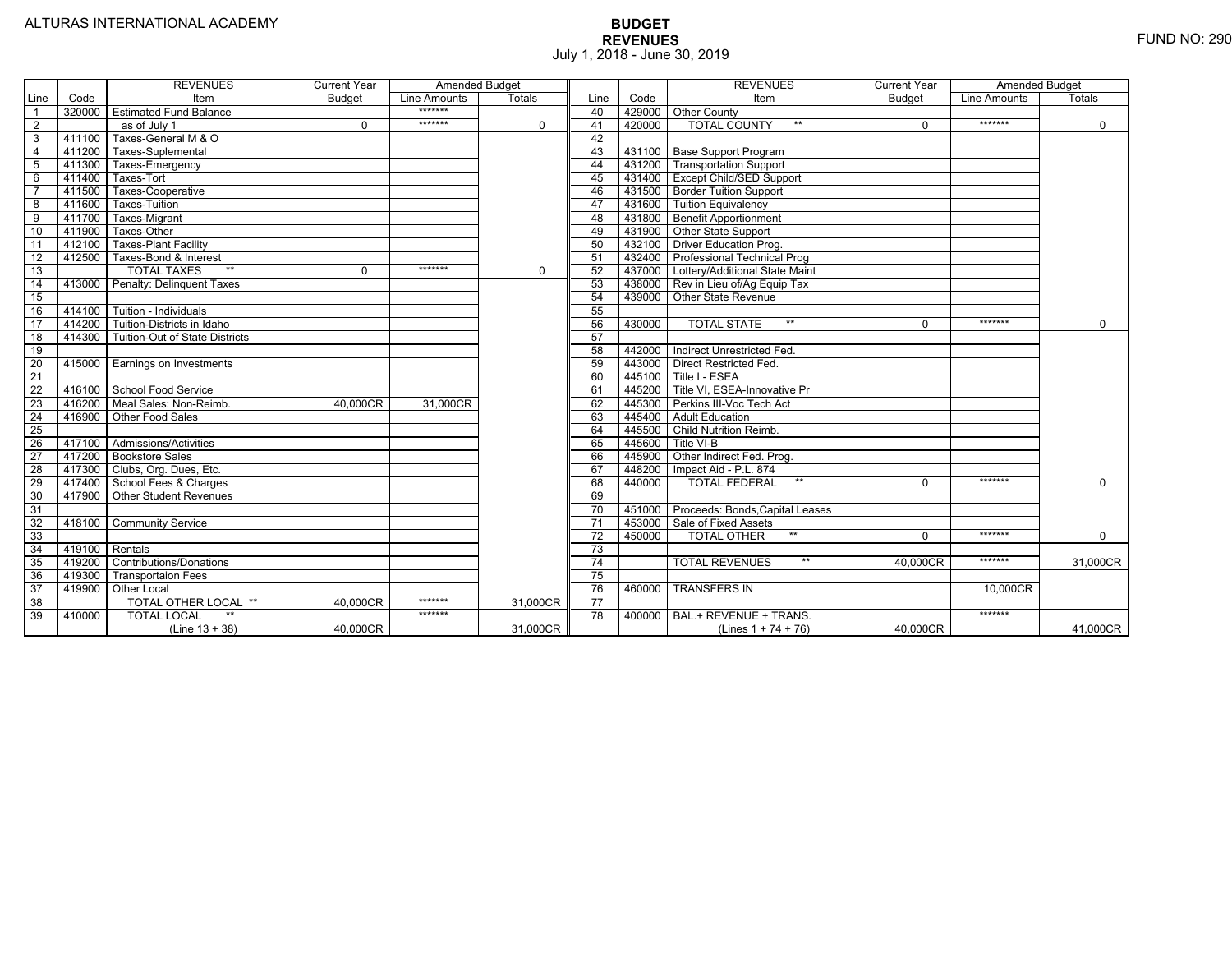|                         |        | <b>REVENUES</b>                 | <b>Current Year</b> | <b>Amended Budget</b> |               |                 |        | <b>REVENUES</b>                       | <b>Current Year</b> | <b>Amended Budget</b> |             |
|-------------------------|--------|---------------------------------|---------------------|-----------------------|---------------|-----------------|--------|---------------------------------------|---------------------|-----------------------|-------------|
| Line                    | Code   | Item                            | <b>Budget</b>       | <b>Line Amounts</b>   | <b>Totals</b> | Line            | Code   | Item                                  | <b>Budget</b>       | Line Amounts          | Totals      |
| $\overline{1}$          |        | 320000 Estimated Fund Balance   |                     | *******               |               | 40              |        | 429000 Other County                   |                     |                       |             |
| $\overline{2}$          |        | as of July 1                    | $\Omega$            | *******               | $\Omega$      | 41              | 420000 | <b>TOTAL COUNTY</b><br>$***$          | $\Omega$            | *******               | $\mathbf 0$ |
| $\overline{\mathbf{3}}$ | 411100 | Taxes-General M & O             |                     |                       |               | 42              |        |                                       |                     |                       |             |
| $\overline{4}$          | 411200 | Taxes-Suplemental               |                     |                       |               | 43              |        | 431100   Base Support Program         |                     |                       |             |
| $\overline{5}$          | 411300 | Taxes-Emergency                 |                     |                       |               | 44              |        | 431200   Transportation Support       |                     |                       |             |
| 6                       | 411400 | Taxes-Tort                      |                     |                       |               | 45              |        | 431400 Except Child/SED Support       |                     |                       |             |
| $\overline{7}$          | 411500 | Taxes-Cooperative               |                     |                       |               | 46              |        | 431500 Border Tuition Support         |                     |                       |             |
| - 8                     | 411600 | <b>Taxes-Tuition</b>            |                     |                       |               | 47              |        | 431600 Tuition Equivalency            |                     |                       |             |
| $\overline{9}$          | 411700 | Taxes-Migrant                   |                     |                       |               | 48              |        | 431800 Benefit Apportionment          |                     |                       |             |
| 10                      | 411900 | Taxes-Other                     |                     |                       |               | 49              |        | 431900 Other State Support            |                     |                       |             |
| 11                      | 412100 | <b>Taxes-Plant Facility</b>     |                     |                       |               | 50              |        | 432100 Driver Education Prog.         |                     |                       |             |
| 12                      | 412500 | Taxes-Bond & Interest           |                     |                       |               | 51              | 432400 | <b>Professional Technical Prog</b>    |                     |                       |             |
| 13                      |        | <b>TOTAL TAXES</b><br>$***$     | $\Omega$            | *******               | $\mathbf 0$   | 52              |        | 437000 Lottery/Additional State Maint |                     |                       |             |
| $\overline{14}$         | 413000 | Penalty: Delinguent Taxes       |                     |                       |               | 53              |        | 438000 Rev in Lieu of/Ag Equip Tax    |                     |                       |             |
| 15                      |        |                                 |                     |                       |               | 54              | 439000 | <b>Other State Revenue</b>            |                     |                       |             |
| 16                      | 414100 | Tuition - Individuals           |                     |                       |               | 55              |        |                                       |                     |                       |             |
| $\overline{17}$         | 414200 | Tuition-Districts in Idaho      |                     |                       |               | 56              | 430000 | $***$<br><b>TOTAL STATE</b>           | $\Omega$            | *******               | $\mathbf 0$ |
| $\overline{18}$         | 414300 | Tuition-Out of State Districts  |                     |                       |               | 57              |        |                                       |                     |                       |             |
| 19                      |        |                                 |                     |                       |               | 58              | 442000 | Indirect Unrestricted Fed.            |                     |                       |             |
| $\frac{20}{21}$         |        | 415000 Earnings on Investments  |                     |                       |               | 59              |        | 443000 Direct Restricted Fed          |                     |                       |             |
|                         |        |                                 |                     |                       |               | 60              | 445100 | Title I - ESEA                        |                     |                       |             |
| 22                      |        | 416100 School Food Service      |                     |                       |               | 61              |        | 445200   Title VI. ESEA-Innovative Pr |                     |                       |             |
| 23                      |        | 416200   Meal Sales: Non-Reimb. | 40,000CR            | 31,000CR              |               | 62              |        | 445300 Perkins III-Voc Tech Act       |                     |                       |             |
| 24                      |        | 416900 Other Food Sales         |                     |                       |               | 63              |        | 445400 Adult Education                |                     |                       |             |
| 25                      |        |                                 |                     |                       |               | 64              |        | 445500 Child Nutrition Reimb.         |                     |                       |             |
| 26                      |        | 417100 Admissions/Activities    |                     |                       |               | 65              | 445600 | Title VI-B                            |                     |                       |             |
| 27                      |        | 417200 Bookstore Sales          |                     |                       |               | 66              | 445900 | Other Indirect Fed. Prog.             |                     |                       |             |
| 28                      | 417300 | Clubs, Org. Dues, Etc.          |                     |                       |               | 67              | 448200 | Impact Aid - P.L. 874                 |                     |                       |             |
| 29                      |        | 417400 School Fees & Charges    |                     |                       |               | 68              | 440000 | <b>TOTAL FEDERAL</b><br>$***$         | $\Omega$            | *******               | $\mathbf 0$ |
| 30                      | 417900 | <b>Other Student Revenues</b>   |                     |                       |               | 69              |        |                                       |                     |                       |             |
| 31                      |        |                                 |                     |                       |               | 70              | 451000 | Proceeds: Bonds, Capital Leases       |                     |                       |             |
| 32                      | 418100 | <b>Community Service</b>        |                     |                       |               | $\overline{71}$ | 453000 | Sale of Fixed Assets                  |                     |                       |             |
| 33                      |        |                                 |                     |                       |               | 72              | 450000 | <b>TOTAL OTHER</b><br>$***$           | $\Omega$            | *******               | $\mathbf 0$ |
| $\overline{34}$         | 419100 | Rentals                         |                     |                       |               | 73              |        |                                       |                     |                       |             |
| 35                      | 419200 | <b>Contributions/Donations</b>  |                     |                       |               | 74              |        | <b>TOTAL REVENUES</b><br>$***$        | 40.000CR            | *******               | 31.000CR    |
| 36                      | 419300 | <b>Transportaion Fees</b>       |                     |                       |               | 75              |        |                                       |                     |                       |             |
| 37                      | 419900 | <b>Other Local</b>              |                     |                       |               | 76              | 460000 | <b>TRANSFERS IN</b>                   |                     | 10,000CR              |             |
| $\overline{38}$         |        | TOTAL OTHER LOCAL **            | 40,000CR            | *******               | 31,000CR      | $\overline{77}$ |        |                                       |                     |                       |             |
| 39                      | 410000 | <b>TOTAL LOCAL</b>              |                     | *******               |               | 78              | 400000 | BAL.+ REVENUE + TRANS.                |                     | *******               |             |
|                         |        | $(Line 13 + 38)$                | 40,000CR            |                       | 31,000CR      |                 |        | (Lines $1 + 74 + 76$ )                | 40,000CR            |                       | 41,000CR    |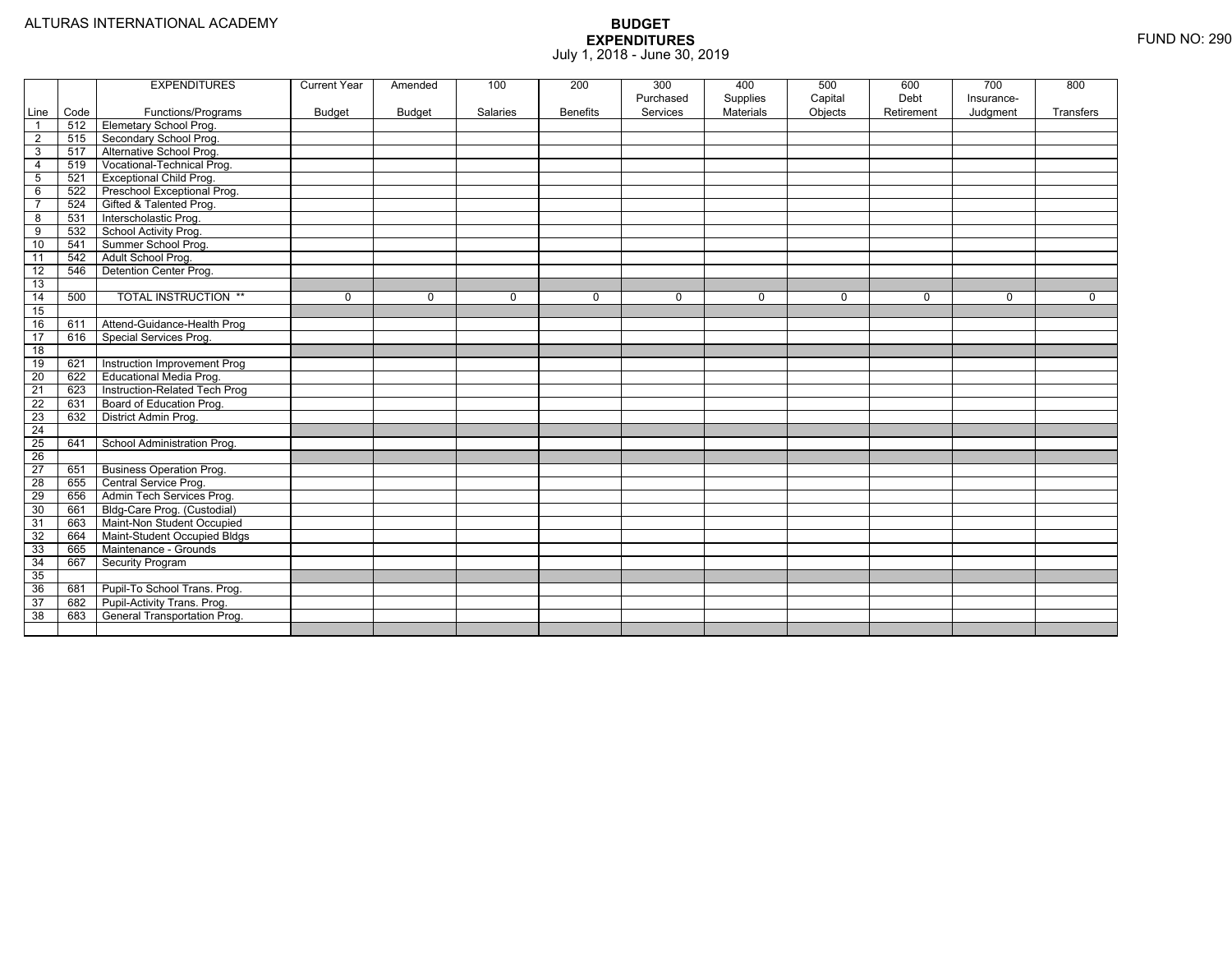|                 |      | <b>EXPENDITURES</b>             | <b>Current Year</b> | Amended  | 100      | 200             | 300<br>Purchased | 400<br>Supplies | 500<br>Capital | 600<br>Debt | 700<br>Insurance- | 800         |
|-----------------|------|---------------------------------|---------------------|----------|----------|-----------------|------------------|-----------------|----------------|-------------|-------------------|-------------|
| Line            | Code | Functions/Programs              | <b>Budget</b>       | Budget   | Salaries | <b>Benefits</b> | Services         | Materials       | Objects        | Retirement  | Judgment          | Transfers   |
| $\overline{1}$  | 512  | <b>Elemetary School Prog.</b>   |                     |          |          |                 |                  |                 |                |             |                   |             |
| $\overline{2}$  | 515  | Secondary School Prog.          |                     |          |          |                 |                  |                 |                |             |                   |             |
| 3               | 517  | Alternative School Prog.        |                     |          |          |                 |                  |                 |                |             |                   |             |
| $\overline{4}$  | 519  | Vocational-Technical Prog.      |                     |          |          |                 |                  |                 |                |             |                   |             |
| $\sqrt{5}$      | 521  | <b>Exceptional Child Prog.</b>  |                     |          |          |                 |                  |                 |                |             |                   |             |
| 6               | 522  | Preschool Exceptional Prog.     |                     |          |          |                 |                  |                 |                |             |                   |             |
| $\overline{7}$  | 524  | Gifted & Talented Prog.         |                     |          |          |                 |                  |                 |                |             |                   |             |
| 8               | 531  | Interscholastic Prog.           |                     |          |          |                 |                  |                 |                |             |                   |             |
| 9               | 532  | School Activity Prog.           |                     |          |          |                 |                  |                 |                |             |                   |             |
| 10              | 541  | Summer School Prog.             |                     |          |          |                 |                  |                 |                |             |                   |             |
| 11              | 542  | Adult School Prog.              |                     |          |          |                 |                  |                 |                |             |                   |             |
| $\overline{12}$ | 546  | <b>Detention Center Prog.</b>   |                     |          |          |                 |                  |                 |                |             |                   |             |
| 13              |      |                                 |                     |          |          |                 |                  |                 |                |             |                   |             |
| $\overline{14}$ | 500  | <b>TOTAL INSTRUCTION **</b>     | 0                   | $\Omega$ | $\Omega$ | 0               | $\Omega$         | 0               | $\mathbf 0$    | $\Omega$    | $\mathbf 0$       | $\mathbf 0$ |
| 15              |      |                                 |                     |          |          |                 |                  |                 |                |             |                   |             |
| 16              | 611  | Attend-Guidance-Health Prog     |                     |          |          |                 |                  |                 |                |             |                   |             |
| $\overline{17}$ | 616  | Special Services Prog.          |                     |          |          |                 |                  |                 |                |             |                   |             |
| $\overline{18}$ |      |                                 |                     |          |          |                 |                  |                 |                |             |                   |             |
| 19              | 621  | Instruction Improvement Prog    |                     |          |          |                 |                  |                 |                |             |                   |             |
| 20              | 622  | Educational Media Prog.         |                     |          |          |                 |                  |                 |                |             |                   |             |
| 21              | 623  | Instruction-Related Tech Prog   |                     |          |          |                 |                  |                 |                |             |                   |             |
| $\overline{22}$ | 631  | Board of Education Prog.        |                     |          |          |                 |                  |                 |                |             |                   |             |
| 23              | 632  | District Admin Prog.            |                     |          |          |                 |                  |                 |                |             |                   |             |
| $\overline{24}$ |      |                                 |                     |          |          |                 |                  |                 |                |             |                   |             |
| $\overline{25}$ | 641  | School Administration Prog.     |                     |          |          |                 |                  |                 |                |             |                   |             |
| $\overline{26}$ |      |                                 |                     |          |          |                 |                  |                 |                |             |                   |             |
| $\overline{27}$ | 651  | <b>Business Operation Prog.</b> |                     |          |          |                 |                  |                 |                |             |                   |             |
| $\overline{28}$ | 655  | Central Service Prog.           |                     |          |          |                 |                  |                 |                |             |                   |             |
| 29              | 656  | Admin Tech Services Prog.       |                     |          |          |                 |                  |                 |                |             |                   |             |
| 30              | 661  | Bldg-Care Prog. (Custodial)     |                     |          |          |                 |                  |                 |                |             |                   |             |
| 31              | 663  | Maint-Non Student Occupied      |                     |          |          |                 |                  |                 |                |             |                   |             |
| 32              | 664  | Maint-Student Occupied Bldgs    |                     |          |          |                 |                  |                 |                |             |                   |             |
| 33              | 665  | Maintenance - Grounds           |                     |          |          |                 |                  |                 |                |             |                   |             |
| 34              | 667  | Security Program                |                     |          |          |                 |                  |                 |                |             |                   |             |
| 35              |      |                                 |                     |          |          |                 |                  |                 |                |             |                   |             |
| 36              | 681  | Pupil-To School Trans. Prog.    |                     |          |          |                 |                  |                 |                |             |                   |             |
| 37              | 682  | Pupil-Activity Trans. Prog.     |                     |          |          |                 |                  |                 |                |             |                   |             |
| 38              | 683  | General Transportation Prog.    |                     |          |          |                 |                  |                 |                |             |                   |             |
|                 |      |                                 |                     |          |          |                 |                  |                 |                |             |                   |             |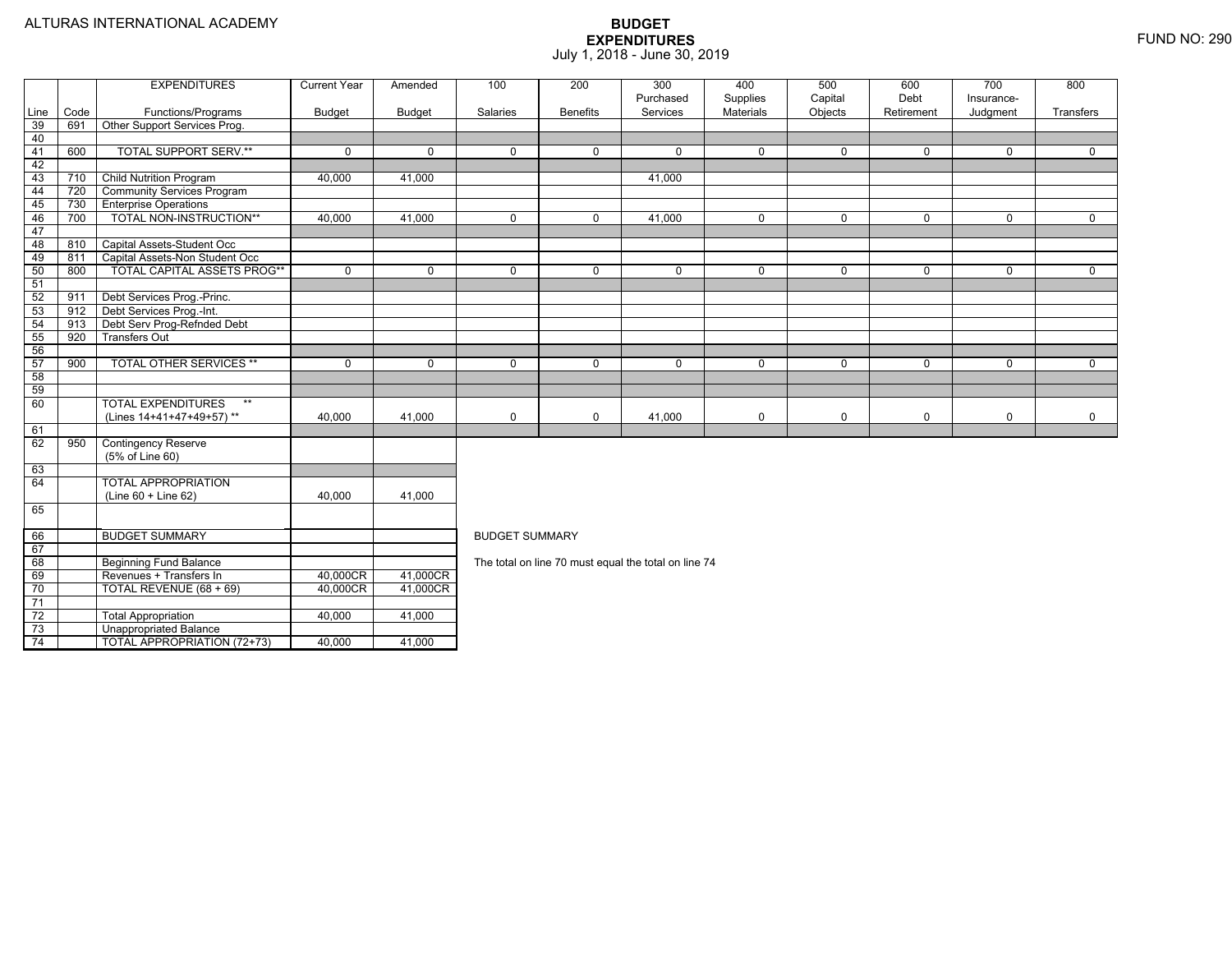74

Unappropriated Balance

TOTAL APPROPRIATION (72+73) 40,000 41,000

|                 |      | <b>EXPENDITURES</b>                 | <b>Current Year</b> | Amended     | 100                   | 200             | 300                                                  | 400                          | 500                | 600                | 700                    | 800         |  |  |
|-----------------|------|-------------------------------------|---------------------|-------------|-----------------------|-----------------|------------------------------------------------------|------------------------------|--------------------|--------------------|------------------------|-------------|--|--|
| Line            | Code | Functions/Programs                  | <b>Budget</b>       | Budget      | Salaries              | <b>Benefits</b> | Purchased<br>Services                                | Supplies<br><b>Materials</b> | Capital<br>Objects | Debt<br>Retirement | Insurance-<br>Judgment | Transfers   |  |  |
| 39              | 691  | Other Support Services Prog.        |                     |             |                       |                 |                                                      |                              |                    |                    |                        |             |  |  |
| 40              |      |                                     |                     |             |                       |                 |                                                      |                              |                    |                    |                        |             |  |  |
| 41              | 600  | <b>TOTAL SUPPORT SERV.**</b>        | $\Omega$            | $\Omega$    | $\Omega$              | $\Omega$        | $\Omega$                                             | $\mathbf 0$                  | $\Omega$           | $\Omega$           | $\Omega$               | $\Omega$    |  |  |
| 42              |      |                                     |                     |             |                       |                 |                                                      |                              |                    |                    |                        |             |  |  |
| 43              | 710  | <b>Child Nutrition Program</b>      | 40,000              | 41,000      |                       |                 | 41,000                                               |                              |                    |                    |                        |             |  |  |
| 44              | 720  | <b>Community Services Program</b>   |                     |             |                       |                 |                                                      |                              |                    |                    |                        |             |  |  |
| 45              | 730  | <b>Enterprise Operations</b>        |                     |             |                       |                 |                                                      |                              |                    |                    |                        |             |  |  |
| 46              | 700  | TOTAL NON-INSTRUCTION**             | 40,000              | 41,000      | $\Omega$              | $\Omega$        | 41,000                                               | $\mathbf 0$                  | $\mathbf{0}$       | $\Omega$           | $\Omega$               | $\mathbf 0$ |  |  |
| 47              |      |                                     |                     |             |                       |                 |                                                      |                              |                    |                    |                        |             |  |  |
| 48              | 810  | Capital Assets-Student Occ          |                     |             |                       |                 |                                                      |                              |                    |                    |                        |             |  |  |
| 49              | 811  | Capital Assets-Non Student Occ      |                     |             |                       |                 |                                                      |                              |                    |                    |                        |             |  |  |
| 50              | 800  | <b>TOTAL CAPITAL ASSETS PROG**</b>  | $\mathbf{0}$        | $\mathbf 0$ | $\Omega$              | $\Omega$        | 0                                                    | $\mathbf 0$                  | $\mathbf 0$        | $\mathbf 0$        | $\mathbf{0}$           | $\mathbf 0$ |  |  |
| 51              |      |                                     |                     |             |                       |                 |                                                      |                              |                    |                    |                        |             |  |  |
| 52              | 911  | Debt Services Prog.-Princ.          |                     |             |                       |                 |                                                      |                              |                    |                    |                        |             |  |  |
| 53              | 912  | Debt Services Prog.-Int.            |                     |             |                       |                 |                                                      |                              |                    |                    |                        |             |  |  |
| 54              | 913  | Debt Serv Prog-Refnded Debt         |                     |             |                       |                 |                                                      |                              |                    |                    |                        |             |  |  |
| 55              | 920  | <b>Transfers Out</b>                |                     |             |                       |                 |                                                      |                              |                    |                    |                        |             |  |  |
| 56              |      |                                     |                     |             |                       |                 |                                                      |                              |                    |                    |                        |             |  |  |
| 57              | 900  | <b>TOTAL OTHER SERVICES **</b>      | $\mathbf 0$         | $\mathbf 0$ | $\mathbf 0$           | $\mathbf 0$     | 0                                                    | $\mathbf 0$                  | $\mathbf 0$        | $\mathbf 0$        | $\mathbf 0$            | $\mathbf 0$ |  |  |
| 58              |      |                                     |                     |             |                       |                 |                                                      |                              |                    |                    |                        |             |  |  |
| 59              |      |                                     |                     |             |                       |                 |                                                      |                              |                    |                    |                        |             |  |  |
| 60              |      | <b>TOTAL EXPENDITURES</b><br>$\ast$ |                     |             |                       |                 |                                                      |                              |                    |                    |                        |             |  |  |
|                 |      | (Lines 14+41+47+49+57)**            | 40,000              | 41,000      | $\mathbf 0$           | $\Omega$        | 41,000                                               | $\mathbf 0$                  | $\mathbf 0$        | $\mathbf 0$        | $\mathbf 0$            | $\mathbf 0$ |  |  |
| 61              |      |                                     |                     |             |                       |                 |                                                      |                              |                    |                    |                        |             |  |  |
| 62              | 950  | <b>Contingency Reserve</b>          |                     |             |                       |                 |                                                      |                              |                    |                    |                        |             |  |  |
|                 |      | (5% of Line 60)                     |                     |             |                       |                 |                                                      |                              |                    |                    |                        |             |  |  |
| 63              |      |                                     |                     |             |                       |                 |                                                      |                              |                    |                    |                        |             |  |  |
| 64              |      | <b>TOTAL APPROPRIATION</b>          |                     |             |                       |                 |                                                      |                              |                    |                    |                        |             |  |  |
|                 |      | $(Line 60 + Line 62)$               | 40,000              | 41,000      |                       |                 |                                                      |                              |                    |                    |                        |             |  |  |
| 65              |      |                                     |                     |             |                       |                 |                                                      |                              |                    |                    |                        |             |  |  |
| 66              |      | <b>BUDGET SUMMARY</b>               |                     |             | <b>BUDGET SUMMARY</b> |                 |                                                      |                              |                    |                    |                        |             |  |  |
| 67              |      |                                     |                     |             |                       |                 |                                                      |                              |                    |                    |                        |             |  |  |
| 68              |      | <b>Beginning Fund Balance</b>       |                     |             |                       |                 | The total on line 70 must equal the total on line 74 |                              |                    |                    |                        |             |  |  |
| 69              |      | Revenues + Transfers In             | 40,000CR            | 41,000CR    |                       |                 |                                                      |                              |                    |                    |                        |             |  |  |
| 70              |      | TOTAL REVENUE (68 + 69)             | 40,000CR            | 41,000CR    |                       |                 |                                                      |                              |                    |                    |                        |             |  |  |
| $\overline{71}$ |      |                                     |                     |             |                       |                 |                                                      |                              |                    |                    |                        |             |  |  |
| $\overline{72}$ |      | <b>Total Appropriation</b>          | 40,000              | 41,000      |                       |                 |                                                      |                              |                    |                    |                        |             |  |  |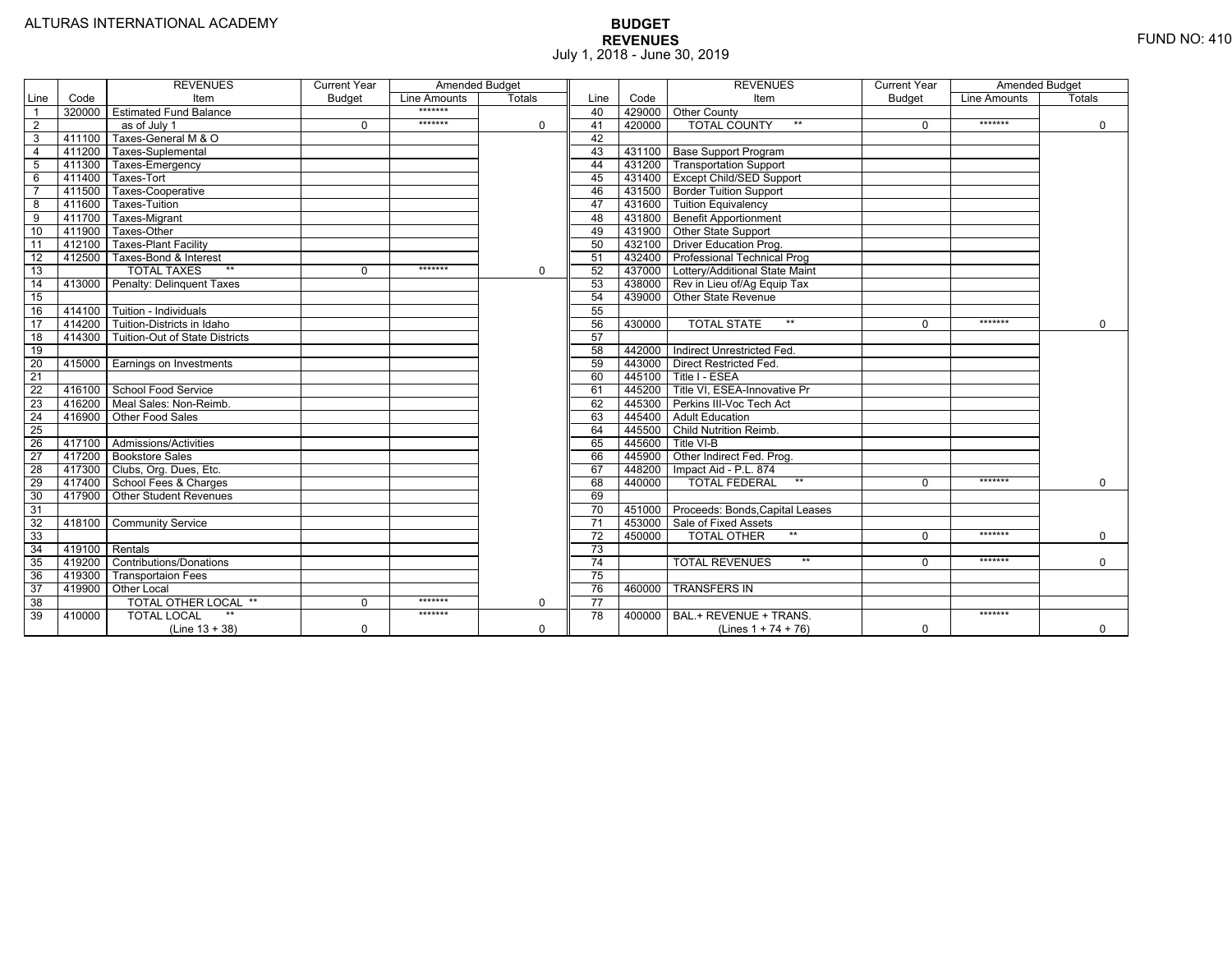|                 |                | <b>REVENUES</b>                         | <b>Current Year</b> | <b>Amended Budget</b> |             |                 |        | <b>REVENUES</b>                        | <b>Current Year</b> | <b>Amended Budget</b> |             |
|-----------------|----------------|-----------------------------------------|---------------------|-----------------------|-------------|-----------------|--------|----------------------------------------|---------------------|-----------------------|-------------|
| Line            | Code           | Item                                    | <b>Budget</b>       | Line Amounts          | Totals      | Line            | Code   | Item                                   | <b>Budget</b>       | Line Amounts          | Totals      |
|                 |                | 320000 Estimated Fund Balance           |                     | *******               |             | 40              |        | 429000 Other County                    |                     |                       |             |
| $\overline{2}$  |                | as of July 1                            | $\Omega$            | *******               | 0           | 41              | 420000 | <b>TOTAL COUNTY</b><br>$***$           | $\Omega$            | *******               | $\mathbf 0$ |
| 3               | 411100         | Taxes-General M & O                     |                     |                       |             | 42              |        |                                        |                     |                       |             |
| $\overline{4}$  | 411200         | Taxes-Suplemental                       |                     |                       |             | 43              |        | 431100 Base Support Program            |                     |                       |             |
| 5               |                | 411300 Taxes-Emergency                  |                     |                       |             | 44              |        | 431200 Transportation Support          |                     |                       |             |
| 6               | 411400         | Taxes-Tort                              |                     |                       |             | 45              |        | 431400 Except Child/SED Support        |                     |                       |             |
|                 | 411500         | Taxes-Cooperative                       |                     |                       |             | 46              |        | 431500 Border Tuition Support          |                     |                       |             |
| 8               | 411600         | Taxes-Tuition                           |                     |                       |             | 47              |        | 431600 Tuition Equivalency             |                     |                       |             |
| 9               |                | 411700 Taxes-Migrant                    |                     |                       |             | 48              |        | 431800 Benefit Apportionment           |                     |                       |             |
| 10              | 411900         | Taxes-Other                             |                     |                       |             | 49              |        | 431900 Other State Support             |                     |                       |             |
| 11              |                | 412100 Taxes-Plant Facility             |                     |                       |             | 50              |        | 432100 Driver Education Prog.          |                     |                       |             |
| 12              | 412500         | Taxes-Bond & Interest                   |                     |                       |             | 51              |        | 432400 Professional Technical Prog     |                     |                       |             |
| 13              |                | $**$<br><b>TOTAL TAXES</b>              | $\Omega$            | *******               | 0           | 52              |        | 437000 Lottery/Additional State Maint  |                     |                       |             |
| 14              |                | 413000 Penalty: Delinguent Taxes        |                     |                       |             | 53              |        | 438000 Rev in Lieu of/Ag Equip Tax     |                     |                       |             |
| 15              |                |                                         |                     |                       |             | 54              |        | 439000 Other State Revenue             |                     |                       |             |
| 16              |                | 414100 Tuition - Individuals            |                     |                       |             | 55              |        |                                        |                     |                       |             |
| 17              |                | 414200 Tuition-Districts in Idaho       |                     |                       |             | 56              | 430000 | $**$<br><b>TOTAL STATE</b>             | $\Omega$            | *******               | $\Omega$    |
| $\overline{18}$ |                | 414300   Tuition-Out of State Districts |                     |                       |             | 57              |        |                                        |                     |                       |             |
| 19              |                |                                         |                     |                       |             | 58              |        | 442000   Indirect Unrestricted Fed.    |                     |                       |             |
| 20              |                | 415000 Earnings on Investments          |                     |                       |             | 59              |        | 443000 Direct Restricted Fed.          |                     |                       |             |
| 21              |                |                                         |                     |                       |             | 60              |        | 445100 Title I - ESEA                  |                     |                       |             |
| 22              |                | 416100 School Food Service              |                     |                       |             | 61              |        | 445200 Title VI. ESEA-Innovative Pr    |                     |                       |             |
| 23              |                | 416200   Meal Sales: Non-Reimb.         |                     |                       |             | 62              |        | 445300 Perkins III-Voc Tech Act        |                     |                       |             |
| 24              |                | 416900 Other Food Sales                 |                     |                       |             | 63              |        | 445400 Adult Education                 |                     |                       |             |
| $\overline{25}$ |                |                                         |                     |                       |             | 64              |        | 445500 Child Nutrition Reimb.          |                     |                       |             |
| 26              |                | 417100 Admissions/Activities            |                     |                       |             | 65              | 445600 | Title VI-B                             |                     |                       |             |
| $\overline{27}$ |                | 417200 Bookstore Sales                  |                     |                       |             | 66              | 445900 | Other Indirect Fed. Prog.              |                     |                       |             |
| 28              |                | 417300 Clubs, Org. Dues, Etc.           |                     |                       |             | 67              | 448200 | Impact Aid - P.L. 874                  |                     |                       |             |
| $\overline{29}$ |                | 417400 School Fees & Charges            |                     |                       |             | 68              | 440000 | <b>TOTAL FEDERAL</b><br>$***$          | $\Omega$            | *******               | $\mathbf 0$ |
| 30              |                | 417900 Other Student Revenues           |                     |                       |             | 69              |        |                                        |                     |                       |             |
| 31              |                |                                         |                     |                       |             | 70              |        | 451000 Proceeds: Bonds, Capital Leases |                     |                       |             |
| $\overline{32}$ |                | 418100 Community Service                |                     |                       |             | $\overline{71}$ |        | 453000 Sale of Fixed Assets            |                     |                       |             |
| 33              |                |                                         |                     |                       |             | 72              | 450000 | $**$<br><b>TOTAL OTHER</b>             | $\Omega$            | *******               | $\mathbf 0$ |
| 34              | 419100 Rentals |                                         |                     |                       |             | 73              |        |                                        |                     |                       |             |
| 35              |                | 419200 Contributions/Donations          |                     |                       |             | $\overline{74}$ |        | $**$<br><b>TOTAL REVENUES</b>          | $\Omega$            | *******               | $\Omega$    |
| 36              | 419300         | <b>Transportaion Fees</b>               |                     |                       |             | 75              |        |                                        |                     |                       |             |
| 37              |                | 419900 Other Local                      |                     |                       |             | 76              | 460000 | <b>TRANSFERS IN</b>                    |                     |                       |             |
| 38              |                | TOTAL OTHER LOCAL **                    | $\mathbf 0$         | *******               | $\mathbf 0$ | $\overline{77}$ |        |                                        |                     |                       |             |
| 39              | 410000         | <b>TOTAL LOCAL</b>                      |                     | *******               |             | 78              | 400000 | BAL.+ REVENUE + TRANS.                 |                     | *******               |             |
|                 |                | $(Line 13 + 38)$                        | $\Omega$            |                       | $\Omega$    |                 |        | (Lines $1 + 74 + 76$ )                 | $\mathbf 0$         |                       | $\Omega$    |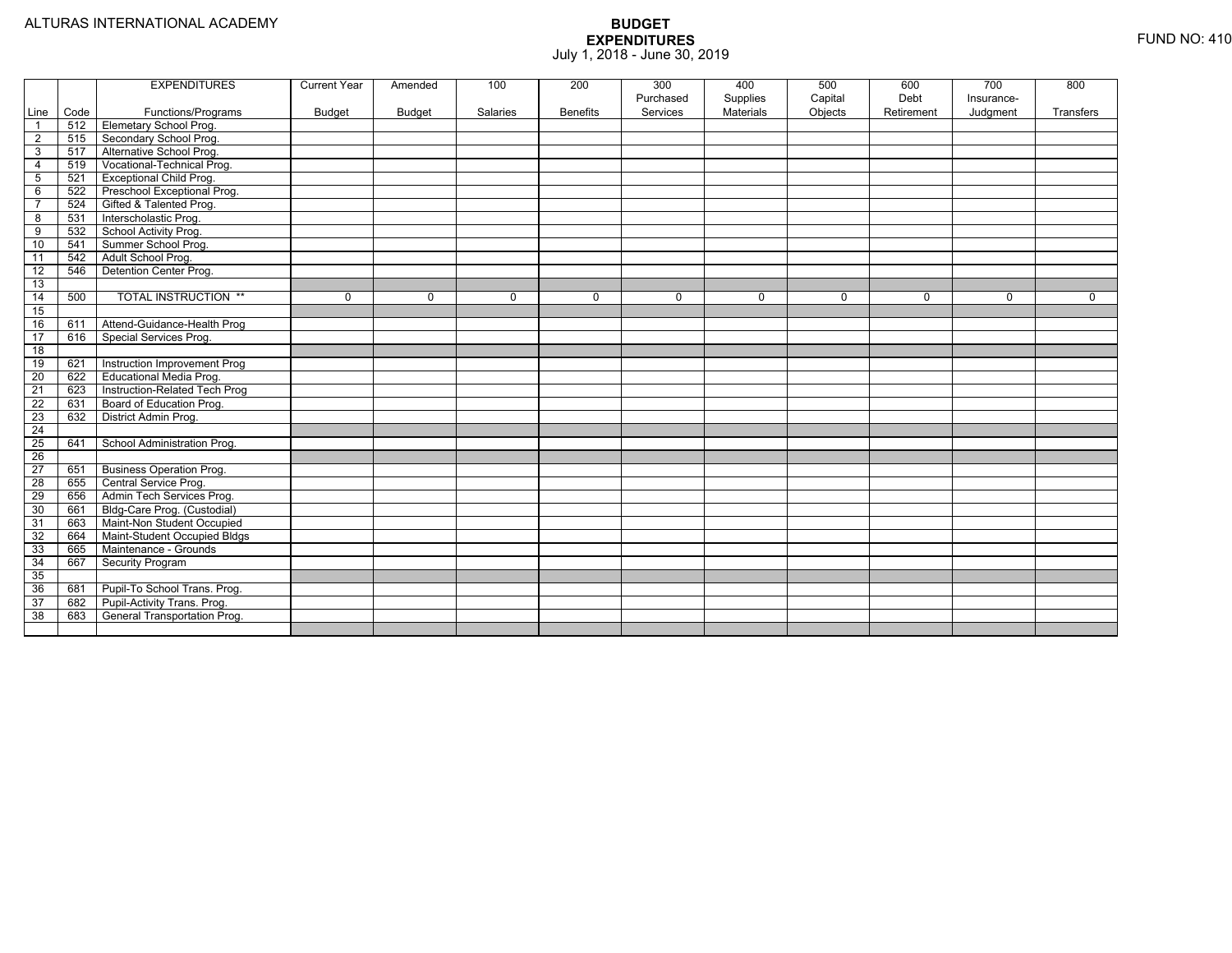|                 |      | <b>EXPENDITURES</b>             | <b>Current Year</b> | Amended  | 100      | 200             | 300<br>Purchased | 400<br>Supplies | 500<br>Capital | 600<br>Debt | 700<br>Insurance- | 800         |
|-----------------|------|---------------------------------|---------------------|----------|----------|-----------------|------------------|-----------------|----------------|-------------|-------------------|-------------|
| Line            | Code | Functions/Programs              | <b>Budget</b>       | Budget   | Salaries | <b>Benefits</b> | Services         | Materials       | Objects        | Retirement  | Judgment          | Transfers   |
| $\overline{1}$  | 512  | <b>Elemetary School Prog.</b>   |                     |          |          |                 |                  |                 |                |             |                   |             |
| $\overline{2}$  | 515  | Secondary School Prog.          |                     |          |          |                 |                  |                 |                |             |                   |             |
| 3               | 517  | Alternative School Prog.        |                     |          |          |                 |                  |                 |                |             |                   |             |
| $\overline{4}$  | 519  | Vocational-Technical Prog.      |                     |          |          |                 |                  |                 |                |             |                   |             |
| $\sqrt{5}$      | 521  | <b>Exceptional Child Prog.</b>  |                     |          |          |                 |                  |                 |                |             |                   |             |
| 6               | 522  | Preschool Exceptional Prog.     |                     |          |          |                 |                  |                 |                |             |                   |             |
| $\overline{7}$  | 524  | Gifted & Talented Prog.         |                     |          |          |                 |                  |                 |                |             |                   |             |
| 8               | 531  | Interscholastic Prog.           |                     |          |          |                 |                  |                 |                |             |                   |             |
| 9               | 532  | School Activity Prog.           |                     |          |          |                 |                  |                 |                |             |                   |             |
| 10              | 541  | Summer School Prog.             |                     |          |          |                 |                  |                 |                |             |                   |             |
| 11              | 542  | Adult School Prog.              |                     |          |          |                 |                  |                 |                |             |                   |             |
| $\overline{12}$ | 546  | <b>Detention Center Prog.</b>   |                     |          |          |                 |                  |                 |                |             |                   |             |
| 13              |      |                                 |                     |          |          |                 |                  |                 |                |             |                   |             |
| $\overline{14}$ | 500  | <b>TOTAL INSTRUCTION **</b>     | 0                   | $\Omega$ | $\Omega$ | 0               | $\Omega$         | 0               | $\mathbf 0$    | $\Omega$    | $\mathbf 0$       | $\mathbf 0$ |
| 15              |      |                                 |                     |          |          |                 |                  |                 |                |             |                   |             |
| 16              | 611  | Attend-Guidance-Health Prog     |                     |          |          |                 |                  |                 |                |             |                   |             |
| $\overline{17}$ | 616  | Special Services Prog.          |                     |          |          |                 |                  |                 |                |             |                   |             |
| $\overline{18}$ |      |                                 |                     |          |          |                 |                  |                 |                |             |                   |             |
| 19              | 621  | Instruction Improvement Prog    |                     |          |          |                 |                  |                 |                |             |                   |             |
| 20              | 622  | Educational Media Prog.         |                     |          |          |                 |                  |                 |                |             |                   |             |
| 21              | 623  | Instruction-Related Tech Prog   |                     |          |          |                 |                  |                 |                |             |                   |             |
| $\overline{22}$ | 631  | Board of Education Prog.        |                     |          |          |                 |                  |                 |                |             |                   |             |
| 23              | 632  | District Admin Prog.            |                     |          |          |                 |                  |                 |                |             |                   |             |
| $\overline{24}$ |      |                                 |                     |          |          |                 |                  |                 |                |             |                   |             |
| $\overline{25}$ | 641  | School Administration Prog.     |                     |          |          |                 |                  |                 |                |             |                   |             |
| $\overline{26}$ |      |                                 |                     |          |          |                 |                  |                 |                |             |                   |             |
| $\overline{27}$ | 651  | <b>Business Operation Prog.</b> |                     |          |          |                 |                  |                 |                |             |                   |             |
| $\overline{28}$ | 655  | Central Service Prog.           |                     |          |          |                 |                  |                 |                |             |                   |             |
| 29              | 656  | Admin Tech Services Prog.       |                     |          |          |                 |                  |                 |                |             |                   |             |
| 30              | 661  | Bldg-Care Prog. (Custodial)     |                     |          |          |                 |                  |                 |                |             |                   |             |
| 31              | 663  | Maint-Non Student Occupied      |                     |          |          |                 |                  |                 |                |             |                   |             |
| 32              | 664  | Maint-Student Occupied Bldgs    |                     |          |          |                 |                  |                 |                |             |                   |             |
| 33              | 665  | Maintenance - Grounds           |                     |          |          |                 |                  |                 |                |             |                   |             |
| 34              | 667  | Security Program                |                     |          |          |                 |                  |                 |                |             |                   |             |
| 35              |      |                                 |                     |          |          |                 |                  |                 |                |             |                   |             |
| 36              | 681  | Pupil-To School Trans. Prog.    |                     |          |          |                 |                  |                 |                |             |                   |             |
| 37              | 682  | Pupil-Activity Trans. Prog.     |                     |          |          |                 |                  |                 |                |             |                   |             |
| 38              | 683  | General Transportation Prog.    |                     |          |          |                 |                  |                 |                |             |                   |             |
|                 |      |                                 |                     |          |          |                 |                  |                 |                |             |                   |             |